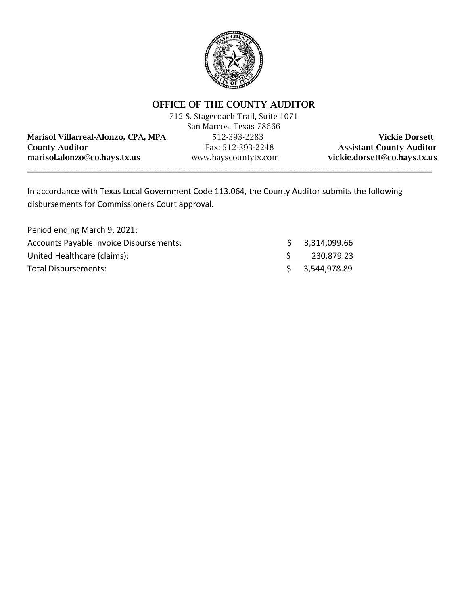

# OFFICE OF THE COUNTY AUDITOR

712 S. Stagecoach Trail, Suite 1071 San Marcos, Texas 78666 Marisol Villarreal-Alonzo, CPA, MPA 512-393-2283 Vickie Dorsett County Auditor Fax: 512-393-2248 Assistant County Auditor marisol.alonzo@co.hays.tx.us www.hayscountytx.com vickie.dorsett@co.hays.tx.us

\_\_\_\_\_\_\_\_\_\_\_\_\_\_\_\_\_\_\_\_\_\_\_\_\_\_\_\_\_\_\_\_\_\_\_\_\_\_\_\_\_\_\_\_\_\_\_\_\_\_\_\_\_\_\_\_\_\_\_\_\_\_\_\_\_\_\_\_\_\_\_\_\_\_\_\_\_\_\_\_\_\_\_\_\_\_\_\_\_\_\_\_\_\_\_\_\_\_\_\_\_\_\_\_\_\_

In accordance with Texas Local Government Code 113.064, the County Auditor submits the following disbursements for Commissioners Court approval.

| Period ending March 9, 2021:                   |                |
|------------------------------------------------|----------------|
| <b>Accounts Payable Invoice Disbursements:</b> | \$3,314,099.66 |
| United Healthcare (claims):                    | 230,879.23     |
| Total Disbursements:                           | \$3,544,978.89 |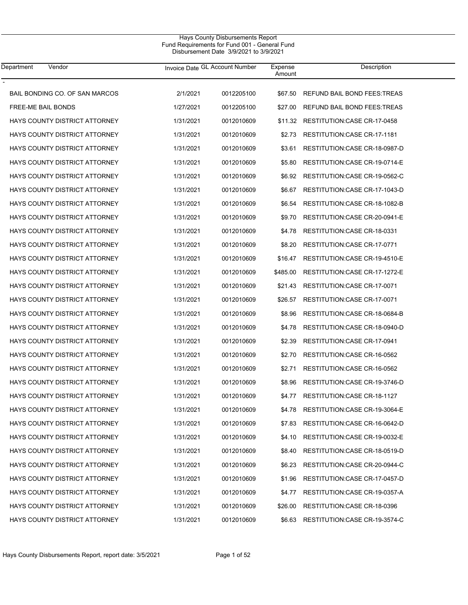| Department<br>Vendor                 | Invoice Date GL Account Number |            | Expense<br>Amount | Description                    |
|--------------------------------------|--------------------------------|------------|-------------------|--------------------------------|
| BAIL BONDING CO. OF SAN MARCOS       | 2/1/2021                       | 0012205100 | \$67.50           | REFUND BAIL BOND FEES: TREAS   |
| <b>FREE-ME BAIL BONDS</b>            | 1/27/2021                      | 0012205100 | \$27.00           | REFUND BAIL BOND FEES: TREAS   |
| HAYS COUNTY DISTRICT ATTORNEY        | 1/31/2021                      | 0012010609 | \$11.32           | RESTITUTION: CASE CR-17-0458   |
| HAYS COUNTY DISTRICT ATTORNEY        | 1/31/2021                      | 0012010609 | \$2.73            | RESTITUTION: CASE CR-17-1181   |
| HAYS COUNTY DISTRICT ATTORNEY        | 1/31/2021                      | 0012010609 | \$3.61            | RESTITUTION: CASE CR-18-0987-D |
| HAYS COUNTY DISTRICT ATTORNEY        | 1/31/2021                      | 0012010609 | \$5.80            | RESTITUTION: CASE CR-19-0714-E |
| HAYS COUNTY DISTRICT ATTORNEY        | 1/31/2021                      | 0012010609 | \$6.92            | RESTITUTION: CASE CR-19-0562-C |
| HAYS COUNTY DISTRICT ATTORNEY        | 1/31/2021                      | 0012010609 | \$6.67            | RESTITUTION: CASE CR-17-1043-D |
| HAYS COUNTY DISTRICT ATTORNEY        | 1/31/2021                      | 0012010609 | \$6.54            | RESTITUTION: CASE CR-18-1082-B |
| HAYS COUNTY DISTRICT ATTORNEY        | 1/31/2021                      | 0012010609 | \$9.70            | RESTITUTION: CASE CR-20-0941-E |
| HAYS COUNTY DISTRICT ATTORNEY        | 1/31/2021                      | 0012010609 | \$4.78            | RESTITUTION: CASE CR-18-0331   |
| HAYS COUNTY DISTRICT ATTORNEY        | 1/31/2021                      | 0012010609 | \$8.20            | RESTITUTION: CASE CR-17-0771   |
| HAYS COUNTY DISTRICT ATTORNEY        | 1/31/2021                      | 0012010609 | \$16.47           | RESTITUTION: CASE CR-19-4510-E |
| HAYS COUNTY DISTRICT ATTORNEY        | 1/31/2021                      | 0012010609 | \$485.00          | RESTITUTION: CASE CR-17-1272-E |
| HAYS COUNTY DISTRICT ATTORNEY        | 1/31/2021                      | 0012010609 | \$21.43           | RESTITUTION: CASE CR-17-0071   |
| HAYS COUNTY DISTRICT ATTORNEY        | 1/31/2021                      | 0012010609 | \$26.57           | RESTITUTION:CASE CR-17-0071    |
| HAYS COUNTY DISTRICT ATTORNEY        | 1/31/2021                      | 0012010609 | \$8.96            | RESTITUTION: CASE CR-18-0684-B |
| HAYS COUNTY DISTRICT ATTORNEY        | 1/31/2021                      | 0012010609 | \$4.78            | RESTITUTION: CASE CR-18-0940-D |
| HAYS COUNTY DISTRICT ATTORNEY        | 1/31/2021                      | 0012010609 | \$2.39            | RESTITUTION: CASE CR-17-0941   |
| HAYS COUNTY DISTRICT ATTORNEY        | 1/31/2021                      | 0012010609 | \$2.70            | RESTITUTION:CASE CR-16-0562    |
| HAYS COUNTY DISTRICT ATTORNEY        | 1/31/2021                      | 0012010609 | \$2.71            | RESTITUTION: CASE CR-16-0562   |
| HAYS COUNTY DISTRICT ATTORNEY        | 1/31/2021                      | 0012010609 | \$8.96            | RESTITUTION: CASE CR-19-3746-D |
| <b>HAYS COUNTY DISTRICT ATTORNEY</b> | 1/31/2021                      | 0012010609 | \$4.77            | RESTITUTION: CASE CR-18-1127   |
| HAYS COUNTY DISTRICT ATTORNEY        | 1/31/2021                      | 0012010609 | \$4.78            | RESTITUTION:CASE CR-19-3064-E  |
| HAYS COUNTY DISTRICT ATTORNEY        | 1/31/2021                      | 0012010609 | \$7.83            | RESTITUTION: CASE CR-16-0642-D |
| HAYS COUNTY DISTRICT ATTORNEY        | 1/31/2021                      | 0012010609 | \$4.10            | RESTITUTION: CASE CR-19-0032-E |
| HAYS COUNTY DISTRICT ATTORNEY        | 1/31/2021                      | 0012010609 | \$8.40            | RESTITUTION: CASE CR-18-0519-D |
| HAYS COUNTY DISTRICT ATTORNEY        | 1/31/2021                      | 0012010609 | \$6.23            | RESTITUTION: CASE CR-20-0944-C |
| HAYS COUNTY DISTRICT ATTORNEY        | 1/31/2021                      | 0012010609 | \$1.96            | RESTITUTION: CASE CR-17-0457-D |
| HAYS COUNTY DISTRICT ATTORNEY        | 1/31/2021                      | 0012010609 | \$4.77            | RESTITUTION: CASE CR-19-0357-A |
| HAYS COUNTY DISTRICT ATTORNEY        | 1/31/2021                      | 0012010609 | \$26.00           | RESTITUTION:CASE CR-18-0396    |
| HAYS COUNTY DISTRICT ATTORNEY        | 1/31/2021                      | 0012010609 | \$6.63            | RESTITUTION:CASE CR-19-3574-C  |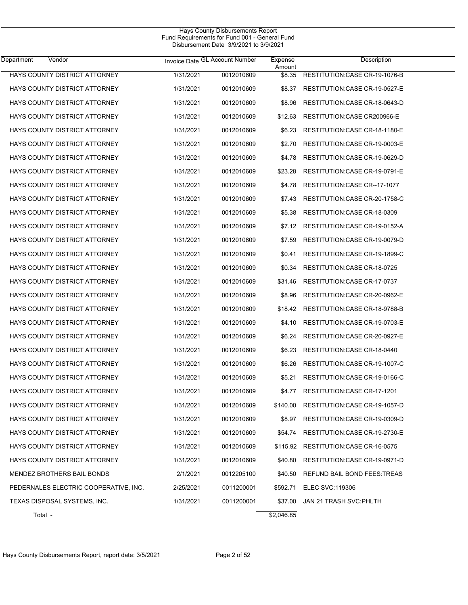| <b>Department</b><br>Vendor           |           | Invoice Date GL Account Number | Expense<br>Amount | Description                    |
|---------------------------------------|-----------|--------------------------------|-------------------|--------------------------------|
| HAYS COUNTY DISTRICT ATTORNEY         | 1/31/2021 | 0012010609                     | \$8.35            | RESTITUTION: CASE CR-19-1076-B |
| HAYS COUNTY DISTRICT ATTORNEY         | 1/31/2021 | 0012010609                     | \$8.37            | RESTITUTION: CASE CR-19-0527-E |
| HAYS COUNTY DISTRICT ATTORNEY         | 1/31/2021 | 0012010609                     | \$8.96            | RESTITUTION: CASE CR-18-0643-D |
| HAYS COUNTY DISTRICT ATTORNEY         | 1/31/2021 | 0012010609                     | \$12.63           | RESTITUTION: CASE CR200966-E   |
| HAYS COUNTY DISTRICT ATTORNEY         | 1/31/2021 | 0012010609                     | \$6.23            | RESTITUTION: CASE CR-18-1180-E |
| HAYS COUNTY DISTRICT ATTORNEY         | 1/31/2021 | 0012010609                     | \$2.70            | RESTITUTION: CASE CR-19-0003-E |
| <b>HAYS COUNTY DISTRICT ATTORNEY</b>  | 1/31/2021 | 0012010609                     | \$4.78            | RESTITUTION: CASE CR-19-0629-D |
| HAYS COUNTY DISTRICT ATTORNEY         | 1/31/2021 | 0012010609                     | \$23.28           | RESTITUTION: CASE CR-19-0791-E |
| HAYS COUNTY DISTRICT ATTORNEY         | 1/31/2021 | 0012010609                     | \$4.78            | RESTITUTION: CASE CR--17-1077  |
| HAYS COUNTY DISTRICT ATTORNEY         | 1/31/2021 | 0012010609                     | \$7.43            | RESTITUTION: CASE CR-20-1758-C |
| HAYS COUNTY DISTRICT ATTORNEY         | 1/31/2021 | 0012010609                     | \$5.38            | RESTITUTION: CASE CR-18-0309   |
| <b>HAYS COUNTY DISTRICT ATTORNEY</b>  | 1/31/2021 | 0012010609                     | \$7.12            | RESTITUTION: CASE CR-19-0152-A |
| <b>HAYS COUNTY DISTRICT ATTORNEY</b>  | 1/31/2021 | 0012010609                     | \$7.59            | RESTITUTION: CASE CR-19-0079-D |
| <b>HAYS COUNTY DISTRICT ATTORNEY</b>  | 1/31/2021 | 0012010609                     | \$0.41            | RESTITUTION: CASE CR-19-1899-C |
| HAYS COUNTY DISTRICT ATTORNEY         | 1/31/2021 | 0012010609                     | \$0.34            | RESTITUTION: CASE CR-18-0725   |
| HAYS COUNTY DISTRICT ATTORNEY         | 1/31/2021 | 0012010609                     | \$31.46           | RESTITUTION: CASE CR-17-0737   |
| HAYS COUNTY DISTRICT ATTORNEY         | 1/31/2021 | 0012010609                     | \$8.96            | RESTITUTION: CASE CR-20-0962-E |
| HAYS COUNTY DISTRICT ATTORNEY         | 1/31/2021 | 0012010609                     | \$18.42           | RESTITUTION: CASE CR-18-9788-B |
| HAYS COUNTY DISTRICT ATTORNEY         | 1/31/2021 | 0012010609                     | \$4.10            | RESTITUTION: CASE CR-19-0703-E |
| HAYS COUNTY DISTRICT ATTORNEY         | 1/31/2021 | 0012010609                     | \$6.24            | RESTITUTION: CASE CR-20-0927-E |
| HAYS COUNTY DISTRICT ATTORNEY         | 1/31/2021 | 0012010609                     | \$6.23            | RESTITUTION: CASE CR-18-0440   |
| HAYS COUNTY DISTRICT ATTORNEY         | 1/31/2021 | 0012010609                     | \$6.26            | RESTITUTION: CASE CR-19-1007-C |
| <b>HAYS COUNTY DISTRICT ATTORNEY</b>  | 1/31/2021 | 0012010609                     | \$5.21            | RESTITUTION: CASE CR-19-0166-C |
| <b>HAYS COUNTY DISTRICT ATTORNEY</b>  | 1/31/2021 | 0012010609                     | \$4.77            | RESTITUTION: CASE CR-17-1201   |
| HAYS COUNTY DISTRICT ATTORNEY         | 1/31/2021 | 0012010609                     | \$140.00          | RESTITUTION: CASE CR-19-1057-D |
| HAYS COUNTY DISTRICT ATTORNEY         | 1/31/2021 | 0012010609                     | \$8.97            | RESTITUTION:CASE CR-19-0309-D  |
| HAYS COUNTY DISTRICT ATTORNEY         | 1/31/2021 | 0012010609                     | \$54.74           | RESTITUTION:CASE CR-19-2730-E  |
| HAYS COUNTY DISTRICT ATTORNEY         | 1/31/2021 | 0012010609                     | \$115.92          | RESTITUTION:CASE CR-16-0575    |
| HAYS COUNTY DISTRICT ATTORNEY         | 1/31/2021 | 0012010609                     | \$40.80           | RESTITUTION:CASE CR-19-0971-D  |
| MENDEZ BROTHERS BAIL BONDS            | 2/1/2021  | 0012205100                     | \$40.50           | REFUND BAIL BOND FEES: TREAS   |
| PEDERNALES ELECTRIC COOPERATIVE, INC. | 2/25/2021 | 0011200001                     | \$592.71          | ELEC SVC:119306                |
| TEXAS DISPOSAL SYSTEMS, INC.          | 1/31/2021 | 0011200001                     | \$37.00           | JAN 21 TRASH SVC: PHLTH        |
| Total -                               |           |                                | \$2,046.85        |                                |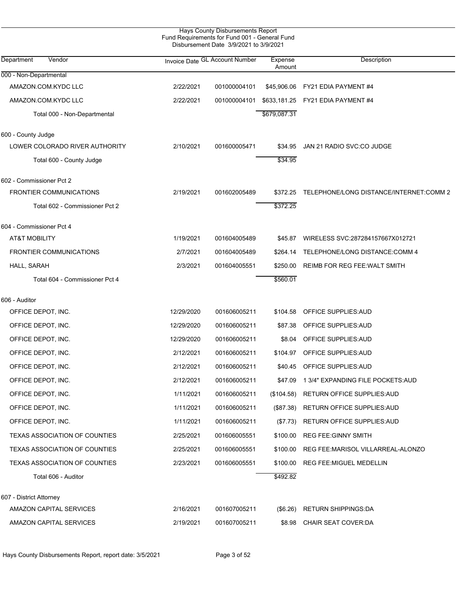| Hays County Disbursements Report |                                               |
|----------------------------------|-----------------------------------------------|
|                                  | Fund Requirements for Fund 001 - General Fund |
|                                  | Disbursement Date 3/9/2021 to 3/9/2021        |
|                                  |                                               |

| Department<br>Vendor                 |            | Invoice Date GL Account Number | Expense<br>Amount | Description                             |
|--------------------------------------|------------|--------------------------------|-------------------|-----------------------------------------|
| 000 - Non-Departmental               |            |                                |                   |                                         |
| AMAZON.COM.KYDC LLC                  | 2/22/2021  | 001000004101                   | \$45,906.06       | FY21 EDIA PAYMENT #4                    |
| AMAZON.COM.KYDC LLC                  | 2/22/2021  | 001000004101                   |                   | \$633,181.25 FY21 EDIA PAYMENT #4       |
| Total 000 - Non-Departmental         |            |                                | \$679,087.31      |                                         |
| 600 - County Judge                   |            |                                |                   |                                         |
| LOWER COLORADO RIVER AUTHORITY       | 2/10/2021  | 001600005471                   | \$34.95           | JAN 21 RADIO SVC:CO JUDGE               |
| Total 600 - County Judge             |            |                                | \$34.95           |                                         |
| 602 - Commissioner Pct 2             |            |                                |                   |                                         |
| FRONTIER COMMUNICATIONS              | 2/19/2021  | 001602005489                   | \$372.25          | TELEPHONE/LONG DISTANCE/INTERNET:COMM 2 |
| Total 602 - Commissioner Pct 2       |            |                                | \$372.25          |                                         |
| 604 - Commissioner Pct 4             |            |                                |                   |                                         |
| <b>AT&amp;T MOBILITY</b>             | 1/19/2021  | 001604005489                   | \$45.87           | WIRELESS SVC:287284157667X012721        |
| <b>FRONTIER COMMUNICATIONS</b>       | 2/7/2021   | 001604005489                   | \$264.14          | TELEPHONE/LONG DISTANCE:COMM 4          |
| HALL, SARAH                          | 2/3/2021   | 001604005551                   | \$250.00          | REIMB FOR REG FEE: WALT SMITH           |
| Total 604 - Commissioner Pct 4       |            |                                | \$560.01          |                                         |
| 606 - Auditor                        |            |                                |                   |                                         |
| OFFICE DEPOT, INC.                   | 12/29/2020 | 001606005211                   | \$104.58          | OFFICE SUPPLIES: AUD                    |
| OFFICE DEPOT, INC.                   | 12/29/2020 | 001606005211                   | \$87.38           | OFFICE SUPPLIES: AUD                    |
| OFFICE DEPOT, INC.                   | 12/29/2020 | 001606005211                   | \$8.04            | OFFICE SUPPLIES: AUD                    |
| OFFICE DEPOT, INC.                   | 2/12/2021  | 001606005211                   | \$104.97          | OFFICE SUPPLIES: AUD                    |
| OFFICE DEPOT, INC.                   | 2/12/2021  | 001606005211                   | \$40.45           | OFFICE SUPPLIES: AUD                    |
| OFFICE DEPOT, INC.                   | 2/12/2021  | 001606005211                   | \$47.09           | 1 3/4" EXPANDING FILE POCKETS: AUD      |
| OFFICE DEPOT, INC.                   | 1/11/2021  | 001606005211                   |                   | (\$104.58) RETURN OFFICE SUPPLIES:AUD   |
| OFFICE DEPOT, INC.                   | 1/11/2021  | 001606005211                   | (\$87.38)         | RETURN OFFICE SUPPLIES: AUD             |
| OFFICE DEPOT, INC.                   | 1/11/2021  | 001606005211                   | (\$7.73)          | RETURN OFFICE SUPPLIES: AUD             |
| <b>TEXAS ASSOCIATION OF COUNTIES</b> | 2/25/2021  | 001606005551                   | \$100.00          | <b>REG FEE GINNY SMITH</b>              |
| TEXAS ASSOCIATION OF COUNTIES        | 2/25/2021  | 001606005551                   | \$100.00          | REG FEE: MARISOL VILLARREAL-ALONZO      |
| <b>TEXAS ASSOCIATION OF COUNTIES</b> | 2/23/2021  | 001606005551                   | \$100.00          | REG FEE: MIGUEL MEDELLIN                |
| Total 606 - Auditor                  |            |                                | \$492.82          |                                         |
| 607 - District Attorney              |            |                                |                   |                                         |
| AMAZON CAPITAL SERVICES              | 2/16/2021  | 001607005211                   | $(\$6.26)$        | <b>RETURN SHIPPINGS:DA</b>              |
| AMAZON CAPITAL SERVICES              | 2/19/2021  | 001607005211                   | \$8.98            | CHAIR SEAT COVER:DA                     |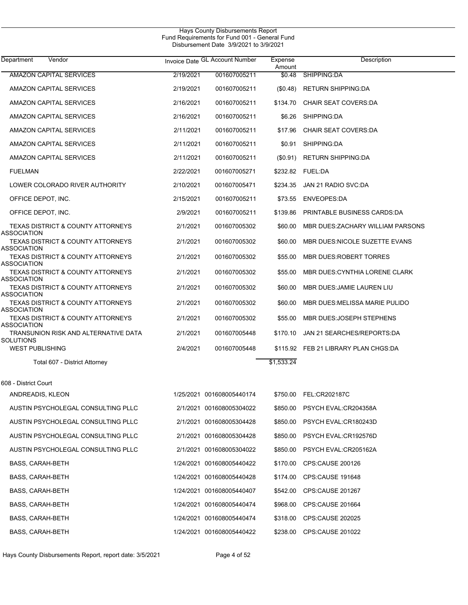$\overline{\phantom{0}}$ 

| Department<br>Vendor                                               |           | Invoice Date GL Account Number | Expense<br>Amount | Description                          |
|--------------------------------------------------------------------|-----------|--------------------------------|-------------------|--------------------------------------|
| <b>AMAZON CAPITAL SERVICES</b>                                     | 2/19/2021 | 001607005211                   | \$0.48            | SHIPPING:DA                          |
| AMAZON CAPITAL SERVICES                                            | 2/19/2021 | 001607005211                   | (\$0.48)          | <b>RETURN SHIPPING:DA</b>            |
| AMAZON CAPITAL SERVICES                                            | 2/16/2021 | 001607005211                   | \$134.70          | <b>CHAIR SEAT COVERS:DA</b>          |
| AMAZON CAPITAL SERVICES                                            | 2/16/2021 | 001607005211                   | \$6.26            | SHIPPING:DA                          |
| AMAZON CAPITAL SERVICES                                            | 2/11/2021 | 001607005211                   | \$17.96           | <b>CHAIR SEAT COVERS:DA</b>          |
| AMAZON CAPITAL SERVICES                                            | 2/11/2021 | 001607005211                   | \$0.91            | SHIPPING:DA                          |
| AMAZON CAPITAL SERVICES                                            | 2/11/2021 | 001607005211                   | $(\$0.91)$        | <b>RETURN SHIPPING:DA</b>            |
| <b>FUELMAN</b>                                                     | 2/22/2021 | 001607005271                   |                   | \$232.82 FUEL:DA                     |
| LOWER COLORADO RIVER AUTHORITY                                     | 2/10/2021 | 001607005471                   | \$234.35          | JAN 21 RADIO SVC:DA                  |
| OFFICE DEPOT, INC.                                                 | 2/15/2021 | 001607005211                   | \$73.55           | <b>ENVEOPES:DA</b>                   |
| OFFICE DEPOT, INC.                                                 | 2/9/2021  | 001607005211                   | \$139.86          | PRINTABLE BUSINESS CARDS DA          |
| <b>TEXAS DISTRICT &amp; COUNTY ATTORNEYS</b><br><b>ASSOCIATION</b> | 2/1/2021  | 001607005302                   | \$60.00           | MBR DUES: ZACHARY WILLIAM PARSONS    |
| <b>TEXAS DISTRICT &amp; COUNTY ATTORNEYS</b><br><b>ASSOCIATION</b> | 2/1/2021  | 001607005302                   | \$60.00           | MBR DUES NICOLE SUZETTE EVANS        |
| <b>TEXAS DISTRICT &amp; COUNTY ATTORNEYS</b><br><b>ASSOCIATION</b> | 2/1/2021  | 001607005302                   | \$55.00           | MBR DUES: ROBERT TORRES              |
| <b>TEXAS DISTRICT &amp; COUNTY ATTORNEYS</b><br><b>ASSOCIATION</b> | 2/1/2021  | 001607005302                   | \$55.00           | MBR DUES: CYNTHIA LORENE CLARK       |
| <b>TEXAS DISTRICT &amp; COUNTY ATTORNEYS</b><br><b>ASSOCIATION</b> | 2/1/2021  | 001607005302                   | \$60.00           | MBR DUES: JAMIE LAUREN LIU           |
| <b>TEXAS DISTRICT &amp; COUNTY ATTORNEYS</b><br><b>ASSOCIATION</b> | 2/1/2021  | 001607005302                   | \$60.00           | MBR DUES: MELISSA MARIE PULIDO       |
| <b>TEXAS DISTRICT &amp; COUNTY ATTORNEYS</b><br><b>ASSOCIATION</b> | 2/1/2021  | 001607005302                   | \$55.00           | MBR DUES: JOSEPH STEPHENS            |
| TRANSUNION RISK AND ALTERNATIVE DATA<br><b>SOLUTIONS</b>           | 2/1/2021  | 001607005448                   | \$170.10          | JAN 21 SEARCHES/REPORTS:DA           |
| <b>WEST PUBLISHING</b>                                             | 2/4/2021  | 001607005448                   |                   | \$115.92 FEB 21 LIBRARY PLAN CHGS:DA |
| Total 607 - District Attorney                                      |           |                                | \$1,533.24        |                                      |
| 608 - District Court                                               |           |                                |                   |                                      |
| ANDREADIS, KLEON                                                   |           | 1/25/2021 001608005440174      |                   | \$750.00 FEL:CR202187C               |
| AUSTIN PSYCHOLEGAL CONSULTING PLLC                                 |           | 2/1/2021 001608005304022       |                   | \$850.00 PSYCH EVAL:CR204358A        |
| AUSTIN PSYCHOLEGAL CONSULTING PLLC                                 |           | 2/1/2021 001608005304428       |                   | \$850.00 PSYCH EVAL:CR180243D        |
| AUSTIN PSYCHOLEGAL CONSULTING PLLC                                 |           | 2/1/2021 001608005304428       |                   | \$850.00 PSYCH EVAL:CR192576D        |
| AUSTIN PSYCHOLEGAL CONSULTING PLLC                                 |           | 2/1/2021 001608005304022       |                   | \$850.00 PSYCH EVAL:CR205162A        |
| BASS, CARAH-BETH                                                   |           | 1/24/2021 001608005440422      |                   | \$170.00 CPS:CAUSE 200126            |
| <b>BASS, CARAH-BETH</b>                                            |           | 1/24/2021 001608005440428      |                   | \$174.00 CPS:CAUSE 191648            |
| BASS, CARAH-BETH                                                   |           | 1/24/2021 001608005440407      |                   | \$542.00 CPS:CAUSE 201267            |
| <b>BASS, CARAH-BETH</b>                                            |           | 1/24/2021 001608005440474      |                   | \$968.00 CPS:CAUSE 201664            |
| <b>BASS, CARAH-BETH</b>                                            |           | 1/24/2021 001608005440474      |                   | \$318.00 CPS:CAUSE 202025            |
| <b>BASS, CARAH-BETH</b>                                            |           | 1/24/2021 001608005440422      |                   | \$238.00 CPS:CAUSE 201022            |
|                                                                    |           |                                |                   |                                      |

Hays County Disbursements Report, report date: 3/5/2021 Page 4 of 52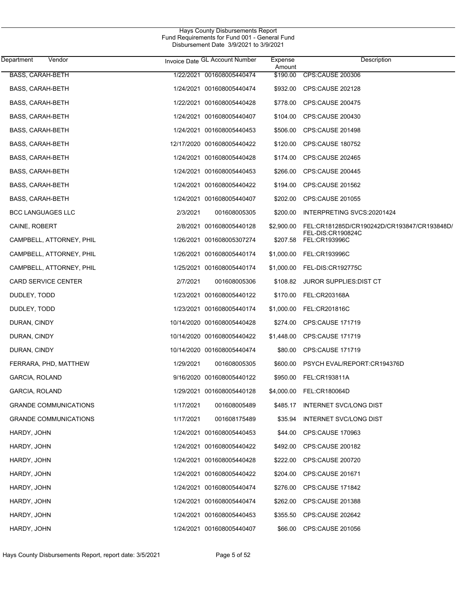| Department<br>Vendor         |           | Invoice Date GL Account Number | Expense<br>Amount | Description                                 |
|------------------------------|-----------|--------------------------------|-------------------|---------------------------------------------|
| <b>BASS, CARAH-BETH</b>      |           | 1/22/2021 001608005440474      | \$190.00          | <b>CPS:CAUSE 200306</b>                     |
| BASS, CARAH-BETH             |           | 1/24/2021 001608005440474      | \$932.00          | CPS:CAUSE 202128                            |
| <b>BASS, CARAH-BETH</b>      |           | 1/22/2021 001608005440428      | \$778.00          | CPS:CAUSE 200475                            |
| <b>BASS, CARAH-BETH</b>      |           | 1/24/2021 001608005440407      | \$104.00          | CPS:CAUSE 200430                            |
| <b>BASS, CARAH-BETH</b>      |           | 1/24/2021 001608005440453      | \$506.00          | CPS:CAUSE 201498                            |
| <b>BASS, CARAH-BETH</b>      |           | 12/17/2020 001608005440422     | \$120.00          | <b>CPS:CAUSE 180752</b>                     |
| <b>BASS, CARAH-BETH</b>      |           | 1/24/2021 001608005440428      | \$174.00          | CPS:CAUSE 202465                            |
| <b>BASS, CARAH-BETH</b>      |           | 1/24/2021 001608005440453      | \$266.00          | CPS:CAUSE 200445                            |
| <b>BASS, CARAH-BETH</b>      |           | 1/24/2021 001608005440422      | \$194.00          | CPS:CAUSE 201562                            |
| <b>BASS, CARAH-BETH</b>      |           | 1/24/2021 001608005440407      | \$202.00          | CPS:CAUSE 201055                            |
| <b>BCC LANGUAGES LLC</b>     | 2/3/2021  | 001608005305                   | \$200.00          | INTERPRETING SVCS:20201424                  |
| CAINE, ROBERT                |           | 2/8/2021 001608005440128       | \$2,900.00        | FEL:CR181285D/CR190242D/CR193847/CR193848D/ |
| CAMPBELL, ATTORNEY, PHIL     |           | 1/26/2021 001608005307274      | \$207.58          | FEL-DIS:CR190824C<br>FEL:CR193996C          |
| CAMPBELL, ATTORNEY, PHIL     |           | 1/26/2021 001608005440174      |                   | \$1,000.00 FEL:CR193996C                    |
| CAMPBELL, ATTORNEY, PHIL     |           | 1/25/2021 001608005440174      |                   | \$1,000.00 FEL-DIS:CR192775C                |
| CARD SERVICE CENTER          | 2/7/2021  | 001608005306                   |                   | \$108.82 JUROR SUPPLIES: DIST CT            |
| DUDLEY, TODD                 |           | 1/23/2021 001608005440122      |                   | \$170.00 FEL:CR203168A                      |
| DUDLEY, TODD                 |           | 1/23/2021 001608005440174      | \$1,000.00        | FEL:CR201816C                               |
| DURAN, CINDY                 |           | 10/14/2020 001608005440428     | \$274.00          | CPS:CAUSE 171719                            |
| DURAN, CINDY                 |           | 10/14/2020 001608005440422     | \$1,448.00        | CPS:CAUSE 171719                            |
| DURAN, CINDY                 |           | 10/14/2020 001608005440474     | \$80.00           | CPS:CAUSE 171719                            |
| FERRARA, PHD, MATTHEW        | 1/29/2021 | 001608005305                   | \$600.00          | PSYCH EVAL/REPORT:CR194376D                 |
| GARCIA, ROLAND               |           | 9/16/2020 001608005440122      | \$950.00          | FEL:CR193811A                               |
| <b>GARCIA, ROLAND</b>        |           | 1/29/2021 001608005440128      | \$4,000.00        | FEL:CR180064D                               |
| <b>GRANDE COMMUNICATIONS</b> | 1/17/2021 | 001608005489                   | \$485.17          | <b>INTERNET SVC/LONG DIST</b>               |
| <b>GRANDE COMMUNICATIONS</b> | 1/17/2021 | 001608175489                   | \$35.94           | <b>INTERNET SVC/LONG DIST</b>               |
| HARDY, JOHN                  |           | 1/24/2021 001608005440453      | \$44.00           | CPS:CAUSE 170963                            |
| HARDY, JOHN                  |           | 1/24/2021 001608005440422      | \$492.00          | CPS:CAUSE 200182                            |
| HARDY, JOHN                  |           | 1/24/2021 001608005440428      | \$222.00          | CPS:CAUSE 200720                            |
| HARDY, JOHN                  |           | 1/24/2021 001608005440422      | \$204.00          | CPS:CAUSE 201671                            |
| HARDY, JOHN                  |           | 1/24/2021 001608005440474      | \$276.00          | CPS:CAUSE 171842                            |
| HARDY, JOHN                  |           | 1/24/2021 001608005440474      | \$262.00          | CPS:CAUSE 201388                            |
| HARDY, JOHN                  |           | 1/24/2021 001608005440453      | \$355.50          | CPS:CAUSE 202642                            |
| HARDY, JOHN                  |           | 1/24/2021 001608005440407      | \$66.00           | CPS:CAUSE 201056                            |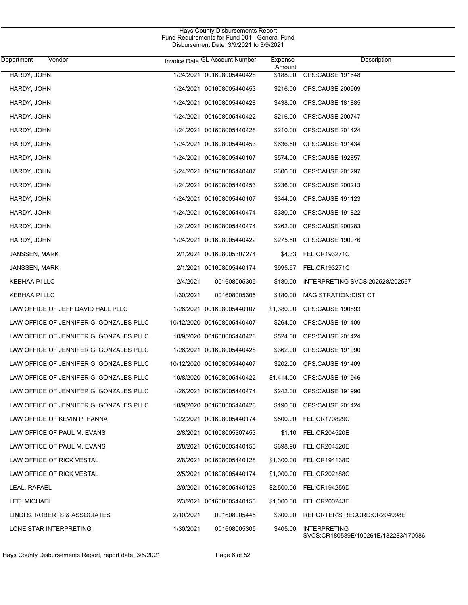| Department           | Vendor                                  |           | Invoice Date GL Account Number | Expense<br>Amount | Description                                                 |
|----------------------|-----------------------------------------|-----------|--------------------------------|-------------------|-------------------------------------------------------------|
| HARDY, JOHN          |                                         |           | 1/24/2021 001608005440428      | \$188.00          | CPS:CAUSE 191648                                            |
| HARDY, JOHN          |                                         |           | 1/24/2021 001608005440453      | \$216.00          | CPS:CAUSE 200969                                            |
| HARDY, JOHN          |                                         |           | 1/24/2021 001608005440428      | \$438.00          | <b>CPS:CAUSE 181885</b>                                     |
| HARDY, JOHN          |                                         |           | 1/24/2021 001608005440422      | \$216.00          | <b>CPS:CAUSE 200747</b>                                     |
| HARDY, JOHN          |                                         |           | 1/24/2021 001608005440428      | \$210.00          | <b>CPS:CAUSE 201424</b>                                     |
| HARDY, JOHN          |                                         |           | 1/24/2021 001608005440453      | \$636.50          | CPS:CAUSE 191434                                            |
| HARDY, JOHN          |                                         |           | 1/24/2021 001608005440107      | \$574.00          | <b>CPS:CAUSE 192857</b>                                     |
| HARDY, JOHN          |                                         |           | 1/24/2021 001608005440407      | \$306.00          | <b>CPS:CAUSE 201297</b>                                     |
| HARDY, JOHN          |                                         |           | 1/24/2021 001608005440453      | \$236.00          | CPS:CAUSE 200213                                            |
| HARDY, JOHN          |                                         |           | 1/24/2021 001608005440107      | \$344.00          | <b>CPS:CAUSE 191123</b>                                     |
| HARDY, JOHN          |                                         |           | 1/24/2021 001608005440474      | \$380.00          | <b>CPS:CAUSE 191822</b>                                     |
| HARDY, JOHN          |                                         |           | 1/24/2021 001608005440474      | \$262.00          | <b>CPS CAUSE 200283</b>                                     |
| HARDY, JOHN          |                                         |           | 1/24/2021 001608005440422      | \$275.50          | <b>CPS:CAUSE 190076</b>                                     |
| <b>JANSSEN, MARK</b> |                                         |           | 2/1/2021 001608005307274       |                   | \$4.33 FEL:CR193271C                                        |
| JANSSEN, MARK        |                                         |           | 2/1/2021 001608005440174       |                   | \$995.67 FEL:CR193271C                                      |
| KEBHAA PI LLC        |                                         | 2/4/2021  | 001608005305                   | \$180.00          | INTERPRETING SVCS:202528/202567                             |
| KEBHAA PI LLC        |                                         | 1/30/2021 | 001608005305                   | \$180.00          | MAGISTRATION: DIST CT                                       |
|                      | LAW OFFICE OF JEFF DAVID HALL PLLC      |           | 1/26/2021 001608005440107      | \$1,380.00        | <b>CPS CAUSE 190893</b>                                     |
|                      | LAW OFFICE OF JENNIFER G. GONZALES PLLC |           | 10/12/2020 001608005440407     | \$264.00          | CPS:CAUSE 191409                                            |
|                      | LAW OFFICE OF JENNIFER G. GONZALES PLLC |           | 10/9/2020 001608005440428      | \$524.00          | CPS:CAUSE 201424                                            |
|                      | LAW OFFICE OF JENNIFER G. GONZALES PLLC |           | 1/26/2021 001608005440428      | \$362.00          | <b>CPS:CAUSE 191990</b>                                     |
|                      | LAW OFFICE OF JENNIFER G. GONZALES PLLC |           | 10/12/2020 001608005440407     | \$202.00          | <b>CPS CAUSE 191409</b>                                     |
|                      | LAW OFFICE OF JENNIFER G. GONZALES PLLC |           | 10/8/2020 001608005440422      | \$1,414.00        | CPS:CAUSE 191946                                            |
|                      | LAW OFFICE OF JENNIFER G. GONZALES PLLC |           | 1/26/2021 001608005440474      | \$242.00          | <b>CPS CAUSE 191990</b>                                     |
|                      | LAW OFFICE OF JENNIFER G. GONZALES PLLC |           | 10/9/2020 001608005440428      |                   | \$190.00 CPS:CAUSE 201424                                   |
|                      | LAW OFFICE OF KEVIN P. HANNA            |           | 1/22/2021 001608005440174      |                   | \$500.00 FEL:CR170829C                                      |
|                      | LAW OFFICE OF PAUL M. EVANS             |           | 2/8/2021 001608005307453       |                   | \$1.10 FEL:CR204520E                                        |
|                      | LAW OFFICE OF PAUL M. EVANS             |           | 2/8/2021 001608005440153       | \$698.90          | FEL:CR204520E                                               |
|                      | LAW OFFICE OF RICK VESTAL               |           | 2/8/2021 001608005440128       |                   | \$1,300.00 FEL:CR194138D                                    |
|                      | LAW OFFICE OF RICK VESTAL               |           | 2/5/2021 001608005440174       | \$1,000.00        | FEL:CR202188C                                               |
| LEAL, RAFAEL         |                                         |           | 2/9/2021 001608005440128       |                   | \$2,500.00 FEL:CR194259D                                    |
| LEE, MICHAEL         |                                         |           | 2/3/2021 001608005440153       | \$1,000.00        | FEL:CR200243E                                               |
|                      | LINDI S. ROBERTS & ASSOCIATES           | 2/10/2021 | 001608005445                   | \$300.00          | REPORTER'S RECORD:CR204998E                                 |
|                      | LONE STAR INTERPRETING                  | 1/30/2021 | 001608005305                   | \$405.00          | <b>INTERPRETING</b><br>SVCS:CR180589E/190261E/132283/170986 |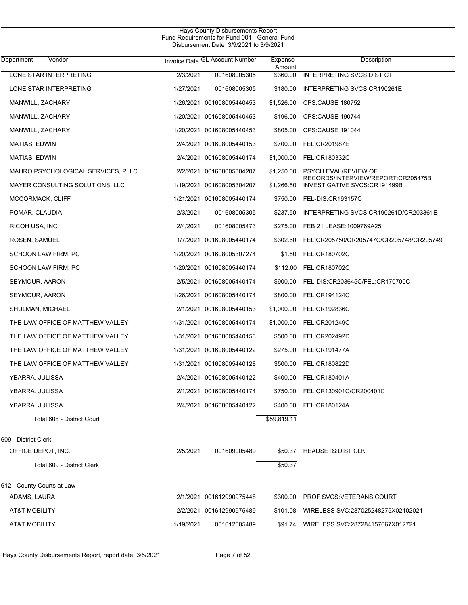| Department<br>Vendor               |           | Invoice Date GL Account Number | Expense<br>Amount | Description                                                        |
|------------------------------------|-----------|--------------------------------|-------------------|--------------------------------------------------------------------|
| LONE STAR INTERPRETING             | 2/3/2021  | 001608005305                   | \$360.00          | <b>INTERPRETING SVCS: DIST CT</b>                                  |
| LONE STAR INTERPRETING             | 1/27/2021 | 001608005305                   | \$180.00          | INTERPRETING SVCS:CR190261E                                        |
| MANWILL, ZACHARY                   |           | 1/26/2021 001608005440453      | \$1,526.00        | <b>CPS:CAUSE 180752</b>                                            |
| MANWILL, ZACHARY                   |           | 1/20/2021 001608005440453      | \$196.00          | CPS:CAUSE 190744                                                   |
| MANWILL, ZACHARY                   |           | 1/20/2021 001608005440453      | \$805.00          | CPS:CAUSE 191044                                                   |
| MATIAS, EDWIN                      |           | 2/4/2021 001608005440153       | \$700.00          | FEL:CR201987E                                                      |
| MATIAS, EDWIN                      |           | 2/4/2021 001608005440174       | \$1,000.00        | FEL:CR180332C                                                      |
| MAURO PSYCHOLOGICAL SERVICES, PLLC |           | 2/2/2021 001608005304207       | \$1,250.00        | <b>PSYCH EVAL/REVIEW OF</b>                                        |
| MAYER CONSULTING SOLUTIONS, LLC    |           | 1/19/2021 001608005304207      | \$1,266.50        | RECORDS/INTERVIEW/REPORT:CR205475B<br>INVESTIGATIVE SVCS:CR191499B |
| MCCORMACK, CLIFF                   |           | 1/21/2021 001608005440174      | \$750.00          | FEL-DIS:CR193157C                                                  |
| POMAR, CLAUDIA                     | 2/3/2021  | 001608005305                   | \$237.50          | INTERPRETING SVCS:CR190261D/CR203361E                              |
| RICOH USA, INC.                    | 2/4/2021  | 001608005473                   | \$275.00          | FEB 21 LEASE: 1009769A25                                           |
| ROSEN, SAMUEL                      |           | 1/7/2021 001608005440174       | \$302.60          | FEL:CR205750/CR205747C/CR205748/CR205749                           |
| SCHOON LAW FIRM, PC                |           | 1/20/2021 001608005307274      | \$1.50            | FEL:CR180702C                                                      |
| SCHOON LAW FIRM, PC                |           | 1/20/2021 001608005440174      | \$112.00          | FEL:CR180702C                                                      |
| SEYMOUR, AARON                     |           | 2/5/2021 001608005440174       | \$900.00          | FEL-DIS:CR203645C/FEL:CR170700C                                    |
| SEYMOUR, AARON                     |           | 1/26/2021 001608005440174      | \$800.00          | FEL:CR194124C                                                      |
| SHULMAN, MICHAEL                   |           | 2/1/2021 001608005440153       | \$1,000.00        | FEL:CR192836C                                                      |
| THE LAW OFFICE OF MATTHEW VALLEY   |           | 1/31/2021 001608005440174      | \$1,000.00        | FEL:CR201249C                                                      |
| THE LAW OFFICE OF MATTHEW VALLEY   |           | 1/31/2021 001608005440153      | \$500.00          | FEL:CR202492D                                                      |
| THE LAW OFFICE OF MATTHEW VALLEY   |           | 1/31/2021 001608005440122      | \$275.00          | <b>FEL:CR191477A</b>                                               |
| THE LAW OFFICE OF MATTHEW VALLEY   |           | 1/31/2021 001608005440128      | \$500.00          | FEL:CR180822D                                                      |
| YBARRA, JULISSA                    |           | 2/4/2021 001608005440122       | \$400.00          | FEL:CR180401A                                                      |
| YBARRA, JULISSA                    |           | 2/1/2021 001608005440174       |                   | \$750.00 FEL:CR130901C/CR200401C                                   |
| YBARRA, JULISSA                    |           | 2/4/2021 001608005440122       |                   | \$400.00 FEL:CR180124A                                             |
| Total 608 - District Court         |           |                                | \$59,819.11       |                                                                    |
| 609 - District Clerk               |           |                                |                   |                                                                    |
| OFFICE DEPOT, INC.                 | 2/5/2021  | 001609005489                   |                   | \$50.37 HEADSETS: DIST CLK                                         |
| Total 609 - District Clerk         |           |                                | \$50.37           |                                                                    |
|                                    |           |                                |                   |                                                                    |
| 612 - County Courts at Law         |           |                                |                   |                                                                    |
| ADAMS, LAURA                       |           | 2/1/2021 001612990975448       | \$300.00          | <b>PROF SVCS: VETERANS COURT</b>                                   |
| <b>AT&amp;T MOBILITY</b>           |           | 2/2/2021 001612990975489       | \$101.08          | WIRELESS SVC:287025248275X02102021                                 |
| <b>AT&amp;T MOBILITY</b>           | 1/19/2021 | 001612005489                   |                   | \$91.74 WIRELESS SVC:287284157667X012721                           |
|                                    |           |                                |                   |                                                                    |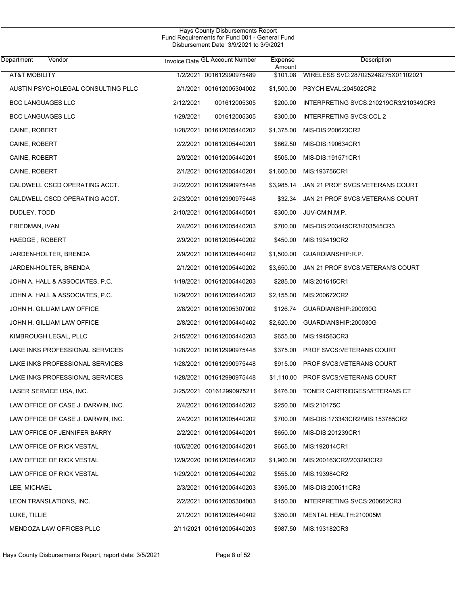| Department<br>Vendor               |           | Invoice Date GL Account Number | Expense<br>Amount | Description                           |
|------------------------------------|-----------|--------------------------------|-------------------|---------------------------------------|
| <b>AT&amp;T MOBILITY</b>           |           | 1/2/2021 001612990975489       | \$101.08          | WIRELESS SVC:287025248275X01102021    |
| AUSTIN PSYCHOLEGAL CONSULTING PLLC |           | 2/1/2021 001612005304002       | \$1,500.00        | PSYCH EVAL:204502CR2                  |
| <b>BCC LANGUAGES LLC</b>           | 2/12/2021 | 001612005305                   | \$200.00          | INTERPRETING SVCS:210219CR3/210349CR3 |
| <b>BCC LANGUAGES LLC</b>           | 1/29/2021 | 001612005305                   | \$300.00          | INTERPRETING SVCS:CCL 2               |
| CAINE, ROBERT                      |           | 1/28/2021 001612005440202      | \$1,375.00        | MIS-DIS:200623CR2                     |
| CAINE, ROBERT                      |           | 2/2/2021 001612005440201       | \$862.50          | MIS-DIS:190634CR1                     |
| CAINE, ROBERT                      |           | 2/9/2021 001612005440201       | \$505.00          | MIS-DIS:191571CR1                     |
| CAINE, ROBERT                      |           | 2/1/2021 001612005440201       | \$1,600.00        | MIS:193756CR1                         |
| CALDWELL CSCD OPERATING ACCT.      |           | 2/22/2021 001612990975448      | \$3,985.14        | JAN 21 PROF SVCS: VETERANS COURT      |
| CALDWELL CSCD OPERATING ACCT.      |           | 2/23/2021 001612990975448      | \$32.34           | JAN 21 PROF SVCS: VETERANS COURT      |
| DUDLEY, TODD                       |           | 2/10/2021 001612005440501      | \$300.00          | JUV-CM:N.M.P.                         |
| FRIEDMAN, IVAN                     |           | 2/4/2021 001612005440203       | \$700.00          | MIS-DIS:203445CR3/203545CR3           |
| HAEDGE, ROBERT                     |           | 2/9/2021 001612005440202       | \$450.00          | MIS:193419CR2                         |
| JARDEN-HOLTER, BRENDA              |           | 2/9/2021 001612005440402       | \$1,500.00        | GUARDIANSHIP:R.P.                     |
| JARDEN-HOLTER, BRENDA              |           | 2/1/2021 001612005440202       | \$3,650.00        | JAN 21 PROF SVCS.VETERAN'S COURT      |
| JOHN A. HALL & ASSOCIATES, P.C.    |           | 1/19/2021 001612005440203      | \$285.00          | MIS:201615CR1                         |
| JOHN A. HALL & ASSOCIATES, P.C.    |           | 1/29/2021 001612005440202      | \$2,155.00        | MIS:200672CR2                         |
| JOHN H. GILLIAM LAW OFFICE         |           | 2/8/2021 001612005307002       | \$126.74          | GUARDIANSHIP:200030G                  |
| JOHN H. GILLIAM LAW OFFICE         |           | 2/8/2021 001612005440402       | \$2,620.00        | GUARDIANSHIP:200030G                  |
| KIMBROUGH LEGAL, PLLC              |           | 2/15/2021 001612005440203      | \$655.00          | MIS:194563CR3                         |
| LAKE INKS PROFESSIONAL SERVICES    |           | 1/28/2021 001612990975448      | \$375.00          | PROF SVCS: VETERANS COURT             |
| LAKE INKS PROFESSIONAL SERVICES    |           | 1/28/2021 001612990975448      | \$915.00          | PROF SVCS: VETERANS COURT             |
| LAKE INKS PROFESSIONAL SERVICES    |           | 1/28/2021 001612990975448      | \$1,110.00        | <b>PROF SVCS:VETERANS COURT</b>       |
| LASER SERVICE USA, INC.            |           | 2/25/2021 001612990975211      | \$476.00          | TONER CARTRIDGES: VETERANS CT         |
| LAW OFFICE OF CASE J. DARWIN, INC. |           | 2/4/2021 001612005440202       | \$250.00          | MIS:210175C                           |
| LAW OFFICE OF CASE J. DARWIN, INC. |           | 2/4/2021 001612005440202       | \$700.00          | MIS-DIS:173343CR2/MIS:153785CR2       |
| LAW OFFICE OF JENNIFER BARRY       |           | 2/2/2021 001612005440201       | \$650.00          | MIS-DIS:201239CR1                     |
| LAW OFFICE OF RICK VESTAL          |           | 10/6/2020 001612005440201      | \$665.00          | MIS:192014CR1                         |
| LAW OFFICE OF RICK VESTAL          |           | 12/9/2020 001612005440202      | \$1,900.00        | MIS:200163CR2/203293CR2               |
| LAW OFFICE OF RICK VESTAL          |           | 1/29/2021 001612005440202      | \$555.00          | MIS:193984CR2                         |
| LEE, MICHAEL                       |           | 2/3/2021 001612005440203       | \$395.00          | MIS-DIS:200511CR3                     |
| LEON TRANSLATIONS, INC.            |           | 2/2/2021 001612005304003       | \$150.00          | INTERPRETING SVCS:200662CR3           |
| LUKE, TILLIE                       |           | 2/1/2021 001612005440402       | \$350.00          | MENTAL HEALTH:210005M                 |
| <b>MENDOZA LAW OFFICES PLLC</b>    |           | 2/11/2021 001612005440203      | \$987.50          | MIS:193182CR3                         |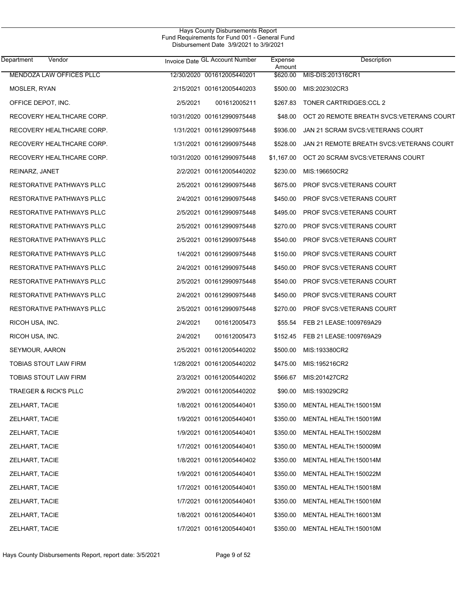| Department<br>Vendor             |          | Invoice Date GL Account Number | Expense<br>Amount | Description                               |
|----------------------------------|----------|--------------------------------|-------------------|-------------------------------------------|
| <b>MENDOZA LAW OFFICES PLLC</b>  |          | 12/30/2020 001612005440201     | \$620.00          | MIS-DIS:201316CR1                         |
| MOSLER, RYAN                     |          | 2/15/2021 001612005440203      | \$500.00          | MIS:202302CR3                             |
| OFFICE DEPOT, INC.               | 2/5/2021 | 001612005211                   | \$267.83          | <b>TONER CARTRIDGES:CCL 2</b>             |
| RECOVERY HEALTHCARE CORP.        |          | 10/31/2020 001612990975448     | \$48.00           | OCT 20 REMOTE BREATH SVCS: VETERANS COURT |
| RECOVERY HEALTHCARE CORP.        |          | 1/31/2021 001612990975448      | \$936.00          | JAN 21 SCRAM SVCS:VETERANS COURT          |
| RECOVERY HEALTHCARE CORP.        |          | 1/31/2021 001612990975448      | \$528.00          | JAN 21 REMOTE BREATH SVCS: VETERANS COURT |
| RECOVERY HEALTHCARE CORP.        |          | 10/31/2020 001612990975448     | \$1,167.00        | OCT 20 SCRAM SVCS: VETERANS COURT         |
| REINARZ, JANET                   |          | 2/2/2021 001612005440202       | \$230.00          | MIS:196650CR2                             |
| RESTORATIVE PATHWAYS PLLC        |          | 2/5/2021 001612990975448       | \$675.00          | <b>PROF SVCS VETERANS COURT</b>           |
| RESTORATIVE PATHWAYS PLLC        |          | 2/4/2021 001612990975448       | \$450.00          | <b>PROF SVCS: VETERANS COURT</b>          |
| RESTORATIVE PATHWAYS PLLC        |          | 2/5/2021 001612990975448       | \$495.00          | <b>PROF SVCS: VETERANS COURT</b>          |
| RESTORATIVE PATHWAYS PLLC        |          | 2/5/2021 001612990975448       | \$270.00          | <b>PROF SVCS VETERANS COURT</b>           |
| RESTORATIVE PATHWAYS PLLC        |          | 2/5/2021 001612990975448       | \$540.00          | <b>PROF SVCS: VETERANS COURT</b>          |
| RESTORATIVE PATHWAYS PLLC        |          | 1/4/2021 001612990975448       | \$150.00          | <b>PROF SVCS: VETERANS COURT</b>          |
| RESTORATIVE PATHWAYS PLLC        |          | 2/4/2021 001612990975448       | \$450.00          | <b>PROF SVCS: VETERANS COURT</b>          |
| RESTORATIVE PATHWAYS PLLC        |          | 2/5/2021 001612990975448       | \$540.00          | <b>PROF SVCS: VETERANS COURT</b>          |
| RESTORATIVE PATHWAYS PLLC        |          | 2/4/2021 001612990975448       | \$450.00          | <b>PROF SVCS: VETERANS COURT</b>          |
| RESTORATIVE PATHWAYS PLLC        |          | 2/5/2021 001612990975448       | \$270.00          | <b>PROF SVCS: VETERANS COURT</b>          |
| RICOH USA, INC.                  | 2/4/2021 | 001612005473                   | \$55.54           | FEB 21 LEASE: 1009769A29                  |
| RICOH USA, INC.                  | 2/4/2021 | 001612005473                   | \$152.45          | FEB 21 LEASE: 1009769A29                  |
| SEYMOUR, AARON                   |          | 2/5/2021 001612005440202       | \$500.00          | MIS:193380CR2                             |
| TOBIAS STOUT LAW FIRM            |          | 1/28/2021 001612005440202      | \$475.00          | MIS:195216CR2                             |
| <b>TOBIAS STOUT LAW FIRM</b>     |          | 2/3/2021 001612005440202       | \$566.67          | MIS:201427CR2                             |
| <b>TRAEGER &amp; RICK'S PLLC</b> |          | 2/9/2021 001612005440202       | \$90.00           | MIS:193029CR2                             |
| ZELHART, TACIE                   |          | 1/8/2021 001612005440401       | \$350.00          | MENTAL HEALTH:150015M                     |
| ZELHART, TACIE                   |          | 1/9/2021 001612005440401       | \$350.00          | MENTAL HEALTH:150019M                     |
| ZELHART, TACIE                   |          | 1/9/2021 001612005440401       | \$350.00          | MENTAL HEALTH:150028M                     |
| ZELHART, TACIE                   |          | 1/7/2021 001612005440401       | \$350.00          | MENTAL HEALTH:150009M                     |
| ZELHART, TACIE                   |          | 1/8/2021 001612005440402       | \$350.00          | MENTAL HEALTH:150014M                     |
| <b>ZELHART, TACIE</b>            |          | 1/9/2021 001612005440401       | \$350.00          | MENTAL HEALTH:150022M                     |
| ZELHART, TACIE                   |          | 1/7/2021 001612005440401       | \$350.00          | MENTAL HEALTH:150018M                     |
| ZELHART, TACIE                   |          | 1/7/2021 001612005440401       | \$350.00          | MENTAL HEALTH:150016M                     |
| ZELHART, TACIE                   |          | 1/8/2021 001612005440401       | \$350.00          | MENTAL HEALTH:160013M                     |
| ZELHART, TACIE                   |          | 1/7/2021 001612005440401       | \$350.00          | MENTAL HEALTH:150010M                     |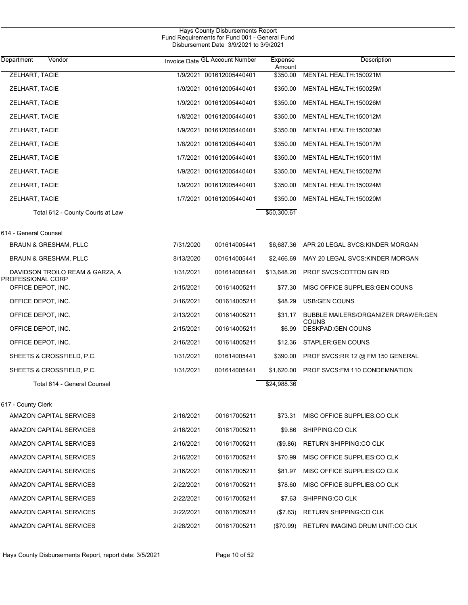| Department<br>Vendor                                 |           | Invoice Date GL Account Number | Expense<br>Amount | Description                                  |
|------------------------------------------------------|-----------|--------------------------------|-------------------|----------------------------------------------|
| ZELHART, TACIE                                       |           | 1/9/2021 001612005440401       | \$350.00          | MENTAL HEALTH: 150021M                       |
| ZELHART, TACIE                                       |           | 1/9/2021 001612005440401       | \$350.00          | MENTAL HEALTH:150025M                        |
| ZELHART, TACIE                                       |           | 1/9/2021 001612005440401       | \$350.00          | MENTAL HEALTH:150026M                        |
| <b>ZELHART, TACIE</b>                                |           | 1/8/2021 001612005440401       | \$350.00          | MENTAL HEALTH:150012M                        |
| ZELHART, TACIE                                       |           | 1/9/2021 001612005440401       | \$350.00          | MENTAL HEALTH:150023M                        |
| ZELHART, TACIE                                       |           | 1/8/2021 001612005440401       | \$350.00          | MENTAL HEALTH:150017M                        |
| ZELHART, TACIE                                       |           | 1/7/2021 001612005440401       | \$350.00          | MENTAL HEALTH:150011M                        |
| ZELHART, TACIE                                       |           | 1/9/2021 001612005440401       | \$350.00          | MENTAL HEALTH:150027M                        |
| ZELHART, TACIE                                       |           | 1/9/2021 001612005440401       | \$350.00          | MENTAL HEALTH:150024M                        |
| <b>ZELHART, TACIE</b>                                |           | 1/7/2021 001612005440401       | \$350.00          | MENTAL HEALTH:150020M                        |
| Total 612 - County Courts at Law                     |           |                                | \$50,300.61       |                                              |
| 614 - General Counsel                                |           |                                |                   |                                              |
| BRAUN & GRESHAM, PLLC                                | 7/31/2020 | 001614005441                   | \$6,687.36        | APR 20 LEGAL SVCS: KINDER MORGAN             |
| <b>BRAUN &amp; GRESHAM, PLLC</b>                     | 8/13/2020 | 001614005441                   | \$2,466.69        | MAY 20 LEGAL SVCS: KINDER MORGAN             |
| DAVIDSON TROILO REAM & GARZA, A<br>PROFESSIONAL CORP | 1/31/2021 | 001614005441                   | \$13,648.20       | PROF SVCS:COTTON GIN RD                      |
| OFFICE DEPOT, INC.                                   | 2/15/2021 | 001614005211                   | \$77.30           | MISC OFFICE SUPPLIES: GEN COUNS              |
| OFFICE DEPOT, INC.                                   | 2/16/2021 | 001614005211                   | \$48.29           | USB:GEN COUNS                                |
| OFFICE DEPOT, INC.                                   | 2/13/2021 | 001614005211                   | \$31.17           | BUBBLE MAILERS/ORGANIZER DRAWER:GEN<br>COUNS |
| OFFICE DEPOT, INC.                                   | 2/15/2021 | 001614005211                   | \$6.99            | DESKPAD: GEN COUNS                           |
| OFFICE DEPOT, INC.                                   | 2/16/2021 | 001614005211                   | \$12.36           | STAPLER: GEN COUNS                           |
| SHEETS & CROSSFIELD, P.C.                            | 1/31/2021 | 001614005441                   | \$390.00          | PROF SVCS:RR 12 @ FM 150 GENERAL             |
| SHEETS & CROSSFIELD, P.C.                            | 1/31/2021 | 001614005441                   | \$1,620.00        | PROF SVCS: FM 110 CONDEMNATION               |
| Total 614 - General Counsel                          |           |                                | \$24,988.36       |                                              |
| 617 - County Clerk                                   |           |                                |                   |                                              |
| AMAZON CAPITAL SERVICES                              | 2/16/2021 | 001617005211                   | \$73.31           | MISC OFFICE SUPPLIES:CO CLK                  |
| AMAZON CAPITAL SERVICES                              | 2/16/2021 | 001617005211                   | \$9.86            | SHIPPING:CO CLK                              |
| AMAZON CAPITAL SERVICES                              | 2/16/2021 | 001617005211                   | (\$9.86)          | <b>RETURN SHIPPING:CO CLK</b>                |
| AMAZON CAPITAL SERVICES                              | 2/16/2021 | 001617005211                   | \$70.99           | MISC OFFICE SUPPLIES:CO CLK                  |
| AMAZON CAPITAL SERVICES                              | 2/16/2021 | 001617005211                   | \$81.97           | MISC OFFICE SUPPLIES:CO CLK                  |
| AMAZON CAPITAL SERVICES                              | 2/22/2021 | 001617005211                   | \$78.60           | MISC OFFICE SUPPLIES:CO CLK                  |
| AMAZON CAPITAL SERVICES                              | 2/22/2021 | 001617005211                   | \$7.63            | SHIPPING:CO CLK                              |
| AMAZON CAPITAL SERVICES                              | 2/22/2021 | 001617005211                   | (\$7.63)          | <b>RETURN SHIPPING:CO CLK</b>                |
| AMAZON CAPITAL SERVICES                              | 2/28/2021 | 001617005211                   | $(\$70.99)$       | RETURN IMAGING DRUM UNIT:CO CLK              |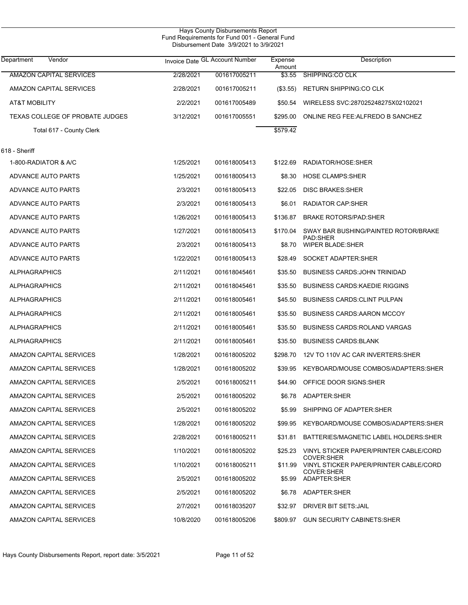| Department<br>Vendor            |           | Invoice Date GL Account Number | Expense<br>Amount | Description                                                 |
|---------------------------------|-----------|--------------------------------|-------------------|-------------------------------------------------------------|
| <b>AMAZON CAPITAL SERVICES</b>  | 2/28/2021 | 001617005211                   | \$3.55            | SHIPPING:CO CLK                                             |
| AMAZON CAPITAL SERVICES         | 2/28/2021 | 001617005211                   | (\$3.55)          | RETURN SHIPPING:CO CLK                                      |
| AT&T MOBILITY                   | 2/2/2021  | 001617005489                   | \$50.54           | WIRELESS SVC:287025248275X02102021                          |
| TEXAS COLLEGE OF PROBATE JUDGES | 3/12/2021 | 001617005551                   | \$295.00          | ONLINE REG FEE: ALFREDO B SANCHEZ                           |
| Total 617 - County Clerk        |           |                                | \$579.42          |                                                             |
| 618 - Sheriff                   |           |                                |                   |                                                             |
| 1-800-RADIATOR & A/C            | 1/25/2021 | 001618005413                   | \$122.69          | RADIATOR/HOSE:SHER                                          |
| ADVANCE AUTO PARTS              | 1/25/2021 | 001618005413                   | \$8.30            | <b>HOSE CLAMPS:SHER</b>                                     |
| ADVANCE AUTO PARTS              | 2/3/2021  | 001618005413                   | \$22.05           | <b>DISC BRAKES:SHER</b>                                     |
| ADVANCE AUTO PARTS              | 2/3/2021  | 001618005413                   | \$6.01            | <b>RADIATOR CAP:SHER</b>                                    |
| ADVANCE AUTO PARTS              | 1/26/2021 | 001618005413                   | \$136.87          | <b>BRAKE ROTORS/PAD:SHER</b>                                |
| ADVANCE AUTO PARTS              | 1/27/2021 | 001618005413                   | \$170.04          | SWAY BAR BUSHING/PAINTED ROTOR/BRAKE                        |
| ADVANCE AUTO PARTS              | 2/3/2021  | 001618005413                   | \$8.70            | PAD:SHER<br><b>WIPER BLADE:SHER</b>                         |
| ADVANCE AUTO PARTS              | 1/22/2021 | 001618005413                   | \$28.49           | SOCKET ADAPTER: SHER                                        |
| <b>ALPHAGRAPHICS</b>            | 2/11/2021 | 001618045461                   | \$35.50           | <b>BUSINESS CARDS: JOHN TRINIDAD</b>                        |
| <b>ALPHAGRAPHICS</b>            | 2/11/2021 | 001618045461                   | \$35.50           | <b>BUSINESS CARDS: KAEDIE RIGGINS</b>                       |
| <b>ALPHAGRAPHICS</b>            | 2/11/2021 | 001618005461                   | \$45.50           | <b>BUSINESS CARDS CLINT PULPAN</b>                          |
| <b>ALPHAGRAPHICS</b>            | 2/11/2021 | 001618005461                   | \$35.50           | <b>BUSINESS CARDS: AARON MCCOY</b>                          |
| <b>ALPHAGRAPHICS</b>            | 2/11/2021 | 001618005461                   | \$35.50           | <b>BUSINESS CARDS: ROLAND VARGAS</b>                        |
| <b>ALPHAGRAPHICS</b>            | 2/11/2021 | 001618005461                   | \$35.50           | <b>BUSINESS CARDS: BLANK</b>                                |
| AMAZON CAPITAL SERVICES         | 1/28/2021 | 001618005202                   | \$298.70          | 12V TO 110V AC CAR INVERTERS: SHER                          |
| AMAZON CAPITAL SERVICES         | 1/28/2021 | 001618005202                   | \$39.95           | KEYBOARD/MOUSE COMBOS/ADAPTERS:SHER                         |
| AMAZON CAPITAL SERVICES         | 2/5/2021  | 001618005211                   | \$44.90           | OFFICE DOOR SIGNS: SHER                                     |
| AMAZON CAPITAL SERVICES         | 2/5/2021  | 001618005202                   |                   | \$6.78 ADAPTER:SHER                                         |
| AMAZON CAPITAL SERVICES         | 2/5/2021  | 001618005202                   | \$5.99            | SHIPPING OF ADAPTER:SHER                                    |
| AMAZON CAPITAL SERVICES         | 1/28/2021 | 001618005202                   | \$99.95           | KEYBOARD/MOUSE COMBOS/ADAPTERS:SHER                         |
| AMAZON CAPITAL SERVICES         | 2/28/2021 | 001618005211                   | \$31.81           | BATTERIES/MAGNETIC LABEL HOLDERS: SHER                      |
| AMAZON CAPITAL SERVICES         | 1/10/2021 | 001618005202                   | \$25.23           | VINYL STICKER PAPER/PRINTER CABLE/CORD                      |
| AMAZON CAPITAL SERVICES         | 1/10/2021 | 001618005211                   | \$11.99           | <b>COVER:SHER</b><br>VINYL STICKER PAPER/PRINTER CABLE/CORD |
| AMAZON CAPITAL SERVICES         | 2/5/2021  | 001618005202                   | \$5.99            | <b>COVER:SHER</b><br>ADAPTER:SHER                           |
| AMAZON CAPITAL SERVICES         | 2/5/2021  | 001618005202                   | \$6.78            | ADAPTER: SHER                                               |
| AMAZON CAPITAL SERVICES         | 2/7/2021  | 001618035207                   | \$32.97           | DRIVER BIT SETS: JAIL                                       |
| AMAZON CAPITAL SERVICES         | 10/8/2020 | 001618005206                   | \$809.97          | <b>GUN SECURITY CABINETS: SHER</b>                          |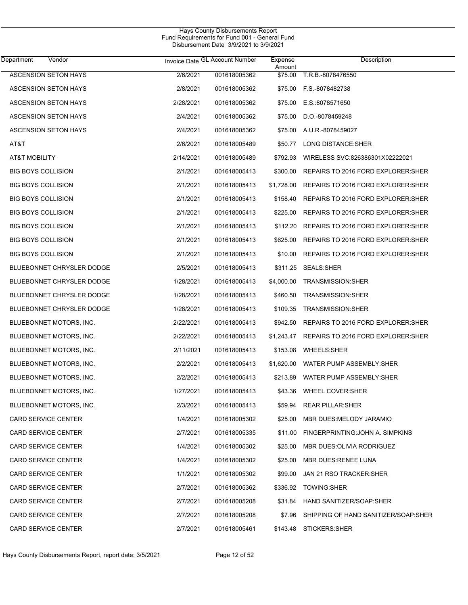| Department<br>Vendor             |           | Invoice Date GL Account Number | Expense<br>Amount | Description                          |
|----------------------------------|-----------|--------------------------------|-------------------|--------------------------------------|
| <b>ASCENSION SETON HAYS</b>      | 2/6/2021  | 001618005362                   | \$75.00           | T.R.B.-8078476550                    |
| <b>ASCENSION SETON HAYS</b>      | 2/8/2021  | 001618005362                   |                   | \$75.00 F.S.-8078482738              |
| <b>ASCENSION SETON HAYS</b>      | 2/28/2021 | 001618005362                   | \$75.00           | E.S.:8078571650                      |
| <b>ASCENSION SETON HAYS</b>      | 2/4/2021  | 001618005362                   | \$75.00           | D.O.-8078459248                      |
| ASCENSION SETON HAYS             | 2/4/2021  | 001618005362                   | \$75.00           | A.U.R.-8078459027                    |
| AT&T                             | 2/6/2021  | 001618005489                   | \$50.77           | LONG DISTANCE: SHER                  |
| AT&T MOBILITY                    | 2/14/2021 | 001618005489                   | \$792.93          | WIRELESS SVC:826386301X02222021      |
| <b>BIG BOYS COLLISION</b>        | 2/1/2021  | 001618005413                   | \$300.00          | REPAIRS TO 2016 FORD EXPLORER: SHER  |
| <b>BIG BOYS COLLISION</b>        | 2/1/2021  | 001618005413                   | \$1,728.00        | REPAIRS TO 2016 FORD EXPLORER: SHER  |
| <b>BIG BOYS COLLISION</b>        | 2/1/2021  | 001618005413                   | \$158.40          | REPAIRS TO 2016 FORD EXPLORER: SHER  |
| <b>BIG BOYS COLLISION</b>        | 2/1/2021  | 001618005413                   | \$225.00          | REPAIRS TO 2016 FORD EXPLORER: SHER  |
| <b>BIG BOYS COLLISION</b>        | 2/1/2021  | 001618005413                   | \$112.20          | REPAIRS TO 2016 FORD EXPLORER: SHER  |
| <b>BIG BOYS COLLISION</b>        | 2/1/2021  | 001618005413                   | \$625.00          | REPAIRS TO 2016 FORD EXPLORER: SHER  |
| <b>BIG BOYS COLLISION</b>        | 2/1/2021  | 001618005413                   | \$10.00           | REPAIRS TO 2016 FORD EXPLORER: SHER  |
| <b>BLUEBONNET CHRYSLER DODGE</b> | 2/5/2021  | 001618005413                   | \$311.25          | <b>SEALS:SHER</b>                    |
| <b>BLUEBONNET CHRYSLER DODGE</b> | 1/28/2021 | 001618005413                   | \$4,000.00        | TRANSMISSION:SHER                    |
| <b>BLUEBONNET CHRYSLER DODGE</b> | 1/28/2021 | 001618005413                   | \$460.50          | TRANSMISSION: SHER                   |
| <b>BLUEBONNET CHRYSLER DODGE</b> | 1/28/2021 | 001618005413                   | \$109.35          | TRANSMISSION: SHER                   |
| BLUEBONNET MOTORS, INC.          | 2/22/2021 | 001618005413                   | \$942.50          | REPAIRS TO 2016 FORD EXPLORER: SHER  |
| BLUEBONNET MOTORS, INC.          | 2/22/2021 | 001618005413                   | \$1,243.47        | REPAIRS TO 2016 FORD EXPLORER: SHER  |
| BLUEBONNET MOTORS, INC.          | 2/11/2021 | 001618005413                   | \$153.08          | <b>WHEELS:SHER</b>                   |
| BLUEBONNET MOTORS, INC.          | 2/2/2021  | 001618005413                   | \$1,620.00        | WATER PUMP ASSEMBLY:SHER             |
| BLUEBONNET MOTORS, INC.          | 2/2/2021  | 001618005413                   | \$213.89          | WATER PUMP ASSEMBLY:SHER             |
| BLUEBONNET MOTORS, INC.          | 1/27/2021 | 001618005413                   | \$43.36           | <b>WHEEL COVER:SHER</b>              |
| BLUEBONNET MOTORS, INC.          | 2/3/2021  | 001618005413                   | \$59.94           | <b>REAR PILLAR:SHER</b>              |
| <b>CARD SERVICE CENTER</b>       | 1/4/2021  | 001618005302                   | \$25.00           | MBR DUES: MELODY JARAMIO             |
| <b>CARD SERVICE CENTER</b>       | 2/7/2021  | 001618005335                   | \$11.00           | FINGERPRINTING: JOHN A. SIMPKINS     |
| <b>CARD SERVICE CENTER</b>       | 1/4/2021  | 001618005302                   | \$25.00           | MBR DUES: OLIVIA RODRIGUEZ           |
| <b>CARD SERVICE CENTER</b>       | 1/4/2021  | 001618005302                   | \$25.00           | MBR DUES:RENEE LUNA                  |
| <b>CARD SERVICE CENTER</b>       | 1/1/2021  | 001618005302                   | \$99.00           | JAN 21 RSO TRACKER: SHER             |
| <b>CARD SERVICE CENTER</b>       | 2/7/2021  | 001618005362                   | \$336.92          | <b>TOWING:SHER</b>                   |
| <b>CARD SERVICE CENTER</b>       | 2/7/2021  | 001618005208                   | \$31.84           | HAND SANITIZER/SOAP:SHER             |
| <b>CARD SERVICE CENTER</b>       | 2/7/2021  | 001618005208                   | \$7.96            | SHIPPING OF HAND SANITIZER/SOAP:SHER |
| <b>CARD SERVICE CENTER</b>       | 2/7/2021  | 001618005461                   | \$143.48          | <b>STICKERS:SHER</b>                 |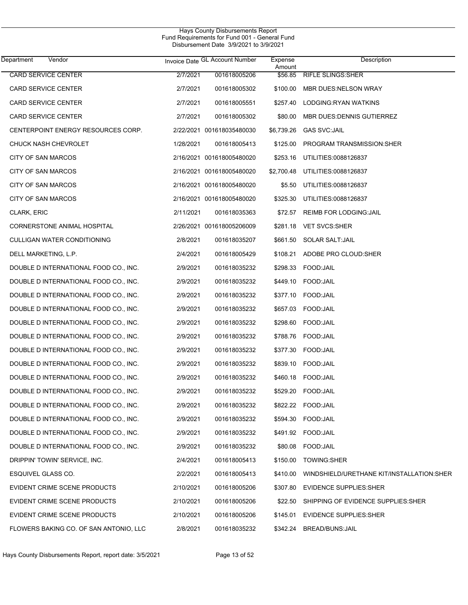| Department<br>Vendor                   |           | Invoice Date GL Account Number | Expense<br>Amount | Description                               |
|----------------------------------------|-----------|--------------------------------|-------------------|-------------------------------------------|
| <b>CARD SERVICE CENTER</b>             | 2/7/2021  | 001618005206                   | \$56.85           | <b>RIFLE SLINGS:SHER</b>                  |
| <b>CARD SERVICE CENTER</b>             | 2/7/2021  | 001618005302                   | \$100.00          | MBR DUES:NELSON WRAY                      |
| <b>CARD SERVICE CENTER</b>             | 2/7/2021  | 001618005551                   | \$257.40          | LODGING: RYAN WATKINS                     |
| CARD SERVICE CENTER                    | 2/7/2021  | 001618005302                   | \$80.00           | MBR DUES: DENNIS GUTIERREZ                |
| CENTERPOINT ENERGY RESOURCES CORP.     |           | 2/22/2021 001618035480030      | \$6,739.26        | <b>GAS SVC:JAIL</b>                       |
| CHUCK NASH CHEVROLET                   | 1/28/2021 | 001618005413                   | \$125.00          | PROGRAM TRANSMISSION: SHER                |
| <b>CITY OF SAN MARCOS</b>              |           | 2/16/2021 001618005480020      | \$253.16          | UTILITIES:0088126837                      |
| CITY OF SAN MARCOS                     |           | 2/16/2021 001618005480020      | \$2,700.48        | UTILITIES:0088126837                      |
| <b>CITY OF SAN MARCOS</b>              |           | 2/16/2021 001618005480020      | \$5.50            | UTILITIES:0088126837                      |
| CITY OF SAN MARCOS                     |           | 2/16/2021 001618005480020      | \$325.30          | UTILITIES:0088126837                      |
| CLARK, ERIC                            | 2/11/2021 | 001618035363                   | \$72.57           | <b>REIMB FOR LODGING: JAIL</b>            |
| CORNERSTONE ANIMAL HOSPITAL            |           | 2/26/2021 001618005206009      |                   | \$281.18 VET SVCS:SHER                    |
| CULLIGAN WATER CONDITIONING            | 2/8/2021  | 001618035207                   | \$661.50          | SOLAR SALT: JAIL                          |
| DELL MARKETING, L.P.                   | 2/4/2021  | 001618005429                   |                   | \$108.21 ADOBE PRO CLOUD:SHER             |
| DOUBLE D INTERNATIONAL FOOD CO., INC.  | 2/9/2021  | 001618035232                   | \$298.33          | FOOD:JAIL                                 |
| DOUBLE D INTERNATIONAL FOOD CO., INC.  | 2/9/2021  | 001618035232                   | \$449.10          | FOOD: JAIL                                |
| DOUBLE D INTERNATIONAL FOOD CO., INC.  | 2/9/2021  | 001618035232                   | \$377.10          | FOOD:JAIL                                 |
| DOUBLE D INTERNATIONAL FOOD CO., INC.  | 2/9/2021  | 001618035232                   | \$657.03          | FOOD:JAIL                                 |
| DOUBLE D INTERNATIONAL FOOD CO., INC.  | 2/9/2021  | 001618035232                   | \$298.60          | FOOD: JAIL                                |
| DOUBLE D INTERNATIONAL FOOD CO., INC.  | 2/9/2021  | 001618035232                   | \$788.76          | FOOD:JAIL                                 |
| DOUBLE D INTERNATIONAL FOOD CO., INC.  | 2/9/2021  | 001618035232                   | \$377.30          | FOOD: JAIL                                |
| DOUBLE D INTERNATIONAL FOOD CO., INC.  | 2/9/2021  | 001618035232                   | \$839.10          | FOOD:JAIL                                 |
| DOUBLE D INTERNATIONAL FOOD CO., INC.  | 2/9/2021  | 001618035232                   | \$460.18          | FOOD:JAIL                                 |
| DOUBLE D INTERNATIONAL FOOD CO., INC.  | 2/9/2021  | 001618035232                   | \$529.20          | FOOD:JAIL                                 |
| DOUBLE D INTERNATIONAL FOOD CO., INC.  | 2/9/2021  | 001618035232                   |                   | \$822.22 FOOD JAIL                        |
| DOUBLE D INTERNATIONAL FOOD CO., INC.  | 2/9/2021  | 001618035232                   | \$594.30          | FOOD: JAIL                                |
| DOUBLE D INTERNATIONAL FOOD CO., INC.  | 2/9/2021  | 001618035232                   |                   | \$491.92 FOOD:JAIL                        |
| DOUBLE D INTERNATIONAL FOOD CO., INC.  | 2/9/2021  | 001618035232                   | \$80.08           | FOOD:JAIL                                 |
| DRIPPIN' TOWIN' SERVICE, INC.          | 2/4/2021  | 001618005413                   | \$150.00          | <b>TOWING:SHER</b>                        |
| ESQUIVEL GLASS CO.                     | 2/2/2021  | 001618005413                   | \$410.00          | WINDSHIELD/URETHANE KIT/INSTALLATION:SHER |
| EVIDENT CRIME SCENE PRODUCTS           | 2/10/2021 | 001618005206                   | \$307.80          | <b>EVIDENCE SUPPLIES:SHER</b>             |
| EVIDENT CRIME SCENE PRODUCTS           | 2/10/2021 | 001618005206                   | \$22.50           | SHIPPING OF EVIDENCE SUPPLIES: SHER       |
| EVIDENT CRIME SCENE PRODUCTS           | 2/10/2021 | 001618005206                   | \$145.01          | <b>EVIDENCE SUPPLIES:SHER</b>             |
| FLOWERS BAKING CO. OF SAN ANTONIO, LLC | 2/8/2021  | 001618035232                   | \$342.24          | <b>BREAD/BUNS:JAIL</b>                    |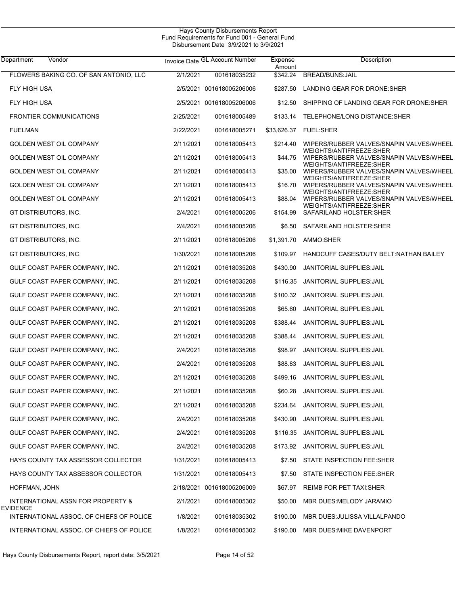| Vendor<br>Department                          |           | Invoice Date GL Account Number | Expense            | Description                                                                                    |
|-----------------------------------------------|-----------|--------------------------------|--------------------|------------------------------------------------------------------------------------------------|
| FLOWERS BAKING CO. OF SAN ANTONIO, LLC        | 2/1/2021  | 001618035232                   | Amount<br>\$342.24 | <b>BREAD/BUNS:JAIL</b>                                                                         |
| <b>FLY HIGH USA</b>                           |           | 2/5/2021 001618005206006       | \$287.50           | LANDING GEAR FOR DRONE:SHER                                                                    |
| FLY HIGH USA                                  |           | 2/5/2021 001618005206006       | \$12.50            | SHIPPING OF LANDING GEAR FOR DRONE: SHER                                                       |
| <b>FRONTIER COMMUNICATIONS</b>                | 2/25/2021 | 001618005489                   | \$133.14           | TELEPHONE/LONG DISTANCE:SHER                                                                   |
| <b>FUELMAN</b>                                | 2/22/2021 | 001618005271                   | \$33,626.37        | <b>FUEL:SHER</b>                                                                               |
| GOLDEN WEST OIL COMPANY                       | 2/11/2021 | 001618005413                   | \$214.40           | WIPERS/RUBBER VALVES/SNAPIN VALVES/WHEEL                                                       |
| GOLDEN WEST OIL COMPANY                       | 2/11/2021 | 001618005413                   | \$44.75            | WEIGHTS/ANTIFREEZE:SHER<br>WIPERS/RUBBER VALVES/SNAPIN VALVES/WHEEL                            |
| <b>GOLDEN WEST OIL COMPANY</b>                | 2/11/2021 | 001618005413                   | \$35.00            | WEIGHTS/ANTIFREEZE:SHER<br>WIPERS/RUBBER VALVES/SNAPIN VALVES/WHEEL                            |
| GOLDEN WEST OIL COMPANY                       | 2/11/2021 | 001618005413                   | \$16.70            | WEIGHTS/ANTIFREEZE:SHER<br>WIPERS/RUBBER VALVES/SNAPIN VALVES/WHEEL                            |
| <b>GOLDEN WEST OIL COMPANY</b>                | 2/11/2021 | 001618005413                   | \$88.04            | WEIGHTS/ANTIFREEZE:SHER<br>WIPERS/RUBBER VALVES/SNAPIN VALVES/WHEEL<br>WEIGHTS/ANTIFREEZE:SHER |
| GT DISTRIBUTORS, INC.                         | 2/4/2021  | 001618005206                   | \$154.99           | SAFARILAND HOLSTER: SHER                                                                       |
| GT DISTRIBUTORS, INC.                         | 2/4/2021  | 001618005206                   |                    | \$6.50 SAFARILAND HOLSTER:SHER                                                                 |
| GT DISTRIBUTORS, INC.                         | 2/11/2021 | 001618005206                   | \$1,391.70         | AMMO:SHER                                                                                      |
| GT DISTRIBUTORS, INC.                         | 1/30/2021 | 001618005206                   | \$109.97           | HANDCUFF CASES/DUTY BELT: NATHAN BAILEY                                                        |
| GULF COAST PAPER COMPANY, INC.                | 2/11/2021 | 001618035208                   | \$430.90           | JANITORIAL SUPPLIES: JAIL                                                                      |
| GULF COAST PAPER COMPANY, INC.                | 2/11/2021 | 001618035208                   | \$116.35           | JANITORIAL SUPPLIES: JAIL                                                                      |
| GULF COAST PAPER COMPANY, INC.                | 2/11/2021 | 001618035208                   | \$100.32           | JANITORIAL SUPPLIES: JAIL                                                                      |
| GULF COAST PAPER COMPANY, INC.                | 2/11/2021 | 001618035208                   | \$65.60            | <b>JANITORIAL SUPPLIES: JAIL</b>                                                               |
| GULF COAST PAPER COMPANY, INC.                | 2/11/2021 | 001618035208                   | \$388.44           | JANITORIAL SUPPLIES: JAIL                                                                      |
| GULF COAST PAPER COMPANY, INC.                | 2/11/2021 | 001618035208                   | \$388.44           | JANITORIAL SUPPLIES: JAIL                                                                      |
| GULF COAST PAPER COMPANY, INC.                | 2/4/2021  | 001618035208                   | \$98.97            | JANITORIAL SUPPLIES: JAIL                                                                      |
| GULF COAST PAPER COMPANY, INC.                | 2/4/2021  | 001618035208                   | \$88.83            | JANITORIAL SUPPLIES: JAIL                                                                      |
| GULF COAST PAPER COMPANY, INC.                | 2/11/2021 | 001618035208                   | \$499.16           | <b>JANITORIAL SUPPLIES: JAIL</b>                                                               |
| GULF COAST PAPER COMPANY, INC.                | 2/11/2021 | 001618035208                   | \$60.28            | <b>JANITORIAL SUPPLIES: JAIL</b>                                                               |
| GULF COAST PAPER COMPANY, INC.                | 2/11/2021 | 001618035208                   | \$234.64           | JANITORIAL SUPPLIES: JAIL                                                                      |
| GULF COAST PAPER COMPANY, INC.                | 2/4/2021  | 001618035208                   | \$430.90           | JANITORIAL SUPPLIES: JAIL                                                                      |
| GULF COAST PAPER COMPANY, INC.                | 2/4/2021  | 001618035208                   | \$116.35           | JANITORIAL SUPPLIES: JAIL                                                                      |
| GULF COAST PAPER COMPANY, INC.                | 2/4/2021  | 001618035208                   | \$173.92           | JANITORIAL SUPPLIES: JAIL                                                                      |
| HAYS COUNTY TAX ASSESSOR COLLECTOR            | 1/31/2021 | 001618005413                   |                    | \$7.50 STATE INSPECTION FEE:SHER                                                               |
| HAYS COUNTY TAX ASSESSOR COLLECTOR            | 1/31/2021 | 001618005413                   | \$7.50             | STATE INSPECTION FEE:SHER                                                                      |
| HOFFMAN, JOHN                                 |           | 2/18/2021 001618005206009      | \$67.97            | REIMB FOR PET TAXI:SHER                                                                        |
| INTERNATIONAL ASSN FOR PROPERTY &<br>EVIDENCE | 2/1/2021  | 001618005302                   | \$50.00            | MBR DUES:MELODY JARAMIO                                                                        |
| INTERNATIONAL ASSOC. OF CHIEFS OF POLICE      | 1/8/2021  | 001618035302                   | \$190.00           | MBR DUES: JULISSA VILLALPANDO                                                                  |
| INTERNATIONAL ASSOC. OF CHIEFS OF POLICE      | 1/8/2021  | 001618005302                   | \$190.00           | MBR DUES: MIKE DAVENPORT                                                                       |
|                                               |           |                                |                    |                                                                                                |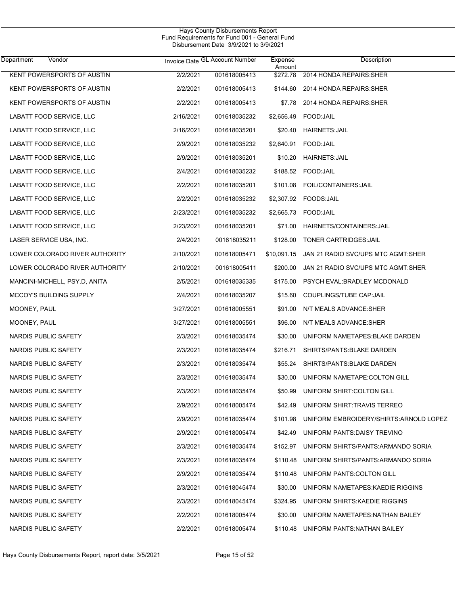| Department<br>Vendor              |           | Invoice Date GL Account Number | Expense<br>Amount | Description                             |
|-----------------------------------|-----------|--------------------------------|-------------------|-----------------------------------------|
| <b>KENT POWERSPORTS OF AUSTIN</b> | 2/2/2021  | 001618005413                   | \$272.78          | 2014 HONDA REPAIRS: SHER                |
| KENT POWERSPORTS OF AUSTIN        | 2/2/2021  | 001618005413                   |                   | \$144.60 2014 HONDA REPAIRS: SHER       |
| KENT POWERSPORTS OF AUSTIN        | 2/2/2021  | 001618005413                   | \$7.78            | 2014 HONDA REPAIRS: SHER                |
| LABATT FOOD SERVICE, LLC          | 2/16/2021 | 001618035232                   |                   |                                         |
| LABATT FOOD SERVICE, LLC          | 2/16/2021 | 001618035201                   | \$20.40           | <b>HAIRNETS: JAIL</b>                   |
| LABATT FOOD SERVICE, LLC          | 2/9/2021  | 001618035232                   |                   | \$2,640.91  FOOD:JAIL                   |
| LABATT FOOD SERVICE, LLC          | 2/9/2021  | 001618035201                   |                   | \$10.20 HAIRNETS: JAIL                  |
| LABATT FOOD SERVICE, LLC          | 2/4/2021  | 001618035232                   |                   | \$188.52 FOOD:JAIL                      |
| LABATT FOOD SERVICE, LLC          | 2/2/2021  | 001618035201                   |                   | \$101.08 FOIL/CONTAINERS: JAIL          |
| LABATT FOOD SERVICE, LLC          | 2/2/2021  | 001618035232                   |                   |                                         |
| LABATT FOOD SERVICE, LLC          | 2/23/2021 | 001618035232                   |                   |                                         |
| LABATT FOOD SERVICE, LLC          | 2/23/2021 | 001618035201                   | \$71.00           | HAIRNETS/CONTAINERS: JAIL               |
| LASER SERVICE USA, INC.           | 2/4/2021  | 001618035211                   |                   | \$128.00 TONER CARTRIDGES: JAIL         |
| LOWER COLORADO RIVER AUTHORITY    | 2/10/2021 | 001618005471                   | \$10,091.15       | JAN 21 RADIO SVC/UPS MTC AGMT:SHER      |
| LOWER COLORADO RIVER AUTHORITY    | 2/10/2021 | 001618005411                   | \$200.00          | JAN 21 RADIO SVC/UPS MTC AGMT:SHER      |
| MANCINI-MICHELL, PSY.D, ANITA     | 2/5/2021  | 001618035335                   |                   | \$175.00 PSYCH EVAL:BRADLEY MCDONALD    |
| <b>MCCOY'S BUILDING SUPPLY</b>    | 2/4/2021  | 001618035207                   | \$15.60           | COUPLINGS/TUBE CAP:JAIL                 |
| MOONEY, PAUL                      | 3/27/2021 | 001618005551                   | \$91.00           | N/T MEALS ADVANCE: SHER                 |
| MOONEY, PAUL                      | 3/27/2021 | 001618005551                   | \$96.00           | N/T MEALS ADVANCE:SHER                  |
| NARDIS PUBLIC SAFETY              | 2/3/2021  | 001618035474                   | \$30.00           | UNIFORM NAMETAPES: BLAKE DARDEN         |
| NARDIS PUBLIC SAFETY              | 2/3/2021  | 001618035474                   | \$216.71          | SHIRTS/PANTS: BLAKE DARDEN              |
| NARDIS PUBLIC SAFETY              | 2/3/2021  | 001618035474                   | \$55.24           | SHIRTS/PANTS: BLAKE DARDEN              |
| NARDIS PUBLIC SAFETY              | 2/3/2021  | 001618035474                   | \$30.00           | UNIFORM NAMETAPE:COLTON GILL            |
| NARDIS PUBLIC SAFETY              | 2/3/2021  | 001618035474                   | \$50.99           | UNIFORM SHIRT: COLTON GILL              |
| NARDIS PUBLIC SAFETY              | 2/9/2021  | 001618005474                   |                   | \$42.49 UNIFORM SHIRT:TRAVIS TERREO     |
| NARDIS PUBLIC SAFETY              | 2/9/2021  | 001618035474                   | \$101.98          | UNIFORM EMBROIDERY/SHIRTS: ARNOLD LOPEZ |
| NARDIS PUBLIC SAFETY              | 2/9/2021  | 001618005474                   | \$42.49           | UNIFORM PANTS:DAISY TREVINO             |
| NARDIS PUBLIC SAFETY              | 2/3/2021  | 001618035474                   | \$152.97          | UNIFORM SHIRTS/PANTS: ARMANDO SORIA     |
| NARDIS PUBLIC SAFETY              | 2/3/2021  | 001618035474                   | \$110.48          | UNIFORM SHIRTS/PANTS: ARMANDO SORIA     |
| NARDIS PUBLIC SAFETY              | 2/9/2021  | 001618035474                   | \$110.48          | UNIFORM PANTS COLTON GILL               |
| NARDIS PUBLIC SAFETY              | 2/3/2021  | 001618045474                   | \$30.00           | UNIFORM NAMETAPES: KAEDIE RIGGINS       |
| NARDIS PUBLIC SAFETY              | 2/3/2021  | 001618045474                   | \$324.95          | UNIFORM SHIRTS: KAEDIE RIGGINS          |
| NARDIS PUBLIC SAFETY              | 2/2/2021  | 001618005474                   | \$30.00           | UNIFORM NAMETAPES: NATHAN BAILEY        |
| NARDIS PUBLIC SAFETY              | 2/2/2021  | 001618005474                   |                   | \$110.48 UNIFORM PANTS: NATHAN BAILEY   |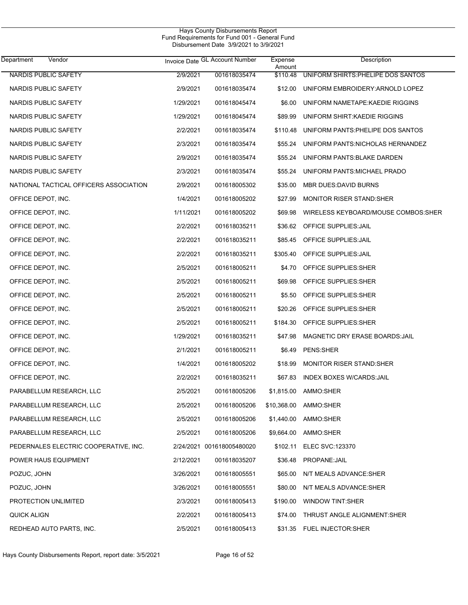$\overline{\phantom{0}}$ 

| <b>Department</b><br>Vendor            |           | Invoice Date GL Account Number | Expense<br>Amount | Description                         |
|----------------------------------------|-----------|--------------------------------|-------------------|-------------------------------------|
| <b>NARDIS PUBLIC SAFETY</b>            | 2/9/2021  | 001618035474                   | \$110.48          | UNIFORM SHIRTS: PHELIPE DOS SANTOS  |
| NARDIS PUBLIC SAFETY                   | 2/9/2021  | 001618035474                   | \$12.00           | UNIFORM EMBROIDERY: ARNOLD LOPEZ    |
| NARDIS PUBLIC SAFETY                   | 1/29/2021 | 001618045474                   | \$6.00            | UNIFORM NAMETAPE: KAEDIE RIGGINS    |
| NARDIS PUBLIC SAFETY                   | 1/29/2021 | 001618045474                   | \$89.99           | UNIFORM SHIRT KAEDIE RIGGINS        |
| NARDIS PUBLIC SAFETY                   | 2/2/2021  | 001618035474                   | \$110.48          | UNIFORM PANTS PHELIPE DOS SANTOS    |
| NARDIS PUBLIC SAFETY                   | 2/3/2021  | 001618035474                   | \$55.24           | UNIFORM PANTS NICHOLAS HERNANDEZ    |
| NARDIS PUBLIC SAFETY                   | 2/9/2021  | 001618035474                   | \$55.24           | UNIFORM PANTS: BLAKE DARDEN         |
| NARDIS PUBLIC SAFETY                   | 2/3/2021  | 001618035474                   | \$55.24           | UNIFORM PANTS: MICHAEL PRADO        |
| NATIONAL TACTICAL OFFICERS ASSOCIATION | 2/9/2021  | 001618005302                   | \$35.00           | MBR DUES: DAVID BURNS               |
| OFFICE DEPOT, INC.                     | 1/4/2021  | 001618005202                   | \$27.99           | <b>MONITOR RISER STAND:SHER</b>     |
| OFFICE DEPOT, INC.                     | 1/11/2021 | 001618005202                   | \$69.98           | WIRELESS KEYBOARD/MOUSE COMBOS:SHER |
| OFFICE DEPOT, INC.                     | 2/2/2021  | 001618035211                   | \$36.62           | OFFICE SUPPLIES: JAIL               |
| OFFICE DEPOT, INC.                     | 2/2/2021  | 001618035211                   | \$85.45           | OFFICE SUPPLIES: JAIL               |
| OFFICE DEPOT, INC.                     | 2/2/2021  | 001618035211                   | \$305.40          | OFFICE SUPPLIES: JAIL               |
| OFFICE DEPOT, INC.                     | 2/5/2021  | 001618005211                   | \$4.70            | OFFICE SUPPLIES: SHER               |
| OFFICE DEPOT, INC.                     | 2/5/2021  | 001618005211                   | \$69.98           | OFFICE SUPPLIES: SHER               |
| OFFICE DEPOT, INC.                     | 2/5/2021  | 001618005211                   | \$5.50            | OFFICE SUPPLIES: SHER               |
| OFFICE DEPOT, INC.                     | 2/5/2021  | 001618005211                   | \$20.26           | OFFICE SUPPLIES: SHER               |
| OFFICE DEPOT, INC.                     | 2/5/2021  | 001618005211                   | \$184.30          | OFFICE SUPPLIES: SHER               |
| OFFICE DEPOT, INC.                     | 1/29/2021 | 001618035211                   | \$47.98           | MAGNETIC DRY ERASE BOARDS: JAIL     |
| OFFICE DEPOT, INC.                     | 2/1/2021  | 001618005211                   | \$6.49            | PENS: SHER                          |
| OFFICE DEPOT, INC.                     | 1/4/2021  | 001618005202                   | \$18.99           | <b>MONITOR RISER STAND:SHER</b>     |
| OFFICE DEPOT, INC.                     | 2/2/2021  | 001618035211                   | \$67.83           | <b>INDEX BOXES W/CARDS:JAIL</b>     |
| PARABELLUM RESEARCH, LLC               | 2/5/2021  | 001618005206                   | \$1,815.00        | AMMO:SHER                           |
| PARABELLUM RESEARCH, LLC               | 2/5/2021  | 001618005206                   |                   | \$10,368.00 AMMO:SHER               |
| PARABELLUM RESEARCH, LLC               | 2/5/2021  | 001618005206                   |                   | \$1,440.00 AMMO:SHER                |
| PARABELLUM RESEARCH, LLC               | 2/5/2021  | 001618005206                   |                   | \$9,664.00 AMMO:SHER                |
| PEDERNALES ELECTRIC COOPERATIVE, INC.  |           | 2/24/2021 001618005480020      | \$102.11          | <b>ELEC SVC: 123370</b>             |
| POWER HAUS EQUIPMENT                   | 2/12/2021 | 001618035207                   | \$36.48           | PROPANE: JAIL                       |
| POZUC, JOHN                            | 3/26/2021 | 001618005551                   | \$65.00           | N/T MEALS ADVANCE: SHER             |
| POZUC, JOHN                            | 3/26/2021 | 001618005551                   | \$80.00           | N/T MEALS ADVANCE:SHER              |
| PROTECTION UNLIMITED                   | 2/3/2021  | 001618005413                   | \$190.00          | <b>WINDOW TINT:SHER</b>             |
| <b>QUICK ALIGN</b>                     | 2/2/2021  | 001618005413                   | \$74.00           | THRUST ANGLE ALIGNMENT:SHER         |
| REDHEAD AUTO PARTS, INC.               | 2/5/2021  | 001618005413                   |                   | \$31.35 FUEL INJECTOR: SHER         |
|                                        |           |                                |                   |                                     |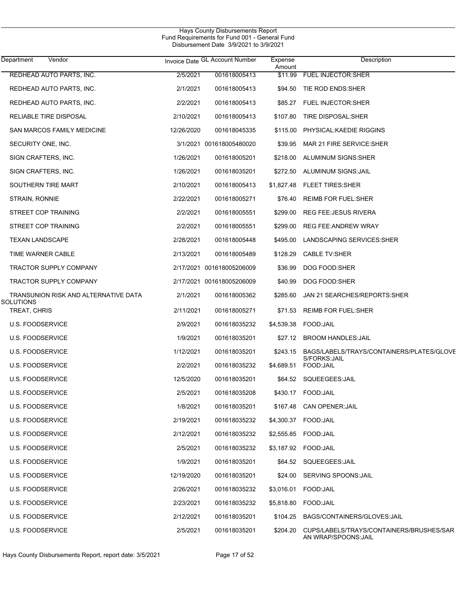| Department<br>Vendor                 |            | Invoice Date GL Account Number | Expense<br>Amount | Description                                                      |
|--------------------------------------|------------|--------------------------------|-------------------|------------------------------------------------------------------|
| REDHEAD AUTO PARTS, INC.             | 2/5/2021   | 001618005413                   | \$11.99           | <b>FUEL INJECTOR: SHER</b>                                       |
| REDHEAD AUTO PARTS, INC.             | 2/1/2021   | 001618005413                   |                   | \$94.50 TIE ROD ENDS:SHER                                        |
| REDHEAD AUTO PARTS, INC.             | 2/2/2021   | 001618005413                   |                   | \$85.27 FUEL INJECTOR:SHER                                       |
| RELIABLE TIRE DISPOSAL               | 2/10/2021  | 001618005413                   | \$107.80          | TIRE DISPOSAL: SHER                                              |
| SAN MARCOS FAMILY MEDICINE           | 12/26/2020 | 001618045335                   |                   | \$115.00 PHYSICAL: KAEDIE RIGGINS                                |
| SECURITY ONE, INC.                   |            | 3/1/2021 001618005480020       | \$39.95           | MAR 21 FIRE SERVICE: SHER                                        |
| SIGN CRAFTERS, INC.                  | 1/26/2021  | 001618005201                   |                   | \$218.00 ALUMINUM SIGNS:SHER                                     |
| SIGN CRAFTERS, INC.                  | 1/26/2021  | 001618035201                   |                   | \$272.50 ALUMINUM SIGNS: JAIL                                    |
| SOUTHERN TIRE MART                   | 2/10/2021  | 001618005413                   |                   | \$1,827.48 FLEET TIRES:SHER                                      |
| STRAIN, RONNIE                       | 2/22/2021  | 001618005271                   | \$76.40           | <b>REIMB FOR FUEL:SHER</b>                                       |
| STREET COP TRAINING                  | 2/2/2021   | 001618005551                   | \$299.00          | <b>REG FEE: JESUS RIVERA</b>                                     |
| STREET COP TRAINING                  | 2/2/2021   | 001618005551                   | \$299.00          | <b>REG FEE ANDREW WRAY</b>                                       |
| <b>TEXAN LANDSCAPE</b>               | 2/28/2021  | 001618005448                   | \$495.00          | LANDSCAPING SERVICES: SHER                                       |
| TIME WARNER CABLE                    | 2/13/2021  | 001618005489                   | \$128.29          | <b>CABLE TV:SHER</b>                                             |
| TRACTOR SUPPLY COMPANY               |            | 2/17/2021 001618005206009      | \$36.99           | DOG FOOD:SHER                                                    |
| <b>TRACTOR SUPPLY COMPANY</b>        |            | 2/17/2021 001618005206009      | \$40.99           | DOG FOOD:SHER                                                    |
| TRANSUNION RISK AND ALTERNATIVE DATA | 2/1/2021   | 001618005362                   | \$285.60          | JAN 21 SEARCHES/REPORTS:SHER                                     |
| SOLUTIONS<br>TREAT, CHRIS            | 2/11/2021  | 001618005271                   | \$71.53           | <b>REIMB FOR FUEL:SHER</b>                                       |
| <b>U.S. FOODSERVICE</b>              | 2/9/2021   | 001618035232                   |                   |                                                                  |
| <b>U.S. FOODSERVICE</b>              | 1/9/2021   | 001618035201                   | \$27.12           | <b>BROOM HANDLES: JAIL</b>                                       |
| U.S. FOODSERVICE                     | 1/12/2021  | 001618035201                   | \$243.15          | BAGS/LABELS/TRAYS/CONTAINERS/PLATES/GLOVE                        |
| U.S. FOODSERVICE                     | 2/2/2021   | 001618035232                   | \$4,689.51        | S/FORKS: JAIL<br>FOOD: JAIL                                      |
| <b>U.S. FOODSERVICE</b>              | 12/5/2020  | 001618035201                   |                   | \$64.52 SQUEEGEES:JAIL                                           |
| <b>U.S. FOODSERVICE</b>              | 2/5/2021   | 001618035208                   | \$430.17          | FOOD:JAIL                                                        |
| <b>U.S. FOODSERVICE</b>              | 1/8/2021   | 001618035201                   | \$167.48          | <b>CAN OPENER: JAIL</b>                                          |
| <b>U.S. FOODSERVICE</b>              | 2/19/2021  | 001618035232                   |                   | \$4,300.37 FOOD:JAIL                                             |
| U.S. FOODSERVICE                     | 2/12/2021  | 001618035232                   | \$2,555.85        | FOOD: JAIL                                                       |
| U.S. FOODSERVICE                     | 2/5/2021   | 001618035232                   |                   |                                                                  |
| U.S. FOODSERVICE                     | 1/9/2021   | 001618035201                   | \$64.52           | SQUEEGEES: JAIL                                                  |
| U.S. FOODSERVICE                     | 12/19/2020 | 001618035201                   | \$24.00           | <b>SERVING SPOONS: JAIL</b>                                      |
| U.S. FOODSERVICE                     | 2/26/2021  | 001618035232                   | \$3,016.01        | FOOD: JAIL                                                       |
| U.S. FOODSERVICE                     | 2/23/2021  | 001618035232                   | \$5,818.80        | FOOD: JAIL                                                       |
| U.S. FOODSERVICE                     | 2/12/2021  | 001618035201                   | \$104.25          | BAGS/CONTAINERS/GLOVES:JAIL                                      |
| U.S. FOODSERVICE                     | 2/5/2021   | 001618035201                   | \$204.20          | CUPS/LABELS/TRAYS/CONTAINERS/BRUSHES/SAR<br>AN WRAP/SPOONS: JAIL |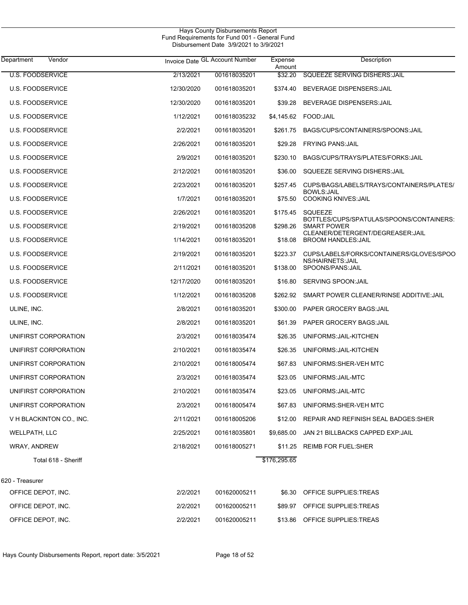| Department<br>Vendor     |            | Invoice Date GL Account Number | Expense<br>Amount | Description                                                          |
|--------------------------|------------|--------------------------------|-------------------|----------------------------------------------------------------------|
| <b>U.S. FOODSERVICE</b>  | 2/13/2021  | 001618035201                   | \$32.20           | <b>SQUEEZE SERVING DISHERS: JAIL</b>                                 |
| <b>U.S. FOODSERVICE</b>  | 12/30/2020 | 001618035201                   | \$374.40          | BEVERAGE DISPENSERS: JAIL                                            |
| <b>U.S. FOODSERVICE</b>  | 12/30/2020 | 001618035201                   | \$39.28           | BEVERAGE DISPENSERS: JAIL                                            |
| <b>U.S. FOODSERVICE</b>  | 1/12/2021  | 001618035232                   | \$4,145.62        | FOOD:JAIL                                                            |
| <b>U.S. FOODSERVICE</b>  | 2/2/2021   | 001618035201                   | \$261.75          | BAGS/CUPS/CONTAINERS/SPOONS: JAIL                                    |
| <b>U.S. FOODSERVICE</b>  | 2/26/2021  | 001618035201                   | \$29.28           | <b>FRYING PANS: JAIL</b>                                             |
| <b>U.S. FOODSERVICE</b>  | 2/9/2021   | 001618035201                   | \$230.10          | BAGS/CUPS/TRAYS/PLATES/FORKS:JAIL                                    |
| <b>U.S. FOODSERVICE</b>  | 2/12/2021  | 001618035201                   | \$36.00           | SQUEEZE SERVING DISHERS: JAIL                                        |
| <b>U.S. FOODSERVICE</b>  | 2/23/2021  | 001618035201                   | \$257.45          | CUPS/BAGS/LABELS/TRAYS/CONTAINERS/PLATES/                            |
| <b>U.S. FOODSERVICE</b>  | 1/7/2021   | 001618035201                   | \$75.50           | <b>BOWLS:JAIL</b><br><b>COOKING KNIVES: JAIL</b>                     |
| <b>U.S. FOODSERVICE</b>  | 2/26/2021  | 001618035201                   | \$175.45          | <b>SQUEEZE</b>                                                       |
| <b>U.S. FOODSERVICE</b>  | 2/19/2021  | 001618035208                   | \$298.26          | BOTTLES/CUPS/SPATULAS/SPOONS/CONTAINERS:<br><b>SMART POWER</b>       |
| <b>U.S. FOODSERVICE</b>  | 1/14/2021  | 001618035201                   | \$18.08           | CLEANER/DETERGENT/DEGREASER:JAIL<br><b>BROOM HANDLES: JAIL</b>       |
| <b>U.S. FOODSERVICE</b>  | 2/19/2021  | 001618035201                   | \$223.37          | CUPS/LABELS/FORKS/CONTAINERS/GLOVES/SPOO<br><b>NS/HAIRNETS: JAIL</b> |
| <b>U.S. FOODSERVICE</b>  | 2/11/2021  | 001618035201                   | \$138.00          | SPOONS/PANS: JAIL                                                    |
| <b>U.S. FOODSERVICE</b>  | 12/17/2020 | 001618035201                   | \$16.80           | SERVING SPOON: JAIL                                                  |
| <b>U.S. FOODSERVICE</b>  | 1/12/2021  | 001618035208                   | \$262.92          | SMART POWER CLEANER/RINSE ADDITIVE: JAIL                             |
| ULINE, INC.              | 2/8/2021   | 001618035201                   | \$300.00          | <b>PAPER GROCERY BAGS:JAIL</b>                                       |
| ULINE, INC.              | 2/8/2021   | 001618035201                   | \$61.39           | PAPER GROCERY BAGS: JAIL                                             |
| UNIFIRST CORPORATION     | 2/3/2021   | 001618035474                   | \$26.35           | UNIFORMS: JAIL-KITCHEN                                               |
| UNIFIRST CORPORATION     | 2/10/2021  | 001618035474                   | \$26.35           | UNIFORMS: JAIL-KITCHEN                                               |
| UNIFIRST CORPORATION     | 2/10/2021  | 001618005474                   | \$67.83           | UNIFORMS: SHER-VEH MTC                                               |
| UNIFIRST CORPORATION     | 2/3/2021   | 001618035474                   | \$23.05           | UNIFORMS: JAIL-MTC                                                   |
| UNIFIRST CORPORATION     | 2/10/2021  | 001618035474                   | \$23.05           | UNIFORMS: JAIL-MTC                                                   |
| UNIFIRST CORPORATION     | 2/3/2021   | 001618005474                   |                   | \$67.83 UNIFORMS:SHER-VEH MTC                                        |
| V H BLACKINTON CO., INC. | 2/11/2021  | 001618005206                   | \$12.00           | REPAIR AND REFINISH SEAL BADGES: SHER                                |
| WELLPATH, LLC            | 2/25/2021  | 001618035801                   | \$9,685.00        | JAN 21 BILLBACKS CAPPED EXP: JAIL                                    |
| WRAY, ANDREW             | 2/18/2021  | 001618005271                   |                   | \$11.25 REIMB FOR FUEL:SHER                                          |
| Total 618 - Sheriff      |            |                                | \$176,295.65      |                                                                      |
| 620 - Treasurer          |            |                                |                   |                                                                      |
| OFFICE DEPOT, INC.       | 2/2/2021   | 001620005211                   | \$6.30            | OFFICE SUPPLIES: TREAS                                               |
| OFFICE DEPOT, INC.       | 2/2/2021   | 001620005211                   | \$89.97           | OFFICE SUPPLIES: TREAS                                               |
| OFFICE DEPOT, INC.       | 2/2/2021   | 001620005211                   | \$13.86           | OFFICE SUPPLIES: TREAS                                               |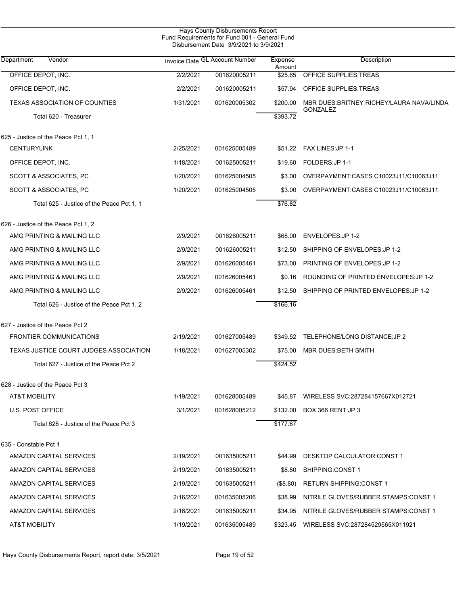| Hays County Disbursements Report<br>Fund Requirements for Fund 001 - General Fund<br>Disbursement Date 3/9/2021 to 3/9/2021 |           |                                |                   |                                           |  |  |  |
|-----------------------------------------------------------------------------------------------------------------------------|-----------|--------------------------------|-------------------|-------------------------------------------|--|--|--|
| Department<br>Vendor                                                                                                        |           | Invoice Date GL Account Number | Expense<br>Amount | Description                               |  |  |  |
| OFFICE DEPOT, INC.                                                                                                          | 2/2/2021  | 001620005211                   | \$25.65           | <b>OFFICE SUPPLIES: TREAS</b>             |  |  |  |
| OFFICE DEPOT, INC.                                                                                                          | 2/2/2021  | 001620005211                   | \$57.94           | OFFICE SUPPLIES: TREAS                    |  |  |  |
| <b>TEXAS ASSOCIATION OF COUNTIES</b>                                                                                        | 1/31/2021 | 001620005302                   | \$200.00          | MBR DUES: BRITNEY RICHEY/LAURA NAVA/LINDA |  |  |  |
| Total 620 - Treasurer                                                                                                       |           |                                | \$393.72          | <b>GONZALEZ</b>                           |  |  |  |
| 625 - Justice of the Peace Pct 1, 1                                                                                         |           |                                |                   |                                           |  |  |  |
| <b>CENTURYLINK</b>                                                                                                          | 2/25/2021 | 001625005489                   | \$51.22           | FAX LINES: JP 1-1                         |  |  |  |
| OFFICE DEPOT, INC.                                                                                                          | 1/18/2021 | 001625005211                   | \$19.60           | FOLDERS: JP 1-1                           |  |  |  |
| SCOTT & ASSOCIATES, PC                                                                                                      | 1/20/2021 | 001625004505                   | \$3.00            | OVERPAYMENT:CASES C10023J11/C10063J11     |  |  |  |
| SCOTT & ASSOCIATES, PC                                                                                                      | 1/20/2021 | 001625004505                   | \$3.00            | OVERPAYMENT:CASES C10023J11/C10063J11     |  |  |  |
| Total 625 - Justice of the Peace Pct 1, 1                                                                                   |           |                                | \$76.82           |                                           |  |  |  |
| 626 - Justice of the Peace Pct 1, 2                                                                                         |           |                                |                   |                                           |  |  |  |
| AMG PRINTING & MAILING LLC                                                                                                  | 2/9/2021  | 001626005211                   | \$68.00           | ENVELOPES: JP 1-2                         |  |  |  |
| AMG PRINTING & MAILING LLC                                                                                                  | 2/9/2021  | 001626005211                   | \$12.50           | SHIPPING OF ENVELOPES: JP 1-2             |  |  |  |
| AMG PRINTING & MAILING LLC                                                                                                  | 2/9/2021  | 001626005461                   | \$73.00           | PRINTING OF ENVELOPES: JP 1-2             |  |  |  |
| AMG PRINTING & MAILING LLC                                                                                                  | 2/9/2021  | 001626005461                   | \$0.16            | ROUNDING OF PRINTED ENVELOPES: JP 1-2     |  |  |  |
| AMG PRINTING & MAILING LLC                                                                                                  | 2/9/2021  | 001626005461                   | \$12.50           | SHIPPING OF PRINTED ENVELOPES: JP 1-2     |  |  |  |
| Total 626 - Justice of the Peace Pct 1, 2                                                                                   |           |                                | \$166.16          |                                           |  |  |  |
| 627 - Justice of the Peace Pct 2                                                                                            |           |                                |                   |                                           |  |  |  |
| <b>FRONTIER COMMUNICATIONS</b>                                                                                              | 2/19/2021 | 001627005489                   | \$349.52          | TELEPHONE/LONG DISTANCE: JP 2             |  |  |  |
| TEXAS JUSTICE COURT JUDGES ASSOCIATION                                                                                      | 1/18/2021 | 001627005302                   | \$75.00           | MBR DUES: BETH SMITH                      |  |  |  |
| Total 627 - Justice of the Peace Pct 2                                                                                      |           |                                | \$424.52          |                                           |  |  |  |
| 628 - Justice of the Peace Pct 3                                                                                            |           |                                |                   |                                           |  |  |  |
| AT&T MOBILITY                                                                                                               | 1/19/2021 | 001628005489                   | \$45.87           | WIRELESS SVC:287284157667X012721          |  |  |  |
| <b>U.S. POST OFFICE</b>                                                                                                     | 3/1/2021  | 001628005212                   | \$132.00          | BOX 366 RENT: JP 3                        |  |  |  |
| Total 628 - Justice of the Peace Pct 3                                                                                      |           |                                | \$177.87          |                                           |  |  |  |
| 635 - Constable Pct 1                                                                                                       |           |                                |                   |                                           |  |  |  |
| AMAZON CAPITAL SERVICES                                                                                                     | 2/19/2021 | 001635005211                   | \$44.99           | DESKTOP CALCULATOR: CONST 1               |  |  |  |
| AMAZON CAPITAL SERVICES                                                                                                     | 2/19/2021 | 001635005211                   | \$8.80            | SHIPPING:CONST 1                          |  |  |  |
| AMAZON CAPITAL SERVICES                                                                                                     | 2/19/2021 | 001635005211                   | (S8.80)           | <b>RETURN SHIPPING:CONST 1</b>            |  |  |  |
| AMAZON CAPITAL SERVICES                                                                                                     | 2/16/2021 | 001635005206                   | \$38.99           | NITRILE GLOVES/RUBBER STAMPS:CONST 1      |  |  |  |
| AMAZON CAPITAL SERVICES                                                                                                     | 2/16/2021 | 001635005211                   | \$34.95           | NITRILE GLOVES/RUBBER STAMPS:CONST 1      |  |  |  |
| AT&T MOBILITY                                                                                                               | 1/19/2021 | 001635005489                   | \$323.45          | WIRELESS SVC:287284529565X011921          |  |  |  |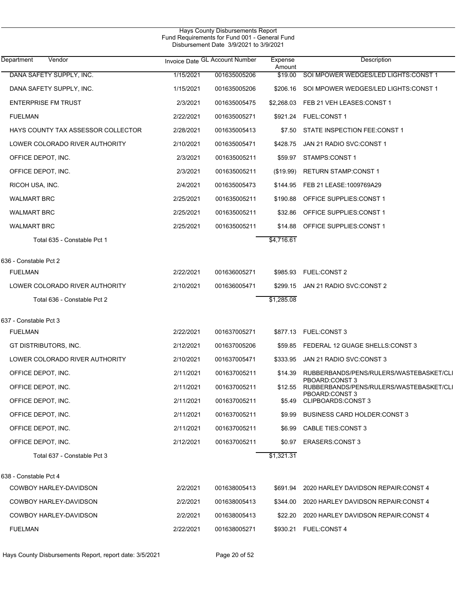| Department<br>Vendor               |           | Invoice Date GL Account Number | Expense<br>Amount | Description                                               |
|------------------------------------|-----------|--------------------------------|-------------------|-----------------------------------------------------------|
| DANA SAFETY SUPPLY, INC.           | 1/15/2021 | 001635005206                   | \$19.00           | SOI MPOWER WEDGES/LED LIGHTS: CONST 1                     |
| DANA SAFETY SUPPLY, INC.           | 1/15/2021 | 001635005206                   |                   | \$206.16 SOI MPOWER WEDGES/LED LIGHTS:CONST 1             |
| <b>ENTERPRISE FM TRUST</b>         | 2/3/2021  | 001635005475                   |                   | \$2,268.03 FEB 21 VEH LEASES: CONST 1                     |
| <b>FUELMAN</b>                     | 2/22/2021 | 001635005271                   |                   |                                                           |
| HAYS COUNTY TAX ASSESSOR COLLECTOR | 2/28/2021 | 001635005413                   |                   | \$7.50 STATE INSPECTION FEE:CONST 1                       |
| LOWER COLORADO RIVER AUTHORITY     | 2/10/2021 | 001635005471                   | \$428.75          | JAN 21 RADIO SVC CONST 1                                  |
| OFFICE DEPOT, INC.                 | 2/3/2021  | 001635005211                   |                   | \$59.97 STAMPS:CONST 1                                    |
| OFFICE DEPOT, INC.                 | 2/3/2021  | 001635005211                   | (\$19.99)         | <b>RETURN STAMP:CONST 1</b>                               |
| RICOH USA, INC.                    | 2/4/2021  | 001635005473                   |                   | \$144.95 FEB 21 LEASE:1009769A29                          |
| <b>WALMART BRC</b>                 | 2/25/2021 | 001635005211                   | \$190.88          | OFFICE SUPPLIES: CONST 1                                  |
| <b>WALMART BRC</b>                 | 2/25/2021 | 001635005211                   | \$32.86           | OFFICE SUPPLIES:CONST 1                                   |
| <b>WALMART BRC</b>                 | 2/25/2021 | 001635005211                   | \$14.88           | OFFICE SUPPLIES CONST 1                                   |
| Total 635 - Constable Pct 1        |           |                                | \$4,716.61        |                                                           |
| 636 - Constable Pct 2              |           |                                |                   |                                                           |
| <b>FUELMAN</b>                     | 2/22/2021 | 001636005271                   |                   | \$985.93 FUEL:CONST 2                                     |
| LOWER COLORADO RIVER AUTHORITY     | 2/10/2021 | 001636005471                   | \$299.15          | JAN 21 RADIO SVC:CONST 2                                  |
| Total 636 - Constable Pct 2        |           |                                | \$1,285.08        |                                                           |
| 637 - Constable Pct 3              |           |                                |                   |                                                           |
| <b>FUELMAN</b>                     | 2/22/2021 | 001637005271                   |                   | \$877.13 FUEL:CONST 3                                     |
| GT DISTRIBUTORS, INC.              | 2/12/2021 | 001637005206                   | \$59.85           | FEDERAL 12 GUAGE SHELLS:CONST 3                           |
| LOWER COLORADO RIVER AUTHORITY     | 2/10/2021 | 001637005471                   | \$333.95          | JAN 21 RADIO SVC:CONST 3                                  |
| OFFICE DEPOT, INC.                 | 2/11/2021 | 001637005211                   | \$14.39           | RUBBERBANDS/PENS/RULERS/WASTEBASKET/CLI                   |
| OFFICE DEPOT, INC.                 | 2/11/2021 | 001637005211                   | \$12.55           | PBOARD:CONST 3<br>RUBBERBANDS/PENS/RULERS/WASTEBASKET/CLI |
| OFFICE DEPOT, INC.                 | 2/11/2021 | 001637005211                   | \$5.49            | PBOARD:CONST 3<br>CLIPBOARDS:CONST 3                      |
| OFFICE DEPOT, INC.                 | 2/11/2021 | 001637005211                   | \$9.99            | <b>BUSINESS CARD HOLDER: CONST 3</b>                      |
| OFFICE DEPOT, INC.                 | 2/11/2021 | 001637005211                   | \$6.99            | CABLE TIES:CONST 3                                        |
| OFFICE DEPOT, INC.                 | 2/12/2021 | 001637005211                   | \$0.97            | <b>ERASERS:CONST 3</b>                                    |
| Total 637 - Constable Pct 3        |           |                                | \$1,321.31        |                                                           |
| 638 - Constable Pct 4              |           |                                |                   |                                                           |
| COWBOY HARLEY-DAVIDSON             | 2/2/2021  | 001638005413                   |                   | \$691.94 2020 HARLEY DAVIDSON REPAIR:CONST 4              |
| COWBOY HARLEY-DAVIDSON             | 2/2/2021  | 001638005413                   |                   | \$344.00 2020 HARLEY DAVIDSON REPAIR:CONST 4              |
| COWBOY HARLEY-DAVIDSON             | 2/2/2021  | 001638005413                   | \$22.20           | 2020 HARLEY DAVIDSON REPAIR: CONST 4                      |
| <b>FUELMAN</b>                     | 2/22/2021 | 001638005271                   |                   | \$930.21 FUEL:CONST 4                                     |
|                                    |           |                                |                   |                                                           |

Hays County Disbursements Report, report date: 3/5/2021 Page 20 of 52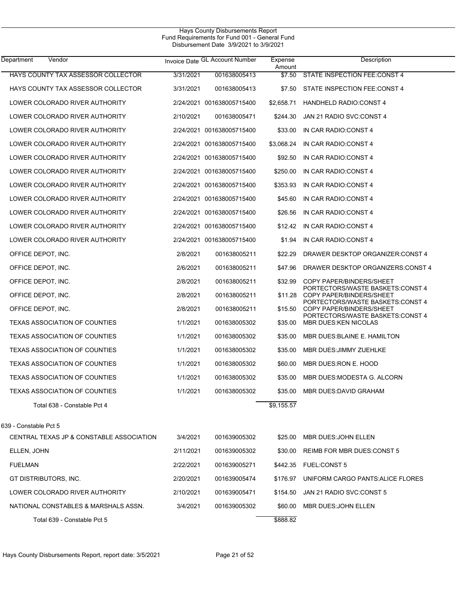| Vendor<br>Department                     |           | Invoice Date GL Account Number | Expense          | Description                                                      |
|------------------------------------------|-----------|--------------------------------|------------------|------------------------------------------------------------------|
| HAYS COUNTY TAX ASSESSOR COLLECTOR       | 3/31/2021 | 001638005413                   | Amount<br>\$7.50 | STATE INSPECTION FEE:CONST 4                                     |
| HAYS COUNTY TAX ASSESSOR COLLECTOR       | 3/31/2021 | 001638005413                   | \$7.50           | STATE INSPECTION FEE:CONST 4                                     |
| LOWER COLORADO RIVER AUTHORITY           |           | 2/24/2021 001638005715400      | \$2,658.71       | <b>HANDHELD RADIO:CONST 4</b>                                    |
| LOWER COLORADO RIVER AUTHORITY           | 2/10/2021 | 001638005471                   | \$244.30         | JAN 21 RADIO SVC:CONST 4                                         |
| LOWER COLORADO RIVER AUTHORITY           |           | 2/24/2021 001638005715400      | \$33.00          | IN CAR RADIO: CONST 4                                            |
| LOWER COLORADO RIVER AUTHORITY           |           | 2/24/2021 001638005715400      | \$3,068.24       | IN CAR RADIO:CONST 4                                             |
| LOWER COLORADO RIVER AUTHORITY           |           | 2/24/2021 001638005715400      | \$92.50          | IN CAR RADIO: CONST 4                                            |
| LOWER COLORADO RIVER AUTHORITY           |           | 2/24/2021 001638005715400      | \$250.00         | IN CAR RADIO:CONST 4                                             |
| LOWER COLORADO RIVER AUTHORITY           |           | 2/24/2021 001638005715400      | \$353.93         | IN CAR RADIO: CONST 4                                            |
| LOWER COLORADO RIVER AUTHORITY           |           | 2/24/2021 001638005715400      | \$45.60          | IN CAR RADIO:CONST 4                                             |
| LOWER COLORADO RIVER AUTHORITY           |           | 2/24/2021 001638005715400      | \$26.56          | IN CAR RADIO: CONST 4                                            |
| LOWER COLORADO RIVER AUTHORITY           |           | 2/24/2021 001638005715400      | \$12.42          | IN CAR RADIO:CONST 4                                             |
| LOWER COLORADO RIVER AUTHORITY           |           | 2/24/2021 001638005715400      | \$1.94           | IN CAR RADIO: CONST 4                                            |
| OFFICE DEPOT, INC.                       | 2/8/2021  | 001638005211                   | \$22.29          | DRAWER DESKTOP ORGANIZER: CONST 4                                |
| OFFICE DEPOT, INC.                       | 2/6/2021  | 001638005211                   | \$47.96          | DRAWER DESKTOP ORGANIZERS: CONST 4                               |
| OFFICE DEPOT, INC.                       | 2/8/2021  | 001638005211                   | \$32.99          | COPY PAPER/BINDERS/SHEET                                         |
| OFFICE DEPOT, INC.                       | 2/8/2021  | 001638005211                   | \$11.28          | PORTECTORS/WASTE BASKETS:CONST 4<br>COPY PAPER/BINDERS/SHEET     |
| OFFICE DEPOT, INC.                       | 2/8/2021  | 001638005211                   | \$15.50          | PORTECTORS/WASTE BASKETS:CONST 4<br>COPY PAPER/BINDERS/SHEET     |
| <b>TEXAS ASSOCIATION OF COUNTIES</b>     | 1/1/2021  | 001638005302                   | \$35.00          | PORTECTORS/WASTE BASKETS:CONST 4<br><b>MBR DUES: KEN NICOLAS</b> |
| <b>TEXAS ASSOCIATION OF COUNTIES</b>     | 1/1/2021  | 001638005302                   | \$35.00          | MBR DUES BLAINE E. HAMILTON                                      |
| <b>TEXAS ASSOCIATION OF COUNTIES</b>     | 1/1/2021  | 001638005302                   | \$35.00          | MBR DUES: JIMMY ZUEHLKE                                          |
| <b>TEXAS ASSOCIATION OF COUNTIES</b>     | 1/1/2021  | 001638005302                   | \$60.00          | MBR DUES: RON E. HOOD                                            |
| <b>TEXAS ASSOCIATION OF COUNTIES</b>     | 1/1/2021  | 001638005302                   | \$35.00          | MBR DUES: MODESTA G. ALCORN                                      |
| <b>TEXAS ASSOCIATION OF COUNTIES</b>     | 1/1/2021  | 001638005302                   | \$35.00          | MBR DUES: DAVID GRAHAM                                           |
| Total 638 - Constable Pct 4              |           |                                | \$9,155.57       |                                                                  |
| 639 - Constable Pct 5                    |           |                                |                  |                                                                  |
| CENTRAL TEXAS JP & CONSTABLE ASSOCIATION | 3/4/2021  | 001639005302                   | \$25.00          | <b>MBR DUES: JOHN ELLEN</b>                                      |
| ELLEN, JOHN                              | 2/11/2021 | 001639005302                   | \$30.00          | REIMB FOR MBR DUES: CONST 5                                      |
| <b>FUELMAN</b>                           | 2/22/2021 | 001639005271                   |                  | \$442.35 FUEL:CONST 5                                            |
| GT DISTRIBUTORS, INC.                    | 2/20/2021 | 001639005474                   | \$176.97         | UNIFORM CARGO PANTS: ALICE FLORES                                |
| LOWER COLORADO RIVER AUTHORITY           | 2/10/2021 | 001639005471                   | \$154.50         | JAN 21 RADIO SVC:CONST 5                                         |
| NATIONAL CONSTABLES & MARSHALS ASSN.     | 3/4/2021  | 001639005302                   | \$60.00          | MBR DUES: JOHN ELLEN                                             |
| Total 639 - Constable Pct 5              |           |                                | \$888.82         |                                                                  |
|                                          |           |                                |                  |                                                                  |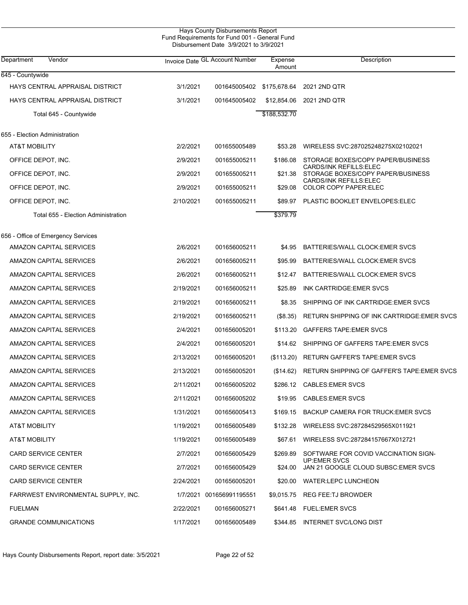| 645 - Countywide<br>HAYS CENTRAL APPRAISAL DISTRICT<br>3/1/2021<br>2021 2ND QTR<br>001645005402<br>\$175,678.64<br>3/1/2021<br>HAYS CENTRAL APPRAISAL DISTRICT<br>001645005402<br>\$12,854.06<br>2021 2ND QTR<br>\$188,532.70<br>Total 645 - Countywide<br>655 - Election Administration<br>AT&T MOBILITY<br>2/2/2021<br>WIRELESS SVC:287025248275X02102021<br>001655005489<br>\$53.28<br>OFFICE DEPOT, INC.<br>2/9/2021<br>001655005211<br>\$186.08<br>STORAGE BOXES/COPY PAPER/BUSINESS<br>CARDS/INK REFILLS ELEC<br>2/9/2021<br>001655005211<br>STORAGE BOXES/COPY PAPER/BUSINESS<br>OFFICE DEPOT, INC.<br>\$21.38<br>CARDS/INK REFILLS ELEC<br>2/9/2021<br><b>COLOR COPY PAPER:ELEC</b><br>OFFICE DEPOT, INC.<br>001655005211<br>\$29.08<br>OFFICE DEPOT, INC.<br>2/10/2021<br>PLASTIC BOOKLET ENVELOPES: ELEC<br>001655005211<br>\$89.97<br>\$379.79<br>Total 655 - Election Administration<br>656 - Office of Emergency Services<br>AMAZON CAPITAL SERVICES<br>2/6/2021<br>001656005211<br>BATTERIES/WALL CLOCK: EMER SVCS<br>\$4.95<br>2/6/2021<br>AMAZON CAPITAL SERVICES<br>001656005211<br>\$95.99<br>BATTERIES/WALL CLOCK: EMER SVCS<br>AMAZON CAPITAL SERVICES<br>2/6/2021<br>001656005211<br>BATTERIES/WALL CLOCK: EMER SVCS<br>\$12.47<br>AMAZON CAPITAL SERVICES<br>2/19/2021<br>INK CARTRIDGE EMER SVCS<br>001656005211<br>\$25.89<br>AMAZON CAPITAL SERVICES<br>001656005211<br>SHIPPING OF INK CARTRIDGE: EMER SVCS<br>2/19/2021<br>\$8.35<br>2/19/2021<br>AMAZON CAPITAL SERVICES<br>001656005211<br>(\$8.35)<br>AMAZON CAPITAL SERVICES<br>2/4/2021<br><b>GAFFERS TAPE: EMER SVCS</b><br>001656005201<br>\$113.20<br>2/4/2021<br>SHIPPING OF GAFFERS TAPE: EMER SVCS<br>AMAZON CAPITAL SERVICES<br>001656005201<br>\$14.62<br>AMAZON CAPITAL SERVICES<br>2/13/2021<br><b>RETURN GAFFER'S TAPE:EMER SVCS</b><br>001656005201<br>(\$113.20)<br>2/13/2021<br>AMAZON CAPITAL SERVICES<br>001656005201<br>(\$14.62)<br>AMAZON CAPITAL SERVICES<br>2/11/2021<br><b>CABLES EMER SVCS</b><br>001656005202<br>\$286.12<br>AMAZON CAPITAL SERVICES<br>2/11/2021<br>001656005202<br>\$19.95<br><b>CABLES:EMER SVCS</b><br>1/31/2021<br>BACKUP CAMERA FOR TRUCK: EMER SVCS<br>AMAZON CAPITAL SERVICES<br>001656005413<br>\$169.15<br>AT&T MOBILITY<br>1/19/2021<br>001656005489<br>\$132.28<br>WIRELESS SVC:287284529565X011921<br>AT&T MOBILITY<br>1/19/2021<br>001656005489<br>\$67.61<br>WIRELESS SVC:287284157667X012721<br><b>CARD SERVICE CENTER</b><br>2/7/2021<br>001656005429<br>\$269.89<br>SOFTWARE FOR COVID VACCINATION SIGN-<br>UP:EMER SVCS<br>JAN 21 GOOGLE CLOUD SUBSC: EMER SVCS<br><b>CARD SERVICE CENTER</b><br>2/7/2021<br>001656005429<br>\$24.00<br><b>WATER:LEPC LUNCHEON</b><br><b>CARD SERVICE CENTER</b><br>2/24/2021<br>001656005201<br>\$20.00<br><b>REG FEE:TJ BROWDER</b><br>FARRWEST ENVIRONMENTAL SUPPLY, INC.<br>1/7/2021 001656991195551<br>\$9,015.75 | Department<br>Vendor | Invoice Date GL Account Number | Expense<br>Amount | Description                                 |
|---------------------------------------------------------------------------------------------------------------------------------------------------------------------------------------------------------------------------------------------------------------------------------------------------------------------------------------------------------------------------------------------------------------------------------------------------------------------------------------------------------------------------------------------------------------------------------------------------------------------------------------------------------------------------------------------------------------------------------------------------------------------------------------------------------------------------------------------------------------------------------------------------------------------------------------------------------------------------------------------------------------------------------------------------------------------------------------------------------------------------------------------------------------------------------------------------------------------------------------------------------------------------------------------------------------------------------------------------------------------------------------------------------------------------------------------------------------------------------------------------------------------------------------------------------------------------------------------------------------------------------------------------------------------------------------------------------------------------------------------------------------------------------------------------------------------------------------------------------------------------------------------------------------------------------------------------------------------------------------------------------------------------------------------------------------------------------------------------------------------------------------------------------------------------------------------------------------------------------------------------------------------------------------------------------------------------------------------------------------------------------------------------------------------------------------------------------------------------------------------------------------------------------------------------------------------------------------------------------------------------------------------------------------------------------------------------------------------------------------------------------------------------------------------------------------------------------------------------------------------------------------------------|----------------------|--------------------------------|-------------------|---------------------------------------------|
|                                                                                                                                                                                                                                                                                                                                                                                                                                                                                                                                                                                                                                                                                                                                                                                                                                                                                                                                                                                                                                                                                                                                                                                                                                                                                                                                                                                                                                                                                                                                                                                                                                                                                                                                                                                                                                                                                                                                                                                                                                                                                                                                                                                                                                                                                                                                                                                                                                                                                                                                                                                                                                                                                                                                                                                                                                                                                                   |                      |                                |                   |                                             |
|                                                                                                                                                                                                                                                                                                                                                                                                                                                                                                                                                                                                                                                                                                                                                                                                                                                                                                                                                                                                                                                                                                                                                                                                                                                                                                                                                                                                                                                                                                                                                                                                                                                                                                                                                                                                                                                                                                                                                                                                                                                                                                                                                                                                                                                                                                                                                                                                                                                                                                                                                                                                                                                                                                                                                                                                                                                                                                   |                      |                                |                   |                                             |
|                                                                                                                                                                                                                                                                                                                                                                                                                                                                                                                                                                                                                                                                                                                                                                                                                                                                                                                                                                                                                                                                                                                                                                                                                                                                                                                                                                                                                                                                                                                                                                                                                                                                                                                                                                                                                                                                                                                                                                                                                                                                                                                                                                                                                                                                                                                                                                                                                                                                                                                                                                                                                                                                                                                                                                                                                                                                                                   |                      |                                |                   |                                             |
|                                                                                                                                                                                                                                                                                                                                                                                                                                                                                                                                                                                                                                                                                                                                                                                                                                                                                                                                                                                                                                                                                                                                                                                                                                                                                                                                                                                                                                                                                                                                                                                                                                                                                                                                                                                                                                                                                                                                                                                                                                                                                                                                                                                                                                                                                                                                                                                                                                                                                                                                                                                                                                                                                                                                                                                                                                                                                                   |                      |                                |                   |                                             |
|                                                                                                                                                                                                                                                                                                                                                                                                                                                                                                                                                                                                                                                                                                                                                                                                                                                                                                                                                                                                                                                                                                                                                                                                                                                                                                                                                                                                                                                                                                                                                                                                                                                                                                                                                                                                                                                                                                                                                                                                                                                                                                                                                                                                                                                                                                                                                                                                                                                                                                                                                                                                                                                                                                                                                                                                                                                                                                   |                      |                                |                   |                                             |
|                                                                                                                                                                                                                                                                                                                                                                                                                                                                                                                                                                                                                                                                                                                                                                                                                                                                                                                                                                                                                                                                                                                                                                                                                                                                                                                                                                                                                                                                                                                                                                                                                                                                                                                                                                                                                                                                                                                                                                                                                                                                                                                                                                                                                                                                                                                                                                                                                                                                                                                                                                                                                                                                                                                                                                                                                                                                                                   |                      |                                |                   |                                             |
|                                                                                                                                                                                                                                                                                                                                                                                                                                                                                                                                                                                                                                                                                                                                                                                                                                                                                                                                                                                                                                                                                                                                                                                                                                                                                                                                                                                                                                                                                                                                                                                                                                                                                                                                                                                                                                                                                                                                                                                                                                                                                                                                                                                                                                                                                                                                                                                                                                                                                                                                                                                                                                                                                                                                                                                                                                                                                                   |                      |                                |                   |                                             |
|                                                                                                                                                                                                                                                                                                                                                                                                                                                                                                                                                                                                                                                                                                                                                                                                                                                                                                                                                                                                                                                                                                                                                                                                                                                                                                                                                                                                                                                                                                                                                                                                                                                                                                                                                                                                                                                                                                                                                                                                                                                                                                                                                                                                                                                                                                                                                                                                                                                                                                                                                                                                                                                                                                                                                                                                                                                                                                   |                      |                                |                   |                                             |
|                                                                                                                                                                                                                                                                                                                                                                                                                                                                                                                                                                                                                                                                                                                                                                                                                                                                                                                                                                                                                                                                                                                                                                                                                                                                                                                                                                                                                                                                                                                                                                                                                                                                                                                                                                                                                                                                                                                                                                                                                                                                                                                                                                                                                                                                                                                                                                                                                                                                                                                                                                                                                                                                                                                                                                                                                                                                                                   |                      |                                |                   |                                             |
|                                                                                                                                                                                                                                                                                                                                                                                                                                                                                                                                                                                                                                                                                                                                                                                                                                                                                                                                                                                                                                                                                                                                                                                                                                                                                                                                                                                                                                                                                                                                                                                                                                                                                                                                                                                                                                                                                                                                                                                                                                                                                                                                                                                                                                                                                                                                                                                                                                                                                                                                                                                                                                                                                                                                                                                                                                                                                                   |                      |                                |                   |                                             |
|                                                                                                                                                                                                                                                                                                                                                                                                                                                                                                                                                                                                                                                                                                                                                                                                                                                                                                                                                                                                                                                                                                                                                                                                                                                                                                                                                                                                                                                                                                                                                                                                                                                                                                                                                                                                                                                                                                                                                                                                                                                                                                                                                                                                                                                                                                                                                                                                                                                                                                                                                                                                                                                                                                                                                                                                                                                                                                   |                      |                                |                   |                                             |
|                                                                                                                                                                                                                                                                                                                                                                                                                                                                                                                                                                                                                                                                                                                                                                                                                                                                                                                                                                                                                                                                                                                                                                                                                                                                                                                                                                                                                                                                                                                                                                                                                                                                                                                                                                                                                                                                                                                                                                                                                                                                                                                                                                                                                                                                                                                                                                                                                                                                                                                                                                                                                                                                                                                                                                                                                                                                                                   |                      |                                |                   |                                             |
|                                                                                                                                                                                                                                                                                                                                                                                                                                                                                                                                                                                                                                                                                                                                                                                                                                                                                                                                                                                                                                                                                                                                                                                                                                                                                                                                                                                                                                                                                                                                                                                                                                                                                                                                                                                                                                                                                                                                                                                                                                                                                                                                                                                                                                                                                                                                                                                                                                                                                                                                                                                                                                                                                                                                                                                                                                                                                                   |                      |                                |                   |                                             |
|                                                                                                                                                                                                                                                                                                                                                                                                                                                                                                                                                                                                                                                                                                                                                                                                                                                                                                                                                                                                                                                                                                                                                                                                                                                                                                                                                                                                                                                                                                                                                                                                                                                                                                                                                                                                                                                                                                                                                                                                                                                                                                                                                                                                                                                                                                                                                                                                                                                                                                                                                                                                                                                                                                                                                                                                                                                                                                   |                      |                                |                   |                                             |
|                                                                                                                                                                                                                                                                                                                                                                                                                                                                                                                                                                                                                                                                                                                                                                                                                                                                                                                                                                                                                                                                                                                                                                                                                                                                                                                                                                                                                                                                                                                                                                                                                                                                                                                                                                                                                                                                                                                                                                                                                                                                                                                                                                                                                                                                                                                                                                                                                                                                                                                                                                                                                                                                                                                                                                                                                                                                                                   |                      |                                |                   |                                             |
|                                                                                                                                                                                                                                                                                                                                                                                                                                                                                                                                                                                                                                                                                                                                                                                                                                                                                                                                                                                                                                                                                                                                                                                                                                                                                                                                                                                                                                                                                                                                                                                                                                                                                                                                                                                                                                                                                                                                                                                                                                                                                                                                                                                                                                                                                                                                                                                                                                                                                                                                                                                                                                                                                                                                                                                                                                                                                                   |                      |                                |                   |                                             |
|                                                                                                                                                                                                                                                                                                                                                                                                                                                                                                                                                                                                                                                                                                                                                                                                                                                                                                                                                                                                                                                                                                                                                                                                                                                                                                                                                                                                                                                                                                                                                                                                                                                                                                                                                                                                                                                                                                                                                                                                                                                                                                                                                                                                                                                                                                                                                                                                                                                                                                                                                                                                                                                                                                                                                                                                                                                                                                   |                      |                                |                   |                                             |
|                                                                                                                                                                                                                                                                                                                                                                                                                                                                                                                                                                                                                                                                                                                                                                                                                                                                                                                                                                                                                                                                                                                                                                                                                                                                                                                                                                                                                                                                                                                                                                                                                                                                                                                                                                                                                                                                                                                                                                                                                                                                                                                                                                                                                                                                                                                                                                                                                                                                                                                                                                                                                                                                                                                                                                                                                                                                                                   |                      |                                |                   | RETURN SHIPPING OF INK CARTRIDGE: EMER SVCS |
|                                                                                                                                                                                                                                                                                                                                                                                                                                                                                                                                                                                                                                                                                                                                                                                                                                                                                                                                                                                                                                                                                                                                                                                                                                                                                                                                                                                                                                                                                                                                                                                                                                                                                                                                                                                                                                                                                                                                                                                                                                                                                                                                                                                                                                                                                                                                                                                                                                                                                                                                                                                                                                                                                                                                                                                                                                                                                                   |                      |                                |                   |                                             |
|                                                                                                                                                                                                                                                                                                                                                                                                                                                                                                                                                                                                                                                                                                                                                                                                                                                                                                                                                                                                                                                                                                                                                                                                                                                                                                                                                                                                                                                                                                                                                                                                                                                                                                                                                                                                                                                                                                                                                                                                                                                                                                                                                                                                                                                                                                                                                                                                                                                                                                                                                                                                                                                                                                                                                                                                                                                                                                   |                      |                                |                   |                                             |
|                                                                                                                                                                                                                                                                                                                                                                                                                                                                                                                                                                                                                                                                                                                                                                                                                                                                                                                                                                                                                                                                                                                                                                                                                                                                                                                                                                                                                                                                                                                                                                                                                                                                                                                                                                                                                                                                                                                                                                                                                                                                                                                                                                                                                                                                                                                                                                                                                                                                                                                                                                                                                                                                                                                                                                                                                                                                                                   |                      |                                |                   |                                             |
|                                                                                                                                                                                                                                                                                                                                                                                                                                                                                                                                                                                                                                                                                                                                                                                                                                                                                                                                                                                                                                                                                                                                                                                                                                                                                                                                                                                                                                                                                                                                                                                                                                                                                                                                                                                                                                                                                                                                                                                                                                                                                                                                                                                                                                                                                                                                                                                                                                                                                                                                                                                                                                                                                                                                                                                                                                                                                                   |                      |                                |                   | RETURN SHIPPING OF GAFFER'S TAPE: EMER SVCS |
|                                                                                                                                                                                                                                                                                                                                                                                                                                                                                                                                                                                                                                                                                                                                                                                                                                                                                                                                                                                                                                                                                                                                                                                                                                                                                                                                                                                                                                                                                                                                                                                                                                                                                                                                                                                                                                                                                                                                                                                                                                                                                                                                                                                                                                                                                                                                                                                                                                                                                                                                                                                                                                                                                                                                                                                                                                                                                                   |                      |                                |                   |                                             |
|                                                                                                                                                                                                                                                                                                                                                                                                                                                                                                                                                                                                                                                                                                                                                                                                                                                                                                                                                                                                                                                                                                                                                                                                                                                                                                                                                                                                                                                                                                                                                                                                                                                                                                                                                                                                                                                                                                                                                                                                                                                                                                                                                                                                                                                                                                                                                                                                                                                                                                                                                                                                                                                                                                                                                                                                                                                                                                   |                      |                                |                   |                                             |
|                                                                                                                                                                                                                                                                                                                                                                                                                                                                                                                                                                                                                                                                                                                                                                                                                                                                                                                                                                                                                                                                                                                                                                                                                                                                                                                                                                                                                                                                                                                                                                                                                                                                                                                                                                                                                                                                                                                                                                                                                                                                                                                                                                                                                                                                                                                                                                                                                                                                                                                                                                                                                                                                                                                                                                                                                                                                                                   |                      |                                |                   |                                             |
|                                                                                                                                                                                                                                                                                                                                                                                                                                                                                                                                                                                                                                                                                                                                                                                                                                                                                                                                                                                                                                                                                                                                                                                                                                                                                                                                                                                                                                                                                                                                                                                                                                                                                                                                                                                                                                                                                                                                                                                                                                                                                                                                                                                                                                                                                                                                                                                                                                                                                                                                                                                                                                                                                                                                                                                                                                                                                                   |                      |                                |                   |                                             |
|                                                                                                                                                                                                                                                                                                                                                                                                                                                                                                                                                                                                                                                                                                                                                                                                                                                                                                                                                                                                                                                                                                                                                                                                                                                                                                                                                                                                                                                                                                                                                                                                                                                                                                                                                                                                                                                                                                                                                                                                                                                                                                                                                                                                                                                                                                                                                                                                                                                                                                                                                                                                                                                                                                                                                                                                                                                                                                   |                      |                                |                   |                                             |
|                                                                                                                                                                                                                                                                                                                                                                                                                                                                                                                                                                                                                                                                                                                                                                                                                                                                                                                                                                                                                                                                                                                                                                                                                                                                                                                                                                                                                                                                                                                                                                                                                                                                                                                                                                                                                                                                                                                                                                                                                                                                                                                                                                                                                                                                                                                                                                                                                                                                                                                                                                                                                                                                                                                                                                                                                                                                                                   |                      |                                |                   |                                             |
|                                                                                                                                                                                                                                                                                                                                                                                                                                                                                                                                                                                                                                                                                                                                                                                                                                                                                                                                                                                                                                                                                                                                                                                                                                                                                                                                                                                                                                                                                                                                                                                                                                                                                                                                                                                                                                                                                                                                                                                                                                                                                                                                                                                                                                                                                                                                                                                                                                                                                                                                                                                                                                                                                                                                                                                                                                                                                                   |                      |                                |                   |                                             |
|                                                                                                                                                                                                                                                                                                                                                                                                                                                                                                                                                                                                                                                                                                                                                                                                                                                                                                                                                                                                                                                                                                                                                                                                                                                                                                                                                                                                                                                                                                                                                                                                                                                                                                                                                                                                                                                                                                                                                                                                                                                                                                                                                                                                                                                                                                                                                                                                                                                                                                                                                                                                                                                                                                                                                                                                                                                                                                   |                      |                                |                   |                                             |
|                                                                                                                                                                                                                                                                                                                                                                                                                                                                                                                                                                                                                                                                                                                                                                                                                                                                                                                                                                                                                                                                                                                                                                                                                                                                                                                                                                                                                                                                                                                                                                                                                                                                                                                                                                                                                                                                                                                                                                                                                                                                                                                                                                                                                                                                                                                                                                                                                                                                                                                                                                                                                                                                                                                                                                                                                                                                                                   |                      |                                |                   |                                             |
| <b>FUELMAN</b><br>2/22/2021<br>001656005271<br>\$641.48<br><b>FUEL:EMER SVCS</b>                                                                                                                                                                                                                                                                                                                                                                                                                                                                                                                                                                                                                                                                                                                                                                                                                                                                                                                                                                                                                                                                                                                                                                                                                                                                                                                                                                                                                                                                                                                                                                                                                                                                                                                                                                                                                                                                                                                                                                                                                                                                                                                                                                                                                                                                                                                                                                                                                                                                                                                                                                                                                                                                                                                                                                                                                  |                      |                                |                   |                                             |
| <b>GRANDE COMMUNICATIONS</b><br>1/17/2021<br>001656005489<br>INTERNET SVC/LONG DIST<br>\$344.85                                                                                                                                                                                                                                                                                                                                                                                                                                                                                                                                                                                                                                                                                                                                                                                                                                                                                                                                                                                                                                                                                                                                                                                                                                                                                                                                                                                                                                                                                                                                                                                                                                                                                                                                                                                                                                                                                                                                                                                                                                                                                                                                                                                                                                                                                                                                                                                                                                                                                                                                                                                                                                                                                                                                                                                                   |                      |                                |                   |                                             |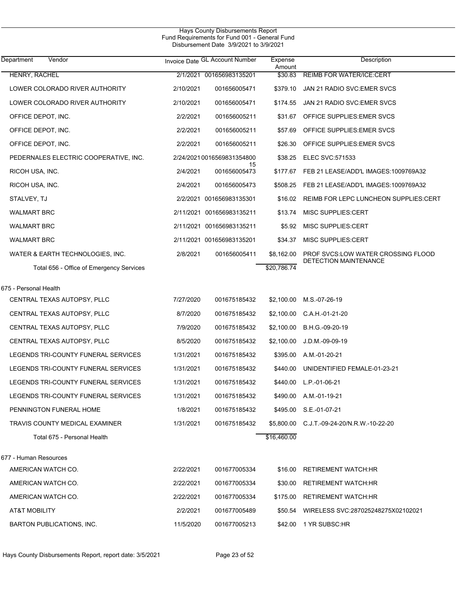| Department<br>Vendor                     |           | Invoice Date GL Account Number | Expense<br>Amount | Description                                   |
|------------------------------------------|-----------|--------------------------------|-------------------|-----------------------------------------------|
| HENRY, RACHEL                            |           | 2/1/2021 001656983135201       | \$30.83           | <b>REIMB FOR WATER/ICE:CERT</b>               |
| LOWER COLORADO RIVER AUTHORITY           | 2/10/2021 | 001656005471                   | \$379.10          | JAN 21 RADIO SVC: EMER SVCS                   |
| LOWER COLORADO RIVER AUTHORITY           | 2/10/2021 | 001656005471                   | \$174.55          | JAN 21 RADIO SVC: EMER SVCS                   |
| OFFICE DEPOT, INC.                       | 2/2/2021  | 001656005211                   | \$31.67           | OFFICE SUPPLIES: EMER SVCS                    |
| OFFICE DEPOT, INC.                       | 2/2/2021  | 001656005211                   | \$57.69           | OFFICE SUPPLIES: EMER SVCS                    |
| OFFICE DEPOT, INC.                       | 2/2/2021  | 001656005211                   | \$26.30           | OFFICE SUPPLIES: EMER SVCS                    |
| PEDERNALES ELECTRIC COOPERATIVE, INC.    |           | 2/24/20210016569831354800      | \$38.25           | <b>ELEC SVC:571533</b>                        |
| RICOH USA, INC.                          | 2/4/2021  | 15<br>001656005473             |                   | \$177.67 FEB 21 LEASE/ADD'L IMAGES:1009769A32 |
| RICOH USA, INC.                          | 2/4/2021  | 001656005473                   | \$508.25          | FEB 21 LEASE/ADD'L IMAGES: 1009769A32         |
| STALVEY, TJ                              |           | 2/2/2021 001656983135301       | \$16.02           | REIMB FOR LEPC LUNCHEON SUPPLIES:CERT         |
| <b>WALMART BRC</b>                       |           | 2/11/2021 001656983135211      | \$13.74           | MISC SUPPLIES:CERT                            |
| <b>WALMART BRC</b>                       |           | 2/11/2021 001656983135211      | \$5.92            | MISC SUPPLIES:CERT                            |
| <b>WALMART BRC</b>                       |           | 2/11/2021 001656983135201      | \$34.37           | MISC SUPPLIES:CERT                            |
| WATER & EARTH TECHNOLOGIES, INC.         | 2/8/2021  | 001656005411                   | \$8,162.00        | PROF SVCS:LOW WATER CROSSING FLOOD            |
| Total 656 - Office of Emergency Services |           |                                | \$20,786.74       | DETECTION MAINTENANCE                         |
| 675 - Personal Health                    |           |                                |                   |                                               |
| CENTRAL TEXAS AUTOPSY, PLLC              | 7/27/2020 | 001675185432                   | \$2,100.00        | M.S.-07-26-19                                 |
| CENTRAL TEXAS AUTOPSY, PLLC              | 8/7/2020  | 001675185432                   | \$2,100.00        | C.A.H.-01-21-20                               |
| CENTRAL TEXAS AUTOPSY, PLLC              | 7/9/2020  | 001675185432                   |                   | \$2,100.00 B.H.G.-09-20-19                    |
| CENTRAL TEXAS AUTOPSY, PLLC              | 8/5/2020  | 001675185432                   | \$2,100.00        | J.D.M.-09-09-19                               |
| LEGENDS TRI-COUNTY FUNERAL SERVICES      | 1/31/2021 | 001675185432                   |                   | \$395.00 A.M.-01-20-21                        |
| LEGENDS TRI-COUNTY FUNERAL SERVICES      | 1/31/2021 | 001675185432                   | \$440.00          | UNIDENTIFIED FEMALE-01-23-21                  |
| LEGENDS TRI-COUNTY FUNERAL SERVICES      | 1/31/2021 | 001675185432                   |                   | \$440.00 L.P.-01-06-21                        |
| LEGENDS TRI-COUNTY FUNERAL SERVICES      | 1/31/2021 | 001675185432                   |                   | \$490.00 A.M.-01-19-21                        |
| PENNINGTON FUNERAL HOME                  | 1/8/2021  | 001675185432                   |                   | \$495.00 S.E.-01-07-21                        |
| TRAVIS COUNTY MEDICAL EXAMINER           | 1/31/2021 | 001675185432                   |                   | \$5,800.00 C.J.T.-09-24-20/N.R.W.-10-22-20    |
| Total 675 - Personal Health              |           |                                | \$16,460.00       |                                               |
|                                          |           |                                |                   |                                               |
| 677 - Human Resources                    |           |                                |                   |                                               |
| AMERICAN WATCH CO.                       | 2/22/2021 | 001677005334                   |                   | \$16.00 RETIREMENT WATCH:HR                   |
| AMERICAN WATCH CO.                       | 2/22/2021 | 001677005334                   |                   | \$30.00 RETIREMENT WATCH:HR                   |
| AMERICAN WATCH CO.                       | 2/22/2021 | 001677005334                   |                   | \$175.00 RETIREMENT WATCH:HR                  |
| AT&T MOBILITY                            | 2/2/2021  | 001677005489                   |                   | \$50.54 WIRELESS SVC:287025248275X02102021    |
| BARTON PUBLICATIONS, INC.                | 11/5/2020 | 001677005213                   |                   | \$42.00 1 YR SUBSC:HR                         |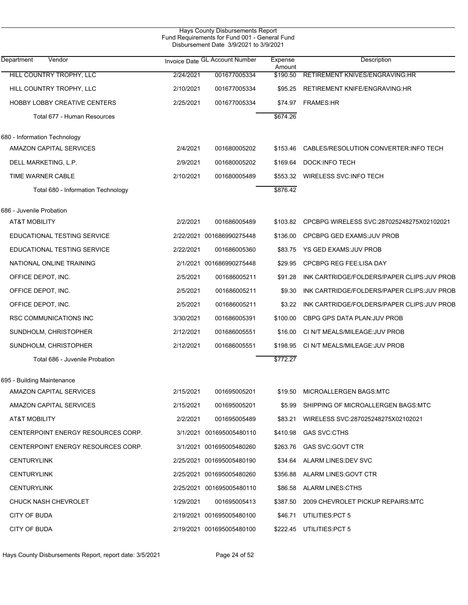| Hays County Disbursements Report<br>Fund Requirements for Fund 001 - General Fund<br>Disbursement Date 3/9/2021 to 3/9/2021 |           |                                |                   |                                            |  |  |
|-----------------------------------------------------------------------------------------------------------------------------|-----------|--------------------------------|-------------------|--------------------------------------------|--|--|
| Department<br>Vendor                                                                                                        |           | Invoice Date GL Account Number | Expense<br>Amount | Description                                |  |  |
| <b>HILL COUNTRY TROPHY, LLC</b>                                                                                             | 2/24/2021 | 001677005334                   | \$190.50          | RETIREMENT KNIVES/ENGRAVING:HR             |  |  |
| HILL COUNTRY TROPHY, LLC                                                                                                    | 2/10/2021 | 001677005334                   | \$95.25           | RETIREMENT KNIFE/ENGRAVING:HR              |  |  |
| <b>HOBBY LOBBY CREATIVE CENTERS</b>                                                                                         | 2/25/2021 | 001677005334                   | \$74.97           | <b>FRAMES:HR</b>                           |  |  |
| Total 677 - Human Resources                                                                                                 |           |                                | \$674.26          |                                            |  |  |
| 680 - Information Technology                                                                                                |           |                                |                   |                                            |  |  |
| AMAZON CAPITAL SERVICES                                                                                                     | 2/4/2021  | 001680005202                   | \$153.46          | CABLES/RESOLUTION CONVERTER: INFO TECH     |  |  |
| DELL MARKETING, L.P.                                                                                                        | 2/9/2021  | 001680005202                   | \$169.64          | DOCK: INFO TECH                            |  |  |
| TIME WARNER CABLE                                                                                                           | 2/10/2021 | 001680005489                   | \$553.32          | <b>WIRELESS SVC: INFO TECH</b>             |  |  |
| Total 680 - Information Technology                                                                                          |           |                                | \$876.42          |                                            |  |  |
| 686 - Juvenile Probation                                                                                                    |           |                                |                   |                                            |  |  |
| AT&T MOBILITY                                                                                                               | 2/2/2021  | 001686005489                   | \$103.82          | CPCBPG WIRELESS SVC:287025248275X02102021  |  |  |
| EDUCATIONAL TESTING SERVICE                                                                                                 |           | 2/22/2021 001686990275448      | \$136.00          | CPCBPG GED EXAMS: JUV PROB                 |  |  |
| EDUCATIONAL TESTING SERVICE                                                                                                 | 2/22/2021 | 001686005360                   | \$83.75           | <b>YS GED EXAMS: JUV PROB</b>              |  |  |
| NATIONAL ONLINE TRAINING                                                                                                    |           | 2/1/2021 001686990275448       | \$29.95           | <b>CPCBPG REG FEE:LISA DAY</b>             |  |  |
| OFFICE DEPOT, INC.                                                                                                          | 2/5/2021  | 001686005211                   | \$91.28           | INK CARTRIDGE/FOLDERS/PAPER CLIPS:JUV PROB |  |  |
| OFFICE DEPOT, INC.                                                                                                          | 2/5/2021  | 001686005211                   | \$9.30            | INK CARTRIDGE/FOLDERS/PAPER CLIPS:JUV PROB |  |  |
| OFFICE DEPOT, INC.                                                                                                          | 2/5/2021  | 001686005211                   | \$3.22            | INK CARTRIDGE/FOLDERS/PAPER CLIPS:JUV PROB |  |  |
| RSC COMMUNICATIONS INC                                                                                                      | 3/30/2021 | 001686005391                   | \$100.00          | CBPG GPS DATA PLAN: JUV PROB               |  |  |
| SUNDHOLM, CHRISTOPHER                                                                                                       | 2/12/2021 | 001686005551                   | \$16.00           | CI N/T MEALS/MILEAGE: JUV PROB             |  |  |
| SUNDHOLM, CHRISTOPHER                                                                                                       | 2/12/2021 | 001686005551                   | \$198.95          | CI N/T MEALS/MILEAGE: JUV PROB             |  |  |
| Total 686 - Juvenile Probation                                                                                              |           |                                | \$772.27          |                                            |  |  |
| 695 - Building Maintenance                                                                                                  |           |                                |                   |                                            |  |  |
| AMAZON CAPITAL SERVICES                                                                                                     | 2/15/2021 | 001695005201                   | \$19.50           | MICROALLERGEN BAGS: MTC                    |  |  |
| AMAZON CAPITAL SERVICES                                                                                                     | 2/15/2021 | 001695005201                   | \$5.99            | SHIPPING OF MICROALLERGEN BAGS MTC         |  |  |
| AT&T MOBILITY                                                                                                               | 2/2/2021  | 001695005489                   | \$83.21           | WIRELESS SVC:287025248275X02102021         |  |  |
| CENTERPOINT ENERGY RESOURCES CORP.                                                                                          |           | 3/1/2021 001695005480110       | \$410.98          | GAS SVC CTHS                               |  |  |
| CENTERPOINT ENERGY RESOURCES CORP.                                                                                          |           | 3/1/2021 001695005480260       | \$263.76          | GAS SVC: GOVT CTR                          |  |  |
| <b>CENTURYLINK</b>                                                                                                          |           | 2/25/2021 001695005480190      |                   | \$34.64 ALARM LINES: DEV SVC               |  |  |
| <b>CENTURYLINK</b>                                                                                                          |           | 2/25/2021 001695005480260      | \$356.88          | ALARM LINES: GOVT CTR                      |  |  |
| <b>CENTURYLINK</b>                                                                                                          |           | 2/25/2021 001695005480110      | \$86.58           | <b>ALARM LINES:CTHS</b>                    |  |  |
| CHUCK NASH CHEVROLET                                                                                                        | 1/29/2021 | 001695005413                   | \$387.50          | 2009 CHEVROLET PICKUP REPAIRS:MTC          |  |  |
| CITY OF BUDA                                                                                                                |           | 2/19/2021 001695005480100      | \$46.71           | UTILITIES: PCT 5                           |  |  |
| CITY OF BUDA                                                                                                                |           | 2/19/2021 001695005480100      |                   | \$222.45 UTILITIES:PCT 5                   |  |  |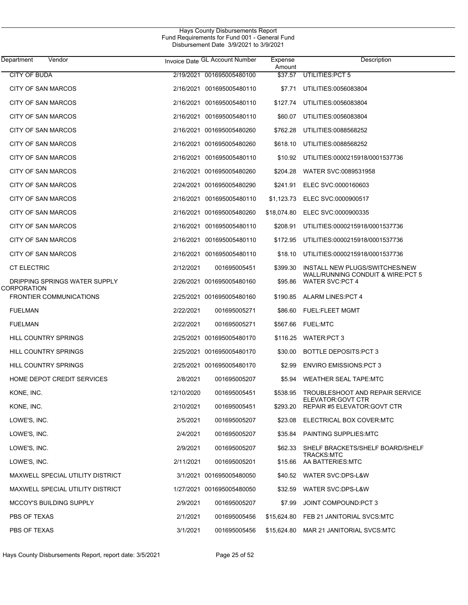| Department                | Vendor                            |            | Invoice Date GL Account Number | Expense<br>Amount | Description                                               |
|---------------------------|-----------------------------------|------------|--------------------------------|-------------------|-----------------------------------------------------------|
| <b>CITY OF BUDA</b>       |                                   |            | 2/19/2021 001695005480100      | \$37.57           | UTILITIES: PCT 5                                          |
| CITY OF SAN MARCOS        |                                   |            | 2/16/2021 001695005480110      | \$7.71            | UTILITIES:0056083804                                      |
| <b>CITY OF SAN MARCOS</b> |                                   |            | 2/16/2021 001695005480110      | \$127.74          | UTILITIES:0056083804                                      |
| <b>CITY OF SAN MARCOS</b> |                                   |            | 2/16/2021 001695005480110      | \$60.07           | UTILITIES:0056083804                                      |
| CITY OF SAN MARCOS        |                                   |            | 2/16/2021 001695005480260      | \$762.28          | UTILITIES:0088568252                                      |
| CITY OF SAN MARCOS        |                                   |            | 2/16/2021 001695005480260      | \$618.10          | UTILITIES:0088568252                                      |
| CITY OF SAN MARCOS        |                                   |            | 2/16/2021 001695005480110      | \$10.92           | UTILITIES:0000215918/0001537736                           |
| CITY OF SAN MARCOS        |                                   |            | 2/16/2021 001695005480260      | \$204.28          | WATER SVC:0089531958                                      |
| CITY OF SAN MARCOS        |                                   |            | 2/24/2021 001695005480290      | \$241.91          | ELEC SVC:0000160603                                       |
| CITY OF SAN MARCOS        |                                   |            | 2/16/2021 001695005480110      | \$1,123.73        | ELEC SVC:0000900517                                       |
| CITY OF SAN MARCOS        |                                   |            | 2/16/2021 001695005480260      | \$18,074.80       | ELEC SVC:0000900335                                       |
| CITY OF SAN MARCOS        |                                   | 2/16/2021  | 001695005480110                | \$208.91          | UTILITIES:0000215918/0001537736                           |
| CITY OF SAN MARCOS        |                                   |            | 2/16/2021 001695005480110      | \$172.95          | UTILITIES:0000215918/0001537736                           |
| <b>CITY OF SAN MARCOS</b> |                                   |            | 2/16/2021 001695005480110      | \$18.10           | UTILITIES:0000215918/0001537736                           |
| <b>CT ELECTRIC</b>        |                                   | 2/12/2021  | 001695005451                   | \$399.30          | INSTALL NEW PLUGS/SWITCHES/NEW                            |
| CORPORATION               | DRIPPING SPRINGS WATER SUPPLY     |            | 2/26/2021 001695005480160      | \$95.86           | WALL/RUNNING CONDUIT & WIRE:PCT 5<br>WATER SVC:PCT 4      |
|                           | <b>FRONTIER COMMUNICATIONS</b>    |            | 2/25/2021 001695005480160      | \$190.85          | ALARM LINES: PCT 4                                        |
| <b>FUELMAN</b>            |                                   | 2/22/2021  | 001695005271                   | \$86.60           | <b>FUEL:FLEET MGMT</b>                                    |
| <b>FUELMAN</b>            |                                   | 2/22/2021  | 001695005271                   | \$567.66          | <b>FUEL:MTC</b>                                           |
| HILL COUNTRY SPRINGS      |                                   |            | 2/25/2021 001695005480170      | \$116.25          | WATER:PCT 3                                               |
| HILL COUNTRY SPRINGS      |                                   |            | 2/25/2021 001695005480170      | \$30.00           | BOTTLE DEPOSITS: PCT 3                                    |
| HILL COUNTRY SPRINGS      |                                   |            | 2/25/2021 001695005480170      | \$2.99            | <b>ENVIRO EMISSIONS PCT 3</b>                             |
|                           | <b>HOME DEPOT CREDIT SERVICES</b> | 2/8/2021   | 001695005207                   | \$5.94            | WEATHER SEAL TAPE MTC                                     |
| KONE, INC.                |                                   | 12/10/2020 | 001695005451                   | \$538.95          | TROUBLESHOOT AND REPAIR SERVICE                           |
| KONE, INC.                |                                   | 2/10/2021  | 001695005451                   | \$293.20          | ELEVATOR: GOVT CTR<br><b>REPAIR #5 ELEVATOR: GOVT CTR</b> |
| LOWE'S, INC.              |                                   | 2/5/2021   | 001695005207                   | \$23.08           | ELECTRICAL BOX COVER:MTC                                  |
| LOWE'S, INC.              |                                   | 2/4/2021   | 001695005207                   | \$35.84           | <b>PAINTING SUPPLIES MTC</b>                              |
| LOWE'S, INC.              |                                   | 2/9/2021   | 001695005207                   | \$62.33           | SHELF BRACKETS/SHELF BOARD/SHELF                          |
| LOWE'S, INC.              |                                   | 2/11/2021  | 001695005201                   | \$15.66           | <b>TRACKS:MTC</b><br>AA BATTERIES:MTC                     |
|                           | MAXWELL SPECIAL UTILITY DISTRICT  |            | 3/1/2021 001695005480050       |                   | \$40.52 WATER SVC:DPS-L&W                                 |
|                           | MAXWELL SPECIAL UTILITY DISTRICT  |            | 1/27/2021 001695005480050      | \$32.59           | WATER SVC:DPS-L&W                                         |
|                           | MCCOY'S BUILDING SUPPLY           | 2/9/2021   | 001695005207                   | \$7.99            | JOINT COMPOUND: PCT 3                                     |
| PBS OF TEXAS              |                                   | 2/1/2021   | 001695005456                   | \$15,624.80       | FEB 21 JANITORIAL SVCS:MTC                                |
| PBS OF TEXAS              |                                   | 3/1/2021   | 001695005456                   | \$15,624.80       | MAR 21 JANITORIAL SVCS:MTC                                |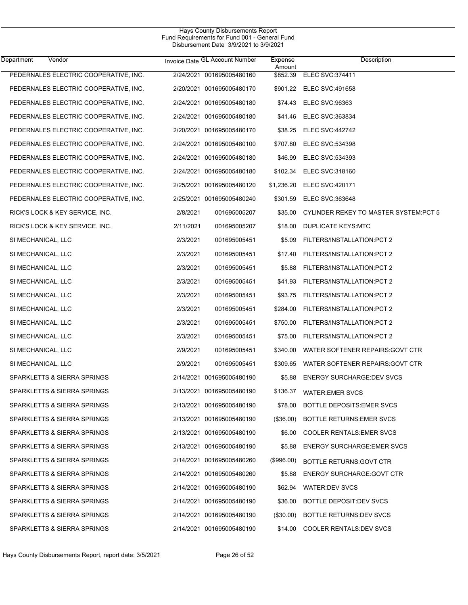| Department<br>Vendor                  |           | Invoice Date GL Account Number | Expense<br>Amount | Description                            |
|---------------------------------------|-----------|--------------------------------|-------------------|----------------------------------------|
| PEDERNALES ELECTRIC COOPERATIVE, INC. |           | 2/24/2021 001695005480160      | \$852.39          | <b>ELEC SVC: 374411</b>                |
| PEDERNALES ELECTRIC COOPERATIVE, INC. |           | 2/20/2021 001695005480170      |                   | \$901.22 ELEC SVC:491658               |
| PEDERNALES ELECTRIC COOPERATIVE, INC. |           | 2/24/2021 001695005480180      |                   | \$74.43 ELEC SVC:96363                 |
| PEDERNALES ELECTRIC COOPERATIVE, INC. |           | 2/24/2021 001695005480180      | \$41.46           | ELEC SVC:363834                        |
| PEDERNALES ELECTRIC COOPERATIVE, INC. |           | 2/20/2021 001695005480170      | \$38.25           | <b>ELEC SVC:442742</b>                 |
| PEDERNALES ELECTRIC COOPERATIVE, INC. |           | 2/24/2021 001695005480100      | \$707.80          | <b>ELEC SVC:534398</b>                 |
| PEDERNALES ELECTRIC COOPERATIVE, INC. |           | 2/24/2021 001695005480180      | \$46.99           | ELEC SVC:534393                        |
| PEDERNALES ELECTRIC COOPERATIVE, INC. |           | 2/24/2021 001695005480180      | \$102.34          | ELEC SVC:318160                        |
| PEDERNALES ELECTRIC COOPERATIVE, INC. |           | 2/25/2021 001695005480120      | \$1,236.20        | ELEC SVC:420171                        |
| PEDERNALES ELECTRIC COOPERATIVE, INC. |           | 2/25/2021 001695005480240      | \$301.59          | ELEC SVC:363648                        |
| RICK'S LOCK & KEY SERVICE, INC.       | 2/8/2021  | 001695005207                   | \$35.00           | CYLINDER REKEY TO MASTER SYSTEM: PCT 5 |
| RICK'S LOCK & KEY SERVICE, INC.       | 2/11/2021 | 001695005207                   | \$18.00           | DUPLICATE KEYS MTC                     |
| SI MECHANICAL, LLC                    | 2/3/2021  | 001695005451                   | \$5.09            | FILTERS/INSTALLATION:PCT 2             |
| SI MECHANICAL, LLC                    | 2/3/2021  | 001695005451                   | \$17.40           | FILTERS/INSTALLATION:PCT 2             |
| SI MECHANICAL, LLC                    | 2/3/2021  | 001695005451                   | \$5.88            | FILTERS/INSTALLATION:PCT 2             |
| SI MECHANICAL, LLC                    | 2/3/2021  | 001695005451                   | \$41.93           | FILTERS/INSTALLATION:PCT 2             |
| SI MECHANICAL, LLC                    | 2/3/2021  | 001695005451                   | \$93.75           | FILTERS/INSTALLATION:PCT 2             |
| SI MECHANICAL, LLC                    | 2/3/2021  | 001695005451                   | \$284.00          | FILTERS/INSTALLATION:PCT 2             |
| SI MECHANICAL, LLC                    | 2/3/2021  | 001695005451                   | \$750.00          | FILTERS/INSTALLATION:PCT 2             |
| SI MECHANICAL, LLC                    | 2/3/2021  | 001695005451                   | \$75.00           | FILTERS/INSTALLATION:PCT 2             |
| SI MECHANICAL, LLC                    | 2/9/2021  | 001695005451                   | \$340.00          | WATER SOFTENER REPAIRS: GOVT CTR       |
| SI MECHANICAL, LLC                    | 2/9/2021  | 001695005451                   | \$309.65          | WATER SOFTENER REPAIRS: GOVT CTR       |
| SPARKLETTS & SIERRA SPRINGS           |           | 2/14/2021 001695005480190      | \$5.88            | <b>ENERGY SURCHARGE:DEV SVCS</b>       |
| SPARKLETTS & SIERRA SPRINGS           |           | 2/13/2021 001695005480190      | \$136.37          | <b>WATER: EMER SVCS</b>                |
| SPARKLETTS & SIERRA SPRINGS           |           | 2/13/2021 001695005480190      |                   | \$78.00 BOTTLE DEPOSITS: EMER SVCS     |
| SPARKLETTS & SIERRA SPRINGS           |           | 2/13/2021 001695005480190      | $(\$36.00)$       | <b>BOTTLE RETURNS EMER SVCS</b>        |
| SPARKLETTS & SIERRA SPRINGS           |           | 2/13/2021 001695005480190      | \$6.00            | <b>COOLER RENTALS: EMER SVCS</b>       |
| SPARKLETTS & SIERRA SPRINGS           |           | 2/13/2021 001695005480190      | \$5.88            | <b>ENERGY SURCHARGE: EMER SVCS</b>     |
| SPARKLETTS & SIERRA SPRINGS           |           | 2/14/2021 001695005480260      | (\$996.00)        | <b>BOTTLE RETURNS: GOVT CTR</b>        |
| SPARKLETTS & SIERRA SPRINGS           |           | 2/14/2021 001695005480260      | \$5.88            | <b>ENERGY SURCHARGE GOVT CTR</b>       |
| SPARKLETTS & SIERRA SPRINGS           |           | 2/14/2021 001695005480190      | \$62.94           | <b>WATER DEV SVCS</b>                  |
| SPARKLETTS & SIERRA SPRINGS           |           | 2/14/2021 001695005480190      | \$36.00           | BOTTLE DEPOSIT:DEV SVCS                |
| SPARKLETTS & SIERRA SPRINGS           |           | 2/14/2021 001695005480190      | $(\$30.00)$       | BOTTLE RETURNS: DEV SVCS               |
| SPARKLETTS & SIERRA SPRINGS           |           | 2/14/2021 001695005480190      | \$14.00           | <b>COOLER RENTALS: DEV SVCS</b>        |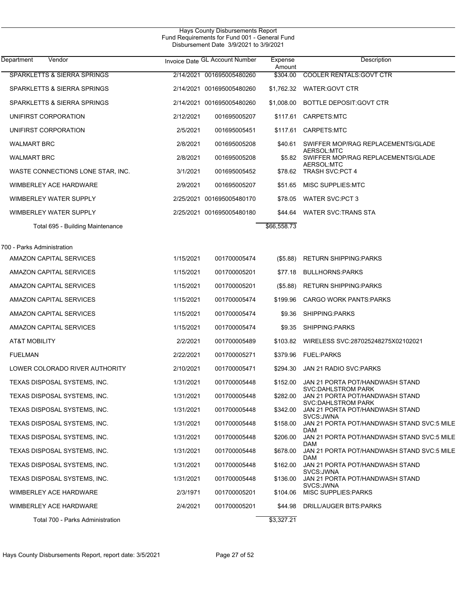| Department<br>Vendor                                  |           | Invoice Date GL Account Number | Expense<br>Amount | Description                                                  |
|-------------------------------------------------------|-----------|--------------------------------|-------------------|--------------------------------------------------------------|
| <b>SPARKLETTS &amp; SIERRA SPRINGS</b>                | 2/14/2021 | 001695005480260                | \$304.00          | <b>COOLER RENTALS: GOVT CTR</b>                              |
| SPARKLETTS & SIERRA SPRINGS                           |           | 2/14/2021 001695005480260      | \$1,762.32        | WATER: GOVT CTR                                              |
| SPARKLETTS & SIERRA SPRINGS                           | 2/14/2021 | 001695005480260                | \$1,008.00        | <b>BOTTLE DEPOSIT: GOVT CTR</b>                              |
| UNIFIRST CORPORATION                                  | 2/12/2021 | 001695005207                   | \$117.61          | CARPETS:MTC                                                  |
| UNIFIRST CORPORATION                                  | 2/5/2021  | 001695005451                   | \$117.61          | CARPETS:MTC                                                  |
| <b>WALMART BRC</b>                                    | 2/8/2021  | 001695005208                   | \$40.61           | SWIFFER MOP/RAG REPLACEMENTS/GLADE                           |
| <b>WALMART BRC</b>                                    | 2/8/2021  | 001695005208                   | \$5.82            | AERSOL:MTC<br>SWIFFER MOP/RAG REPLACEMENTS/GLADE             |
| WASTE CONNECTIONS LONE STAR, INC.                     | 3/1/2021  | 001695005452                   | \$78.62           | AERSOL:MTC<br><b>TRASH SVC:PCT 4</b>                         |
| WIMBERLEY ACE HARDWARE                                | 2/9/2021  | 001695005207                   | \$51.65           | MISC SUPPLIES MTC                                            |
| WIMBERLEY WATER SUPPLY                                | 2/25/2021 | 001695005480170                | \$78.05           | <b>WATER SVC:PCT 3</b>                                       |
| WIMBERLEY WATER SUPPLY                                |           | 2/25/2021 001695005480180      | \$44.64           | <b>WATER SVC TRANS STA</b>                                   |
| Total 695 - Building Maintenance                      |           |                                | \$66,558.73       |                                                              |
|                                                       |           |                                |                   |                                                              |
| 700 - Parks Administration<br>AMAZON CAPITAL SERVICES | 1/15/2021 | 001700005474                   | (\$5.88)          | <b>RETURN SHIPPING:PARKS</b>                                 |
| <b>AMAZON CAPITAL SERVICES</b>                        | 1/15/2021 | 001700005201                   | \$77.18           | <b>BULLHORNS:PARKS</b>                                       |
| AMAZON CAPITAL SERVICES                               | 1/15/2021 | 001700005201                   | (\$5.88)          | <b>RETURN SHIPPING:PARKS</b>                                 |
| AMAZON CAPITAL SERVICES                               | 1/15/2021 | 001700005474                   | \$199.96          | <b>CARGO WORK PANTS PARKS</b>                                |
| AMAZON CAPITAL SERVICES                               | 1/15/2021 | 001700005474                   | \$9.36            | SHIPPING:PARKS                                               |
| AMAZON CAPITAL SERVICES                               | 1/15/2021 | 001700005474                   | \$9.35            | SHIPPING:PARKS                                               |
| AT&T MOBILITY                                         | 2/2/2021  | 001700005489                   | \$103.82          | WIRELESS SVC:287025248275X02102021                           |
| <b>FUELMAN</b>                                        | 2/22/2021 | 001700005271                   | \$379.96          | <b>FUEL:PARKS</b>                                            |
| LOWER COLORADO RIVER AUTHORITY                        | 2/10/2021 | 001700005471                   | \$294.30          | JAN 21 RADIO SVC PARKS                                       |
| TEXAS DISPOSAL SYSTEMS, INC.                          | 1/31/2021 | 001700005448                   | \$152.00          | JAN 21 PORTA POT/HANDWASH STAND                              |
| TEXAS DISPOSAL SYSTEMS, INC.                          | 1/31/2021 | 001700005448                   | \$282.00          | <b>SVC:DAHLSTROM PARK</b><br>JAN 21 PORTA POT/HANDWASH STAND |
| TEXAS DISPOSAL SYSTEMS, INC.                          | 1/31/2021 | 001700005448                   | \$342.00          | <b>SVC:DAHLSTROM PARK</b><br>JAN 21 PORTA POT/HANDWASH STAND |
| TEXAS DISPOSAL SYSTEMS, INC.                          | 1/31/2021 | 001700005448                   | \$158.00          | SVCS: JWNA<br>JAN 21 PORTA POT/HANDWASH STAND SVC:5 MILE     |
| TEXAS DISPOSAL SYSTEMS, INC.                          | 1/31/2021 | 001700005448                   | \$206.00          | DAM<br>JAN 21 PORTA POT/HANDWASH STAND SVC:5 MILE            |
| TEXAS DISPOSAL SYSTEMS, INC.                          | 1/31/2021 | 001700005448                   | \$678.00          | DAM<br>JAN 21 PORTA POT/HANDWASH STAND SVC:5 MILE            |
| TEXAS DISPOSAL SYSTEMS, INC.                          | 1/31/2021 | 001700005448                   | \$162.00          | DAM<br>JAN 21 PORTA POT/HANDWASH STAND                       |
| TEXAS DISPOSAL SYSTEMS, INC.                          | 1/31/2021 | 001700005448                   | \$136.00          | SVCS:JWNA<br>JAN 21 PORTA POT/HANDWASH STAND                 |
| WIMBERLEY ACE HARDWARE                                | 2/3/1971  | 001700005201                   | \$104.06          | SVCS: JWNA<br><b>MISC SUPPLIES: PARKS</b>                    |
| WIMBERLEY ACE HARDWARE                                | 2/4/2021  | 001700005201                   | \$44.98           | DRILL/AUGER BITS:PARKS                                       |
| Total 700 - Parks Administration                      |           |                                | \$3,327.21        |                                                              |
|                                                       |           |                                |                   |                                                              |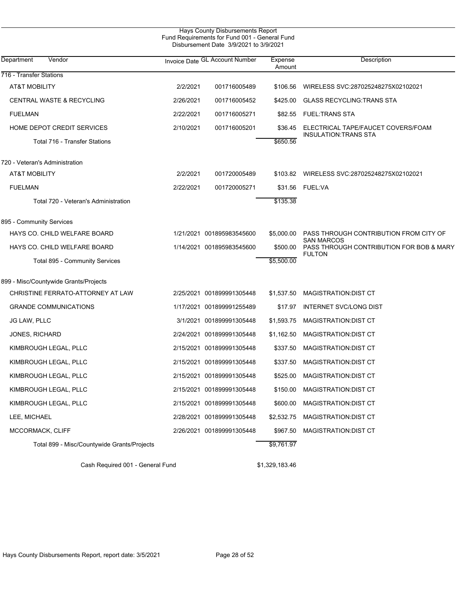| <b>Hays County Disbursements Report</b><br>Fund Requirements for Fund 001 - General Fund<br>Disbursement Date 3/9/2021 to 3/9/2021 |           |                                |                   |                                                                   |  |  |
|------------------------------------------------------------------------------------------------------------------------------------|-----------|--------------------------------|-------------------|-------------------------------------------------------------------|--|--|
| Vendor<br>Department                                                                                                               |           | Invoice Date GL Account Number | Expense<br>Amount | Description                                                       |  |  |
| 716 - Transfer Stations                                                                                                            |           |                                |                   |                                                                   |  |  |
| AT&T MOBILITY                                                                                                                      | 2/2/2021  | 001716005489                   | \$106.56          | WIRELESS SVC:287025248275X02102021                                |  |  |
| <b>CENTRAL WASTE &amp; RECYCLING</b>                                                                                               | 2/26/2021 | 001716005452                   | \$425.00          | <b>GLASS RECYCLING: TRANS STA</b>                                 |  |  |
| <b>FUELMAN</b>                                                                                                                     | 2/22/2021 | 001716005271                   | \$82.55           | <b>FUEL:TRANS STA</b>                                             |  |  |
| HOME DEPOT CREDIT SERVICES                                                                                                         | 2/10/2021 | 001716005201                   | \$36.45           | ELECTRICAL TAPE/FAUCET COVERS/FOAM<br><b>INSULATION:TRANS STA</b> |  |  |
| Total 716 - Transfer Stations                                                                                                      |           |                                | \$650.56          |                                                                   |  |  |
| 720 - Veteran's Administration                                                                                                     |           |                                |                   |                                                                   |  |  |
| AT&T MOBILITY                                                                                                                      | 2/2/2021  | 001720005489                   | \$103.82          | WIRELESS SVC:287025248275X02102021                                |  |  |
| <b>FUELMAN</b>                                                                                                                     | 2/22/2021 | 001720005271                   | \$31.56           | <b>FUEL:VA</b>                                                    |  |  |
| Total 720 - Veteran's Administration                                                                                               |           |                                | \$135.38          |                                                                   |  |  |
| 895 - Community Services                                                                                                           |           |                                |                   |                                                                   |  |  |
| HAYS CO. CHILD WELFARE BOARD                                                                                                       |           | 1/21/2021 001895983545600      | \$5,000.00        | PASS THROUGH CONTRIBUTION FROM CITY OF                            |  |  |
| HAYS CO. CHILD WELFARE BOARD                                                                                                       |           | 1/14/2021 001895983545600      | \$500.00          | <b>SAN MARCOS</b><br>PASS THROUGH CONTRIBUTION FOR BOB & MARY     |  |  |
| Total 895 - Community Services                                                                                                     |           |                                | \$5,500.00        | <b>FULTON</b>                                                     |  |  |
| 899 - Misc/Countywide Grants/Projects                                                                                              |           |                                |                   |                                                                   |  |  |
| CHRISTINE FERRATO-ATTORNEY AT LAW                                                                                                  |           | 2/25/2021 001899991305448      | \$1,537.50        | <b>MAGISTRATION:DIST CT</b>                                       |  |  |
| <b>GRANDE COMMUNICATIONS</b>                                                                                                       |           | 1/17/2021 001899991255489      | \$17.97           | INTERNET SVC/LONG DIST                                            |  |  |
| JG LAW, PLLC                                                                                                                       |           | 3/1/2021 001899991305448       | \$1,593.75        | <b>MAGISTRATION:DIST CT</b>                                       |  |  |
| <b>JONES, RICHARD</b>                                                                                                              |           | 2/24/2021 001899991305448      | \$1,162.50        | <b>MAGISTRATION:DIST CT</b>                                       |  |  |
| KIMBROUGH LEGAL, PLLC                                                                                                              |           | 2/15/2021 001899991305448      | \$337.50          | MAGISTRATION: DIST CT                                             |  |  |
| KIMBROUGH LEGAL, PLLC                                                                                                              |           | 2/15/2021 001899991305448      | \$337.50          | <b>MAGISTRATION:DIST CT</b>                                       |  |  |
| KIMBROUGH LEGAL, PLLC                                                                                                              |           | 2/15/2021 001899991305448      | \$525.00          | MAGISTRATION: DIST CT                                             |  |  |
| KIMBROUGH LEGAL, PLLC                                                                                                              |           | 2/15/2021 001899991305448      | \$150.00          | MAGISTRATION: DIST CT                                             |  |  |
| KIMBROUGH LEGAL, PLLC                                                                                                              |           | 2/15/2021 001899991305448      | \$600.00          | MAGISTRATION: DIST CT                                             |  |  |
| LEE, MICHAEL                                                                                                                       |           | 2/28/2021 001899991305448      | \$2,532.75        | MAGISTRATION: DIST CT                                             |  |  |
| MCCORMACK, CLIFF                                                                                                                   |           | 2/26/2021 001899991305448      | \$967.50          | MAGISTRATION: DIST CT                                             |  |  |
| Total 899 - Misc/Countywide Grants/Projects                                                                                        |           |                                | \$9,761.97        |                                                                   |  |  |
|                                                                                                                                    |           |                                |                   |                                                                   |  |  |

Cash Required 001 - General Fund \$1,329,183.46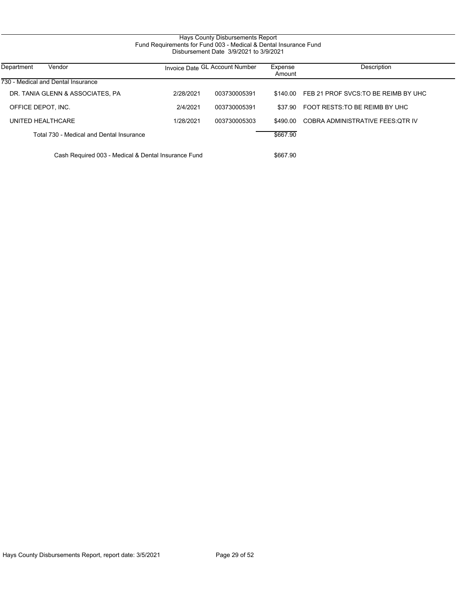# Hays County Disbursements Report Fund Requirements for Fund 003 - Medical & Dental Insurance Fund Disbursement Date 3/9/2021 to 3/9/2021

| Department<br>Vendor                                | Invoice Date GL Account Number |              | Expense<br>Amount | Description                          |
|-----------------------------------------------------|--------------------------------|--------------|-------------------|--------------------------------------|
| 730 - Medical and Dental Insurance                  |                                |              |                   |                                      |
| DR. TANIA GLENN & ASSOCIATES, PA                    | 2/28/2021                      | 003730005391 | \$140.00          | FEB 21 PROF SVCS: TO BE REIMB BY UHC |
| OFFICE DEPOT, INC.                                  | 2/4/2021                       | 003730005391 | \$37.90           | FOOT RESTS: TO BE REIMB BY UHC       |
| UNITED HEALTHCARE                                   | 1/28/2021                      | 003730005303 | \$490.00          | COBRA ADMINISTRATIVE FEES OTR IV     |
| Total 730 - Medical and Dental Insurance            |                                |              | \$667.90          |                                      |
| Cash Required 003 - Medical & Dental Insurance Fund |                                |              | \$667.90          |                                      |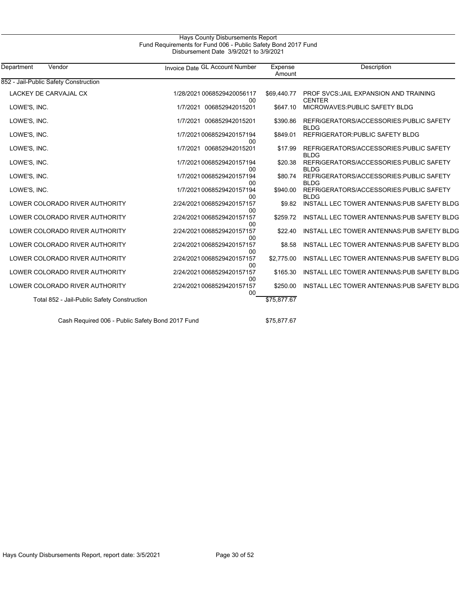## Hays County Disbursements Report Fund Requirements for Fund 006 - Public Safety Bond 2017 Fund Disbursement Date 3/9/2021 to 3/9/2021

| Department<br>Vendor                        | Invoice Date GL Account Number              | Expense<br>Amount | Description                                             |
|---------------------------------------------|---------------------------------------------|-------------------|---------------------------------------------------------|
| 852 - Jail-Public Safety Construction       |                                             |                   |                                                         |
| LACKEY DE CARVAJAL CX                       | 1/28/2021 0068529420056117<br>00            | \$69,440.77       | PROF SVCS: JAIL EXPANSION AND TRAINING<br><b>CENTER</b> |
| LOWE'S, INC.                                | 1/7/2021 006852942015201                    | \$647.10          | MICROWAVES: PUBLIC SAFETY BLDG                          |
| LOWE'S, INC.                                | 1/7/2021 006852942015201                    | \$390.86          | REFRIGERATORS/ACCESSORIES: PUBLIC SAFETY<br><b>BLDG</b> |
| LOWE'S, INC.                                | 1/7/2021 0068529420157194<br>00             | \$849.01          | REFRIGERATOR: PUBLIC SAFETY BLDG                        |
| LOWE'S, INC.                                | 1/7/2021 006852942015201                    | \$17.99           | REFRIGERATORS/ACCESSORIES.PUBLIC SAFETY<br><b>BLDG</b>  |
| LOWE'S, INC.                                | 1/7/2021 0068529420157194<br>00             | \$20.38           | REFRIGERATORS/ACCESSORIES: PUBLIC SAFETY<br><b>BLDG</b> |
| LOWE'S, INC.                                | 1/7/2021 0068529420157194<br>00             | \$80.74           | REFRIGERATORS/ACCESSORIES: PUBLIC SAFETY<br><b>BLDG</b> |
| LOWE'S, INC.                                | 1/7/2021 0068529420157194<br>00             | \$940.00          | REFRIGERATORS/ACCESSORIES: PUBLIC SAFETY<br><b>BLDG</b> |
| LOWER COLORADO RIVER AUTHORITY              | 2/24/20210068529420157157<br>00             | \$9.82            | INSTALL LEC TOWER ANTENNAS: PUB SAFETY BLDG             |
| LOWER COLORADO RIVER AUTHORITY              | 2/24/20210068529420157157<br>00             | \$259.72          | INSTALL LEC TOWER ANTENNAS PUB SAFETY BLDG              |
| LOWER COLORADO RIVER AUTHORITY              | 2/24/2021 0068529420157157<br>00            | \$22.40           | INSTALL LEC TOWER ANTENNAS: PUB SAFETY BLDG             |
| LOWER COLORADO RIVER AUTHORITY              | 2/24/2021 0068529420157157<br>00            | \$8.58            | INSTALL LEC TOWER ANTENNAS: PUB SAFETY BLDG             |
| LOWER COLORADO RIVER AUTHORITY              | 2/24/20210068529420157157<br>00             | \$2,775.00        | INSTALL LEC TOWER ANTENNAS: PUB SAFETY BLDG             |
| LOWER COLORADO RIVER AUTHORITY              | 2/24/2021 0068529420157157<br>00            | \$165.30          | INSTALL LEC TOWER ANTENNAS. PUB SAFETY BLDG             |
| LOWER COLORADO RIVER AUTHORITY              | 2/24/20210068529420157157<br>0 <sub>0</sub> | \$250.00          | INSTALL LEC TOWER ANTENNAS. PUB SAFETY BLDG             |
| Total 852 - Jail-Public Safety Construction |                                             | \$75,877.67       |                                                         |
|                                             |                                             |                   |                                                         |

Cash Required 006 - Public Safety Bond 2017 Fund \$75,877.67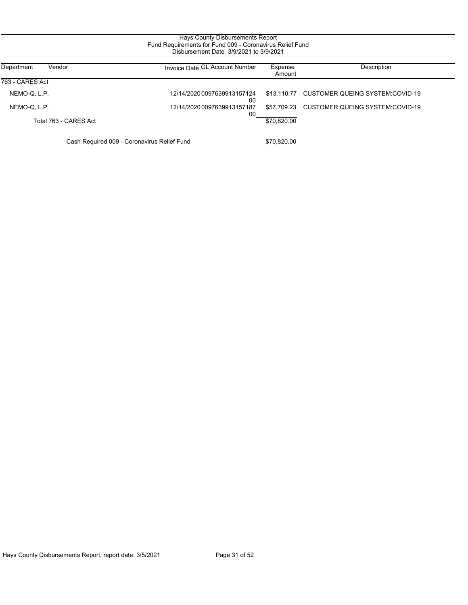| Department<br>Vendor  | Invoice Date GL Account Number    | Expense<br>Amount | Description                                 |
|-----------------------|-----------------------------------|-------------------|---------------------------------------------|
| 763 - CARES Act       |                                   |                   |                                             |
| NEMO-Q, L.P.          | 12/14/2020 0097639913157124<br>00 |                   | \$13,110.77 CUSTOMER QUEING SYSTEM:COVID-19 |
| NEMO-Q, L.P.          | 12/14/2020 0097639913157187<br>00 |                   | \$57.709.23 CUSTOMER QUEING SYSTEM:COVID-19 |
| Total 763 - CARES Act |                                   | \$70.820.00       |                                             |
|                       |                                   |                   |                                             |

Cash Required 009 - Coronavirus Relief Fund \$70,820.00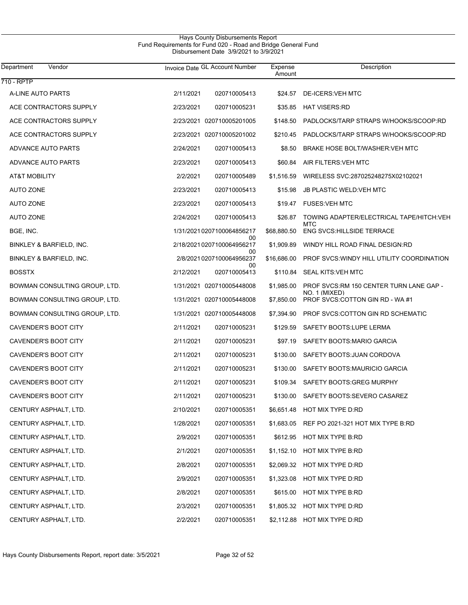| Department<br>Vendor          | Invoice Date GL Account Number        | Expense<br>Amount | Description                                              |
|-------------------------------|---------------------------------------|-------------------|----------------------------------------------------------|
| 710 - RPTP                    |                                       |                   |                                                          |
| A-LINE AUTO PARTS             | 2/11/2021<br>020710005413             | \$24.57           | DE-ICERS: VEH MTC                                        |
| ACE CONTRACTORS SUPPLY        | 2/23/2021<br>020710005231             | \$35.85           | <b>HAT VISERS:RD</b>                                     |
| ACE CONTRACTORS SUPPLY        | 2/23/2021 020710005201005             | \$148.50          | PADLOCKS/TARP STRAPS W/HOOKS/SCOOP:RD                    |
| ACE CONTRACTORS SUPPLY        | 2/23/2021 020710005201002             | \$210.45          | PADLOCKS/TARP STRAPS W/HOOKS/SCOOP:RD                    |
| ADVANCE AUTO PARTS            | 2/24/2021<br>020710005413             | \$8.50            | BRAKE HOSE BOLT/WASHER: VEH MTC                          |
| ADVANCE AUTO PARTS            | 2/23/2021<br>020710005413             | \$60.84           | AIR FILTERS: VEH MTC                                     |
| AT&T MOBILITY                 | 2/2/2021<br>020710005489              | \$1,516.59        | WIRELESS SVC:287025248275X02102021                       |
| <b>AUTO ZONE</b>              | 2/23/2021<br>020710005413             | \$15.98           | <b>JB PLASTIC WELD VEH MTC</b>                           |
| <b>AUTO ZONE</b>              | 2/23/2021<br>020710005413             |                   | \$19.47 FUSES VEH MTC                                    |
| <b>AUTO ZONE</b>              | 2/24/2021<br>020710005413             | \$26.87           | TOWING ADAPTER/ELECTRICAL TAPE/HITCH:VEH<br>MTC          |
| BGE, INC.                     | 1/31/2021 0207100064856217            | \$68,880.50       | <b>ENG SVCS:HILLSIDE TERRACE</b>                         |
| BINKLEY & BARFIELD, INC.      | 00<br>2/18/20210207100064956217<br>00 | \$1,909.89        | WINDY HILL ROAD FINAL DESIGN:RD                          |
| BINKLEY & BARFIELD, INC.      | 2/8/2021 0207100064956237<br>00       | \$16,686.00       | PROF SVCS: WINDY HILL UTILITY COORDINATION               |
| <b>BOSSTX</b>                 | 2/12/2021<br>020710005413             | \$110.84          | SEAL KITS:VEH MTC                                        |
| BOWMAN CONSULTING GROUP, LTD. | 1/31/2021 020710005448008             | \$1,985.00        | PROF SVCS:RM 150 CENTER TURN LANE GAP -<br>NO. 1 (MIXED) |
| BOWMAN CONSULTING GROUP, LTD. | 1/31/2021 020710005448008             | \$7,850.00        | PROF SVCS: COTTON GIN RD - WA #1                         |
| BOWMAN CONSULTING GROUP, LTD. | 1/31/2021 020710005448008             | \$7,394.90        | PROF SVCS:COTTON GIN RD SCHEMATIC                        |
| CAVENDER'S BOOT CITY          | 2/11/2021<br>020710005231             | \$129.59          | SAFETY BOOTS: LUPE LERMA                                 |
| CAVENDER'S BOOT CITY          | 2/11/2021<br>020710005231             | \$97.19           | SAFETY BOOTS: MARIO GARCIA                               |
| CAVENDER'S BOOT CITY          | 2/11/2021<br>020710005231             | \$130.00          | SAFETY BOOTS: JUAN CORDOVA                               |
| CAVENDER'S BOOT CITY          | 2/11/2021<br>020710005231             | \$130.00          | SAFETY BOOTS: MAURICIO GARCIA                            |
| CAVENDER'S BOOT CITY          | 2/11/2021<br>020710005231             | \$109.34          | SAFETY BOOTS: GREG MURPHY                                |
| CAVENDER'S BOOT CITY          | 2/11/2021<br>020710005231             | \$130.00          | SAFETY BOOTS:SEVERO CASAREZ                              |
| CENTURY ASPHALT, LTD.         | 2/10/2021<br>020710005351             |                   | \$6,651.48 HOT MIX TYPE D:RD                             |
| CENTURY ASPHALT, LTD.         | 1/28/2021<br>020710005351             |                   | \$1,683.05 REF PO 2021-321 HOT MIX TYPE B:RD             |
| CENTURY ASPHALT, LTD.         | 2/9/2021<br>020710005351              |                   | \$612.95 HOT MIX TYPE B:RD                               |
| CENTURY ASPHALT, LTD.         | 2/1/2021<br>020710005351              |                   | \$1,152.10 HOT MIX TYPE B:RD                             |
| CENTURY ASPHALT, LTD.         | 2/8/2021<br>020710005351              |                   | \$2,069.32 HOT MIX TYPE D:RD                             |
| CENTURY ASPHALT, LTD.         | 2/9/2021<br>020710005351              |                   | \$1,323.08 HOT MIX TYPE D:RD                             |
| CENTURY ASPHALT, LTD.         | 2/8/2021<br>020710005351              |                   | \$615.00 HOT MIX TYPE B:RD                               |
| CENTURY ASPHALT, LTD.         | 2/3/2021<br>020710005351              |                   | \$1,805.32 HOT MIX TYPE D:RD                             |
| CENTURY ASPHALT, LTD.         | 2/2/2021<br>020710005351              |                   | \$2,112.88 HOT MIX TYPE D:RD                             |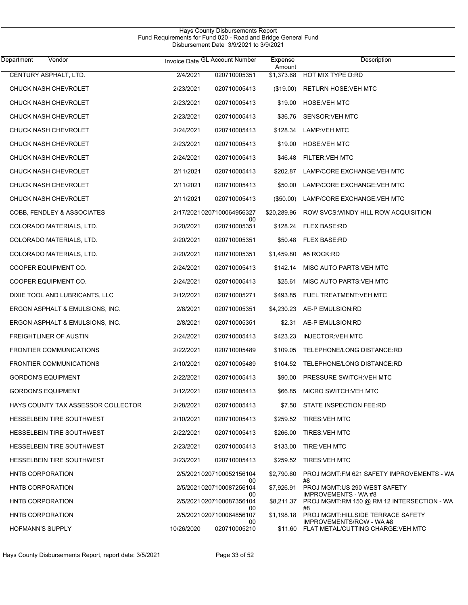| Hays County Disbursements Report                              |  |  |  |  |  |
|---------------------------------------------------------------|--|--|--|--|--|
| Fund Requirements for Fund 020 - Road and Bridge General Fund |  |  |  |  |  |
| Disbursement Date 3/9/2021 to 3/9/2021                        |  |  |  |  |  |

| Department<br>Vendor               |            | Invoice Date GL Account Number        | Expense<br>Amount | Description                                                                    |
|------------------------------------|------------|---------------------------------------|-------------------|--------------------------------------------------------------------------------|
| CENTURY ASPHALT, LTD.              | 2/4/2021   | 020710005351                          | \$1,373.68        | HOT MIX TYPE D:RD                                                              |
| CHUCK NASH CHEVROLET               | 2/23/2021  | 020710005413                          | (\$19.00)         | <b>RETURN HOSE:VEH MTC</b>                                                     |
| CHUCK NASH CHEVROLET               | 2/23/2021  | 020710005413                          | \$19.00           | <b>HOSE:VEH MTC</b>                                                            |
| CHUCK NASH CHEVROLET               | 2/23/2021  | 020710005413                          | \$36.76           | SENSOR: VEH MTC                                                                |
| <b>CHUCK NASH CHEVROLET</b>        | 2/24/2021  | 020710005413                          | \$128.34          | LAMP:VEH MTC                                                                   |
| CHUCK NASH CHEVROLET               | 2/23/2021  | 020710005413                          | \$19.00           | <b>HOSE:VEH MTC</b>                                                            |
| CHUCK NASH CHEVROLET               | 2/24/2021  | 020710005413                          | \$46.48           | FILTER: VEH MTC                                                                |
| CHUCK NASH CHEVROLET               | 2/11/2021  | 020710005413                          | \$202.87          | LAMP/CORE EXCHANGE: VEH MTC                                                    |
| <b>CHUCK NASH CHEVROLET</b>        | 2/11/2021  | 020710005413                          | \$50.00           | LAMP/CORE EXCHANGE: VEH MTC                                                    |
| CHUCK NASH CHEVROLET               | 2/11/2021  | 020710005413                          | $(\$50.00)$       | LAMP/CORE EXCHANGE: VEH MTC                                                    |
| COBB, FENDLEY & ASSOCIATES         |            | 2/17/20210207100064956327             | \$20,289.96       | ROW SVCS: WINDY HILL ROW ACQUISITION                                           |
| COLORADO MATERIALS, LTD.           | 2/20/2021  | 00<br>020710005351                    | \$128.24          | <b>FLEX BASE:RD</b>                                                            |
| COLORADO MATERIALS, LTD.           | 2/20/2021  | 020710005351                          | \$50.48           | <b>FLEX BASE:RD</b>                                                            |
| COLORADO MATERIALS, LTD.           | 2/20/2021  | 020710005351                          | \$1,459.80        | #5 ROCK:RD                                                                     |
| COOPER EQUIPMENT CO.               | 2/24/2021  | 020710005413                          | \$142.14          | MISC AUTO PARTS: VEH MTC                                                       |
| COOPER EQUIPMENT CO.               | 2/24/2021  | 020710005413                          | \$25.61           | MISC AUTO PARTS: VEH MTC                                                       |
| DIXIE TOOL AND LUBRICANTS, LLC     | 2/12/2021  | 020710005271                          | \$493.85          | FUEL TREATMENT VEH MTC                                                         |
| ERGON ASPHALT & EMULSIONS, INC.    | 2/8/2021   | 020710005351                          | \$4,230.23        | AE-P EMULSION:RD                                                               |
| ERGON ASPHALT & EMULSIONS, INC.    | 2/8/2021   | 020710005351                          | \$2.31            | AE-P EMULSION:RD                                                               |
| FREIGHTLINER OF AUSTIN             | 2/24/2021  | 020710005413                          | \$423.23          | <b>INJECTOR: VEH MTC</b>                                                       |
| <b>FRONTIER COMMUNICATIONS</b>     | 2/22/2021  | 020710005489                          | \$109.05          | TELEPHONE/LONG DISTANCE:RD                                                     |
| <b>FRONTIER COMMUNICATIONS</b>     | 2/10/2021  | 020710005489                          |                   | \$104.52 TELEPHONE/LONG DISTANCE:RD                                            |
| <b>GORDON'S EQUIPMENT</b>          | 2/22/2021  | 020710005413                          | \$90.00           | PRESSURE SWITCH: VEH MTC                                                       |
| <b>GORDON'S EQUIPMENT</b>          | 2/12/2021  | 020710005413                          | \$66.85           | MICRO SWITCH: VEH MTC                                                          |
| HAYS COUNTY TAX ASSESSOR COLLECTOR | 2/28/2021  | 020710005413                          |                   | \$7.50 STATE INSPECTION FEE:RD                                                 |
| <b>HESSELBEIN TIRE SOUTHWEST</b>   | 2/10/2021  | 020710005413                          |                   | \$259.52 TIRES VEH MTC                                                         |
| <b>HESSELBEIN TIRE SOUTHWEST</b>   | 2/22/2021  | 020710005413                          | \$266.00          | TIRES: VEH MTC                                                                 |
| <b>HESSELBEIN TIRE SOUTHWEST</b>   | 2/23/2021  | 020710005413                          | \$133.00          | <b>TIRE: VEH MTC</b>                                                           |
| <b>HESSELBEIN TIRE SOUTHWEST</b>   | 2/23/2021  | 020710005413                          |                   | \$259.52 TIRES: VEH MTC                                                        |
| HNTB CORPORATION                   |            | 2/5/2021 0207100052156104             | \$2,790.60        | PROJ MGMT FM 621 SAFETY IMPROVEMENTS - WA<br>#8                                |
| HNTB CORPORATION                   |            | 00<br>2/5/2021 0207100087256104       | \$7,926.91        | PROJ MGMT:US 290 WEST SAFETY                                                   |
| HNTB CORPORATION                   |            | 00<br>2/5/2021 0207100087356104<br>00 | \$8,211.37        | <b>IMPROVEMENTS - WA#8</b><br>PROJ MGMT:RM 150 @ RM 12 INTERSECTION - WA<br>#8 |
| HNTB CORPORATION                   |            | 2/5/2021 0207100064856107<br>00       | \$1,198.18        | PROJ MGMT: HILLSIDE TERRACE SAFETY<br>IMPROVEMENTS/ROW - WA #8                 |
| <b>HOFMANN'S SUPPLY</b>            | 10/26/2020 | 020710005210                          |                   | \$11.60 FLAT METAL/CUTTING CHARGE: VEH MTC                                     |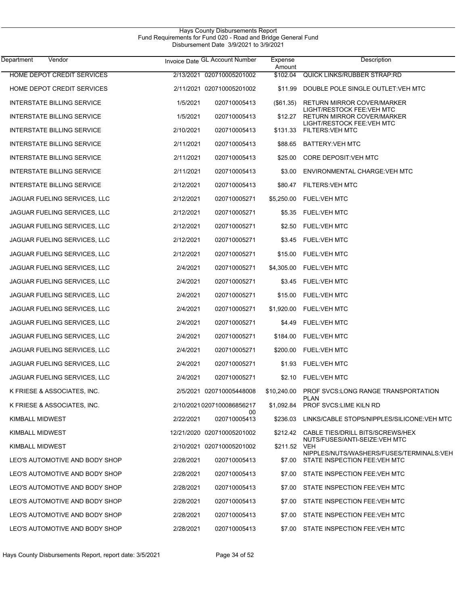| Hays County Disbursements Report                              |  |
|---------------------------------------------------------------|--|
| Fund Requirements for Fund 020 - Road and Bridge General Fund |  |
| Disbursement Date 3/9/2021 to 3/9/2021                        |  |

| Department<br>Vendor              |           | Invoice Date GL Account Number | Expense<br>Amount | Description                                                                     |
|-----------------------------------|-----------|--------------------------------|-------------------|---------------------------------------------------------------------------------|
| <b>HOME DEPOT CREDIT SERVICES</b> |           | 2/13/2021 020710005201002      | \$102.04          | <b>QUICK LINKS/RUBBER STRAP RD</b>                                              |
| HOME DEPOT CREDIT SERVICES        |           | 2/11/2021 020710005201002      | \$11.99           | DOUBLE POLE SINGLE OUTLET: VEH MTC                                              |
| <b>INTERSTATE BILLING SERVICE</b> | 1/5/2021  | 020710005413                   | $($ \$61.35)      | <b>RETURN MIRROR COVER/MARKER</b><br>LIGHT/RESTOCK FEE: VEH MTC                 |
| <b>INTERSTATE BILLING SERVICE</b> | 1/5/2021  | 020710005413                   | \$12.27           | <b>RETURN MIRROR COVER/MARKER</b><br>LIGHT/RESTOCK FEE: VEH MTC                 |
| <b>INTERSTATE BILLING SERVICE</b> | 2/10/2021 | 020710005413                   | \$131.33          | <b>FILTERS: VEH MTC</b>                                                         |
| <b>INTERSTATE BILLING SERVICE</b> | 2/11/2021 | 020710005413                   |                   | \$88.65 BATTERY: VEH MTC                                                        |
| <b>INTERSTATE BILLING SERVICE</b> | 2/11/2021 | 020710005413                   | \$25.00           | CORE DEPOSIT: VEH MTC                                                           |
| <b>INTERSTATE BILLING SERVICE</b> | 2/11/2021 | 020710005413                   | \$3.00            | ENVIRONMENTAL CHARGE: VEH MTC                                                   |
| <b>INTERSTATE BILLING SERVICE</b> | 2/12/2021 | 020710005413                   | \$80.47           | <b>FILTERS: VEH MTC</b>                                                         |
| JAGUAR FUELING SERVICES, LLC      | 2/12/2021 | 020710005271                   |                   | \$5,250.00 FUEL:VEH MTC                                                         |
| JAGUAR FUELING SERVICES, LLC      | 2/12/2021 | 020710005271                   | \$5.35            | FUEL:VEH MTC                                                                    |
| JAGUAR FUELING SERVICES, LLC      | 2/12/2021 | 020710005271                   |                   | \$2.50 FUEL:VEH MTC                                                             |
| JAGUAR FUELING SERVICES, LLC      | 2/12/2021 | 020710005271                   |                   | \$3.45 FUEL: VEH MTC                                                            |
| JAGUAR FUELING SERVICES, LLC      | 2/12/2021 | 020710005271                   |                   | \$15.00 FUEL: VEH MTC                                                           |
| JAGUAR FUELING SERVICES, LLC      | 2/4/2021  | 020710005271                   |                   | \$4,305.00 FUEL: VEH MTC                                                        |
| JAGUAR FUELING SERVICES, LLC      | 2/4/2021  | 020710005271                   |                   | \$3.45 FUEL VEH MTC                                                             |
| JAGUAR FUELING SERVICES, LLC      | 2/4/2021  | 020710005271                   |                   | \$15.00 FUEL: VEH MTC                                                           |
| JAGUAR FUELING SERVICES, LLC      | 2/4/2021  | 020710005271                   |                   | \$1,920.00 FUEL:VEH MTC                                                         |
| JAGUAR FUELING SERVICES, LLC      | 2/4/2021  | 020710005271                   |                   | \$4.49 FUEL: VEH MTC                                                            |
| JAGUAR FUELING SERVICES, LLC      | 2/4/2021  | 020710005271                   |                   | \$184.00 FUEL: VEH MTC                                                          |
| JAGUAR FUELING SERVICES, LLC      | 2/4/2021  | 020710005271                   |                   | \$200.00 FUEL: VEH MTC                                                          |
| JAGUAR FUELING SERVICES, LLC      | 2/4/2021  | 020710005271                   |                   | \$1.93 FUEL:VEH MTC                                                             |
| JAGUAR FUELING SERVICES, LLC      | 2/4/2021  | 020710005271                   |                   | \$2.10 FUEL:VEH MTC                                                             |
| K FRIESE & ASSOCIATES, INC.       |           | 2/5/2021 020710005448008       | \$10,240.00       | <b>PROF SVCS.LONG RANGE TRANSPORTATION</b>                                      |
| K FRIESE & ASSOCIATES, INC.       |           | 2/10/20210207100086856217      |                   | <b>PLAN</b><br>\$1,092.84 PROF SVCS:LIME KILN RD                                |
| <b>KIMBALL MIDWEST</b>            | 2/22/2021 | 00<br>020710005413             |                   | \$236.03 LINKS/CABLE STOPS/NIPPLES/SILICONE: VEH MTC                            |
| KIMBALL MIDWEST                   |           | 12/21/2020 020710005201002     |                   | \$212.42 CABLE TIES/DRILL BITS/SCREWS/HEX<br>NUTS/FUSES/ANTI-SEIZE: VEH MTC     |
| KIMBALL MIDWEST                   |           | 2/10/2021 020710005201002      | \$211.52 VEH      |                                                                                 |
| LEO'S AUTOMOTIVE AND BODY SHOP    | 2/28/2021 | 020710005413                   |                   | NIPPLES/NUTS/WASHERS/FUSES/TERMINALS:VEH<br>\$7.00 STATE INSPECTION FEE:VEH MTC |
| LEO'S AUTOMOTIVE AND BODY SHOP    | 2/28/2021 | 020710005413                   |                   | \$7.00 STATE INSPECTION FEE:VEH MTC                                             |
| LEO'S AUTOMOTIVE AND BODY SHOP    | 2/28/2021 | 020710005413                   | \$7.00            | STATE INSPECTION FEE:VEH MTC                                                    |
| LEO'S AUTOMOTIVE AND BODY SHOP    | 2/28/2021 | 020710005413                   | \$7.00            | STATE INSPECTION FEE: VEH MTC                                                   |
| LEO'S AUTOMOTIVE AND BODY SHOP    | 2/28/2021 | 020710005413                   | \$7.00            | STATE INSPECTION FEE:VEH MTC                                                    |
| LEO'S AUTOMOTIVE AND BODY SHOP    | 2/28/2021 | 020710005413                   |                   | \$7.00 STATE INSPECTION FEE:VEH MTC                                             |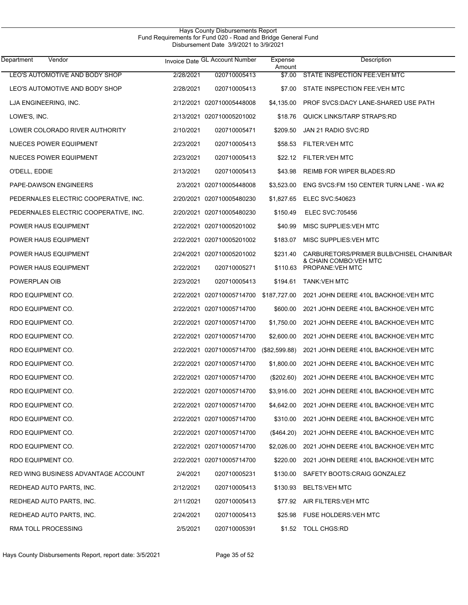| Vendor<br>Department                  |           | Invoice Date GL Account Number | Expense<br>Amount | Description                                |
|---------------------------------------|-----------|--------------------------------|-------------------|--------------------------------------------|
| LEO'S AUTOMOTIVE AND BODY SHOP        | 2/28/2021 | 020710005413                   | \$7.00            | STATE INSPECTION FEE: VEH MTC              |
| LEO'S AUTOMOTIVE AND BODY SHOP        | 2/28/2021 | 020710005413                   | \$7.00            | STATE INSPECTION FEE: VEH MTC              |
| LJA ENGINEERING, INC.                 |           | 2/12/2021 020710005448008      | \$4,135.00        | PROF SVCS:DACY LANE-SHARED USE PATH        |
| LOWE'S, INC.                          |           | 2/13/2021 020710005201002      | \$18.76           | <b>QUICK LINKS/TARP STRAPS RD</b>          |
| LOWER COLORADO RIVER AUTHORITY        | 2/10/2021 | 020710005471                   | \$209.50          | JAN 21 RADIO SVC:RD                        |
| NUECES POWER EQUIPMENT                | 2/23/2021 | 020710005413                   | \$58.53           | <b>FILTER: VEH MTC</b>                     |
| NUECES POWER EQUIPMENT                | 2/23/2021 | 020710005413                   | \$22.12           | <b>FILTER: VEH MTC</b>                     |
| O'DELL, EDDIE                         | 2/13/2021 | 020710005413                   | \$43.98           | <b>REIMB FOR WIPER BLADES:RD</b>           |
| PAPE-DAWSON ENGINEERS                 |           | 2/3/2021 020710005448008       | \$3,523.00        | ENG SVCS:FM 150 CENTER TURN LANE - WA#2    |
| PEDERNALES ELECTRIC COOPERATIVE, INC. |           | 2/20/2021 020710005480230      | \$1,827.65        | ELEC SVC:540623                            |
| PEDERNALES ELECTRIC COOPERATIVE, INC. |           | 2/20/2021 020710005480230      | \$150.49          | <b>ELEC SVC:705456</b>                     |
| POWER HAUS EQUIPMENT                  |           | 2/22/2021 020710005201002      | \$40.99           | MISC SUPPLIES VEH MTC                      |
| POWER HAUS EQUIPMENT                  |           | 2/22/2021 020710005201002      | \$183.07          | MISC SUPPLIES VEH MTC                      |
| POWER HAUS EQUIPMENT                  |           | 2/24/2021 020710005201002      | \$231.40          | CARBURETORS/PRIMER BULB/CHISEL CHAIN/BAR   |
| POWER HAUS EQUIPMENT                  | 2/22/2021 | 020710005271                   | \$110.63          | & CHAIN COMBO: VEH MTC<br>PROPANE: VEH MTC |
| POWERPLAN OIB                         | 2/23/2021 | 020710005413                   | \$194.61          | <b>TANK:VEH MTC</b>                        |
| RDO EQUIPMENT CO.                     |           | 2/22/2021 020710005714700      | \$187,727.00      | 2021 JOHN DEERE 410L BACKHOE VEH MTC       |
| RDO EQUIPMENT CO.                     |           | 2/22/2021 020710005714700      | \$600.00          | 2021 JOHN DEERE 410L BACKHOE VEH MTC       |
| RDO EQUIPMENT CO.                     |           | 2/22/2021 020710005714700      | \$1,750.00        | 2021 JOHN DEERE 410L BACKHOE: VEH MTC      |
| RDO EQUIPMENT CO.                     |           | 2/22/2021 020710005714700      | \$2,600.00        | 2021 JOHN DEERE 410L BACKHOE: VEH MTC      |
| RDO EQUIPMENT CO.                     |           | 2/22/2021 020710005714700      | (\$82,599.88)     | 2021 JOHN DEERE 410L BACKHOE: VEH MTC      |
| RDO EQUIPMENT CO.                     |           | 2/22/2021 020710005714700      | \$1,800.00        | 2021 JOHN DEERE 410L BACKHOE: VEH MTC      |
| RDO EQUIPMENT CO.                     |           | 2/22/2021 020710005714700      | $(\$202.60)$      | 2021 JOHN DEERE 410L BACKHOE: VEH MTC      |
| RDO EQUIPMENT CO.                     |           | 2/22/2021 020710005714700      | \$3,916.00        | 2021 JOHN DEERE 410L BACKHOE: VEH MTC      |
| RDO EQUIPMENT CO.                     |           | 2/22/2021 020710005714700      | \$4,642.00        | 2021 JOHN DEERE 410L BACKHOE: VEH MTC      |
| RDO EQUIPMENT CO.                     |           | 2/22/2021 020710005714700      | \$310.00          | 2021 JOHN DEERE 410L BACKHOE: VEH MTC      |
| RDO EQUIPMENT CO.                     |           | 2/22/2021 020710005714700      | $(\$464.20)$      | 2021 JOHN DEERE 410L BACKHOE: VEH MTC      |
| RDO EQUIPMENT CO.                     |           | 2/22/2021 020710005714700      | \$2,026.00        | 2021 JOHN DEERE 410L BACKHOE: VEH MTC      |
| RDO EQUIPMENT CO.                     |           | 2/22/2021 020710005714700      | \$220.00          | 2021 JOHN DEERE 410L BACKHOE: VEH MTC      |
| RED WING BUSINESS ADVANTAGE ACCOUNT   | 2/4/2021  | 020710005231                   | \$130.00          | SAFETY BOOTS: CRAIG GONZALEZ               |
| REDHEAD AUTO PARTS, INC.              | 2/12/2021 | 020710005413                   | \$130.93          | <b>BELTS:VEH MTC</b>                       |
| REDHEAD AUTO PARTS, INC.              | 2/11/2021 | 020710005413                   | \$77.92           | AIR FILTERS: VEH MTC                       |
| REDHEAD AUTO PARTS, INC.              | 2/24/2021 | 020710005413                   | \$25.98           | <b>FUSE HOLDERS: VEH MTC</b>               |
| RMA TOLL PROCESSING                   | 2/5/2021  | 020710005391                   | \$1.52            | <b>TOLL CHGS:RD</b>                        |

Hays County Disbursements Report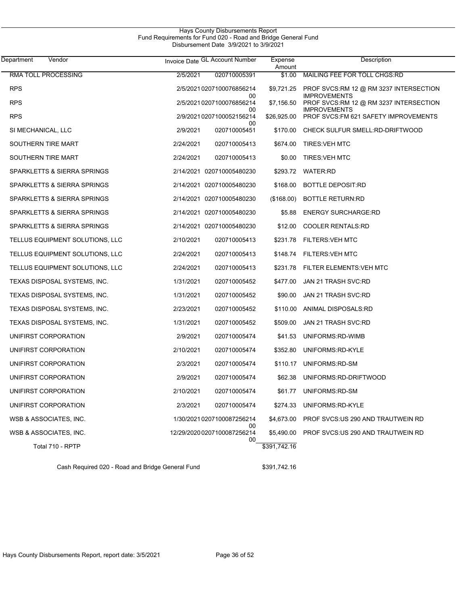| Hays County Disbursements Report                              |  |
|---------------------------------------------------------------|--|
| Fund Requirements for Fund 020 - Road and Bridge General Fund |  |
| Disbursement Date 3/9/2021 to 3/9/2021                        |  |

| Department<br>Vendor            | Invoice Date GL Account Number          | Expense<br>Amount | Description                                                   |
|---------------------------------|-----------------------------------------|-------------------|---------------------------------------------------------------|
| RMA TOLL PROCESSING             | 2/5/2021<br>020710005391                | \$1.00            | MAILING FEE FOR TOLL CHGS:RD                                  |
| <b>RPS</b>                      | 2/5/20210207100076856214<br>00          | \$9.721.25        | PROF SVCS:RM 12 @ RM 3237 INTERSECTION<br><b>IMPROVEMENTS</b> |
| <b>RPS</b>                      | 2/5/2021 0207100076856214               | \$7,156.50        | PROF SVCS:RM 12 @ RM 3237 INTERSECTION                        |
| <b>RPS</b>                      | 00<br>2/9/2021 0207100052156214<br>00   | \$26,925.00       | <b>IMPROVEMENTS</b><br>PROF SVCS: FM 621 SAFETY IMPROVEMENTS  |
| SI MECHANICAL, LLC              | 2/9/2021<br>020710005451                | \$170.00          | CHECK SULFUR SMELL:RD-DRIFTWOOD                               |
| SOUTHERN TIRE MART              | 2/24/2021<br>020710005413               |                   | \$674.00 TIRES VEH MTC                                        |
| SOUTHERN TIRE MART              | 2/24/2021<br>020710005413               |                   | \$0.00 TIRES: VEH MTC                                         |
| SPARKLETTS & SIERRA SPRINGS     | 2/14/2021 020710005480230               |                   | \$293.72 WATER:RD                                             |
| SPARKLETTS & SIERRA SPRINGS     | 2/14/2021 020710005480230               | \$168.00          | <b>BOTTLE DEPOSIT:RD</b>                                      |
| SPARKLETTS & SIERRA SPRINGS     | 2/14/2021 020710005480230               | (\$168.00)        | <b>BOTTLE RETURN:RD</b>                                       |
| SPARKLETTS & SIERRA SPRINGS     | 2/14/2021 020710005480230               | \$5.88            | <b>ENERGY SURCHARGE:RD</b>                                    |
| SPARKLETTS & SIERRA SPRINGS     | 2/14/2021 020710005480230               | \$12.00           | <b>COOLER RENTALS:RD</b>                                      |
| TELLUS EQUIPMENT SOLUTIONS, LLC | 2/10/2021<br>020710005413               | \$231.78          | FILTERS:VEH MTC                                               |
| TELLUS EQUIPMENT SOLUTIONS, LLC | 2/24/2021<br>020710005413               | \$148.74          | <b>FILTERS: VEH MTC</b>                                       |
| TELLUS EQUIPMENT SOLUTIONS, LLC | 2/24/2021<br>020710005413               | \$231.78          | FILTER ELEMENTS: VEH MTC                                      |
| TEXAS DISPOSAL SYSTEMS, INC.    | 1/31/2021<br>020710005452               | \$477.00          | JAN 21 TRASH SVC:RD                                           |
| TEXAS DISPOSAL SYSTEMS, INC.    | 1/31/2021<br>020710005452               | \$90.00           | JAN 21 TRASH SVC:RD                                           |
| TEXAS DISPOSAL SYSTEMS, INC.    | 2/23/2021<br>020710005452               | \$110.00          | ANIMAL DISPOSALS:RD                                           |
| TEXAS DISPOSAL SYSTEMS, INC.    | 1/31/2021<br>020710005452               | \$509.00          | JAN 21 TRASH SVC:RD                                           |
| UNIFIRST CORPORATION            | 2/9/2021<br>020710005474                | \$41.53           | UNIFORMS:RD-WIMB                                              |
| UNIFIRST CORPORATION            | 2/10/2021<br>020710005474               | \$352.80          | UNIFORMS:RD-KYLE                                              |
| UNIFIRST CORPORATION            | 2/3/2021<br>020710005474                | \$110.17          | UNIFORMS:RD-SM                                                |
| UNIFIRST CORPORATION            | 2/9/2021<br>020710005474                | \$62.38           | UNIFORMS:RD-DRIFTWOOD                                         |
| UNIFIRST CORPORATION            | 2/10/2021<br>020710005474               | \$61.77           | UNIFORMS:RD-SM                                                |
| UNIFIRST CORPORATION            | 2/3/2021<br>020710005474                | \$274.33          | UNIFORMS:RD-KYLE                                              |
| WSB & ASSOCIATES, INC.          | 1/30/2021 0207100087256214              | \$4,673.00        | PROF SVCS:US 290 AND TRAUTWEIN RD                             |
| WSB & ASSOCIATES, INC.          | 00<br>12/29/2020 0207100087256214<br>00 | \$5,490.00        | PROF SVCS: US 290 AND TRAUTWEIN RD                            |
| Total 710 - RPTP                |                                         | \$391,742.16      |                                                               |

Cash Required 020 - Road and Bridge General Fund \$391,742.16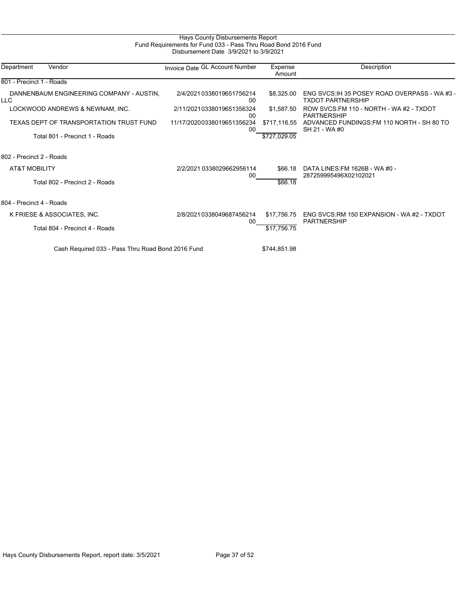# Hays County Disbursements Report Fund Requirements for Fund 033 - Pass Thru Road Bond 2016 Fund Disbursement Date 3/9/2021 to 3/9/2021

| Department               | Vendor                                            | Invoice Date GL Account Number       | Expense<br>Amount | Description                                                               |  |
|--------------------------|---------------------------------------------------|--------------------------------------|-------------------|---------------------------------------------------------------------------|--|
| 801 - Precinct 1 - Roads |                                                   |                                      |                   |                                                                           |  |
| <b>LLC</b>               | DANNENBAUM ENGINEERING COMPANY - AUSTIN,          | 2/4/20210338019651756214<br>00       | \$8,325.00        | ENG SVCS: IH 35 POSEY ROAD OVERPASS - WA #3 -<br><b>TXDOT PARTNERSHIP</b> |  |
|                          | LOCKWOOD ANDREWS & NEWNAM, INC.                   | 2/11/20210338019651356324<br>00      | \$1,587.50        | ROW SVCS: FM 110 - NORTH - WA #2 - TXDOT<br><b>PARTNERSHIP</b>            |  |
|                          | TEXAS DEPT OF TRANSPORTATION TRUST FUND           | 11/17/20200338019651356234<br>$00\,$ | \$717,116.55      | ADVANCED FUNDINGS: FM 110 NORTH - SH 80 TO<br>SH 21 - WA #0               |  |
|                          | Total 801 - Precinct 1 - Roads                    |                                      | \$727,029.05      |                                                                           |  |
| 802 - Precinct 2 - Roads |                                                   |                                      |                   |                                                                           |  |
| <b>AT&amp;T MOBILITY</b> |                                                   | 2/2/2021 0338029662956114<br>00      | \$66.18           | DATA LINES: FM 1626B - WA #0 -<br>287259995496X02102021                   |  |
|                          | Total 802 - Precinct 2 - Roads                    |                                      | \$66.18           |                                                                           |  |
| 804 - Precinct 4 - Roads |                                                   |                                      |                   |                                                                           |  |
|                          | K FRIESE & ASSOCIATES, INC.                       | 2/8/2021 0338049687456214<br>$00\,$  | \$17,756.75       | ENG SVCS:RM 150 EXPANSION - WA #2 - TXDOT<br><b>PARTNERSHIP</b>           |  |
|                          | Total 804 - Precinct 4 - Roads                    |                                      | \$17,756.75       |                                                                           |  |
|                          | Cash Required 033 - Pass Thru Road Bond 2016 Fund |                                      | \$744,851.98      |                                                                           |  |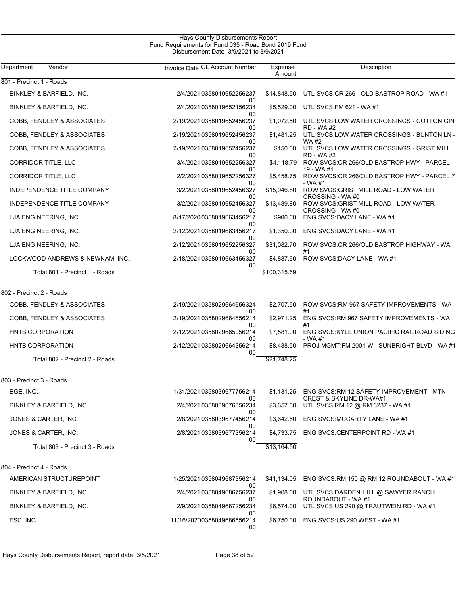## Hays County Disbursements Report Fund Requirements for Fund 035 - Road Bond 2019 Fund Disbursement Date 3/9/2021 to 3/9/2021

| Department<br>Vendor            | Invoice Date GL Account Number         | Expense<br>Amount | Description                                                                  |
|---------------------------------|----------------------------------------|-------------------|------------------------------------------------------------------------------|
| 801 - Precinct 1 - Roads        |                                        |                   |                                                                              |
| BINKLEY & BARFIELD, INC.        | 2/4/2021 0358019652256237              |                   | \$14,848.50 UTL SVCS:CR 266 - OLD BASTROP ROAD - WA#1                        |
| BINKLEY & BARFIELD, INC.        | 00<br>2/4/2021 0358019652156234<br>00  | \$5,529.00        | UTL SVCS: FM 621 - WA #1                                                     |
| COBB, FENDLEY & ASSOCIATES      | 2/19/20210358019652456237<br>00        | \$1,072.50        | UTL SVCS:LOW WATER CROSSINGS - COTTON GIN<br><b>RD - WA#2</b>                |
| COBB, FENDLEY & ASSOCIATES      | 2/19/20210358019652456237<br>00        | \$1,481.25        | UTL SVCS:LOW WATER CROSSINGS - BUNTON LN -<br><b>WA#2</b>                    |
| COBB, FENDLEY & ASSOCIATES      | 2/19/20210358019652456237<br>00        | \$150.00          | UTL SVCS:LOW WATER CROSSINGS - GRIST MILL<br><b>RD - WA#2</b>                |
| CORRIDOR TITLE, LLC             | 3/4/2021 0358019652256327<br>00        | \$4,118.79        | ROW SVCS.CR 266/OLD BASTROP HWY - PARCEL<br>19 - WA #1                       |
| CORRIDOR TITLE, LLC             | 2/2/2021 0358019652256327<br>00        | \$5,458.75        | ROW SVCS:CR 266/OLD BASTROP HWY - PARCEL 7<br>- WA #1                        |
| INDEPENDENCE TITLE COMPANY      | 3/2/2021 0358019652456327              | \$15,946.80       | ROW SVCS: GRIST MILL ROAD - LOW WATER                                        |
| INDEPENDENCE TITLE COMPANY      | 00<br>3/2/2021 0358019652456327        | \$13,489.80       | CROSSING - WA #0<br>ROW SVCS: GRIST MILL ROAD - LOW WATER<br>CROSSING - WA#0 |
| LJA ENGINEERING, INC.           | 00<br>8/17/2020 0358019663456217       | \$900.00          | ENG SVCS: DACY LANE - WA #1                                                  |
| LJA ENGINEERING, INC.           | 00<br>2/12/20210358019663456217        | \$1,350.00        | ENG SVCS:DACY LANE - WA #1                                                   |
| LJA ENGINEERING, INC.           | 00<br>2/12/20210358019652256327        | \$31,082.70       | ROW SVCS:CR 266/OLD BASTROP HIGHWAY - WA                                     |
| LOCKWOOD ANDREWS & NEWNAM, INC. | 00<br>2/18/20210358019663456327        | \$4,887.60        | #1<br>ROW SVCS: DACY LANE - WA #1                                            |
| Total 801 - Precinct 1 - Roads  | 00                                     | \$100,315.69      |                                                                              |
| 802 - Precinct 2 - Roads        |                                        |                   |                                                                              |
| COBB, FENDLEY & ASSOCIATES      | 2/19/20210358029664656324              | \$2,707.50        | ROW SVCS: RM 967 SAFETY IMPROVEMENTS - WA                                    |
| COBB, FENDLEY & ASSOCIATES      | 00<br>2/19/20210358029664656214        | \$2,971.25        | #1<br>ENG SVCS: RM 967 SAFETY IMPROVEMENTS - WA                              |
| <b>HNTB CORPORATION</b>         | 00<br>2/12/20210358029665056214        | \$7,581.00        | #1<br>ENG SVCS: KYLE UNION PACIFIC RAILROAD SIDING                           |
| HNTB CORPORATION                | 00<br>2/12/20210358029664356214        | \$8,488.50        | - WA #1<br>PROJ MGMT:FM 2001 W - SUNBRIGHT BLVD - WA #1                      |
| Total 802 - Precinct 2 - Roads  | 00                                     | \$21,748.25       |                                                                              |
| 803 - Precinct 3 - Roads        |                                        |                   |                                                                              |
| BGE, INC.                       | 1/31/2021 0358039677756214             | \$1,131.25        | ENG SVCS: RM 12 SAFETY IMPROVEMENT - MTN                                     |
| BINKLEY & BARFIELD, INC.        | 00<br>2/4/2021 0358039676856234        | \$3,657.00        | <b>CREST &amp; SKYLINE DR-WA#1</b><br>UTL SVCS:RM 12 @ RM 3237 - WA #1       |
| JONES & CARTER, INC.            | 00<br>2/8/2021 0358039677456214        | \$3,642.50        | ENG SVCS: MCCARTY LANE - WA #1                                               |
| JONES & CARTER, INC.            | 00<br>2/8/2021 0358039677356214        | \$4.733.75        | ENG SVCS:CENTERPOINT RD - WA #1                                              |
| Total 803 - Precinct 3 - Roads  | 00                                     | \$13,164.50       |                                                                              |
| 804 - Precinct 4 - Roads        |                                        |                   |                                                                              |
| AMERICAN STRUCTUREPOINT         | 1/25/20210358049687356214              | \$41,134.05       | ENG SVCS:RM 150 @ RM 12 ROUNDABOUT - WA #1                                   |
| BINKLEY & BARFIELD, INC.        | 00<br>2/4/2021 0358049686756237        | \$1,908.00        | UTL SVCS: DARDEN HILL @ SAWYER RANCH                                         |
| BINKLEY & BARFIELD, INC.        | 00<br>2/9/2021 0358049687256234        | \$6,574.00        | ROUNDABOUT - WA #1<br>UTL SVCS:US 290 @ TRAUTWEIN RD - WA #1                 |
| FSC, INC.                       | 00<br>11/16/20200358049686556214<br>00 | \$6,750.00        | ENG SVCS:US 290 WEST - WA #1                                                 |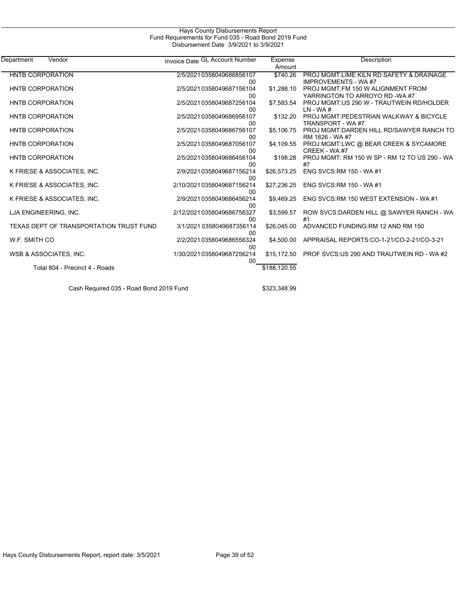| Hays County Disbursements Report                     |  |
|------------------------------------------------------|--|
| Fund Requirements for Fund 035 - Road Bond 2019 Fund |  |
| Disbursement Date 3/9/2021 to 3/9/2021               |  |

| Department<br>Vendor                    | Invoice Date GL Account Number      | Expense<br>Amount | Description                                                            |
|-----------------------------------------|-------------------------------------|-------------------|------------------------------------------------------------------------|
| <b>HNTB CORPORATION</b>                 | 2/5/2021 0358049686856107<br>00     | \$740.26          | PROJ MGMT:LIME KILN RD SAFETY & DRAINAGE<br><b>IMPROVEMENTS - WA#7</b> |
| <b>HNTB CORPORATION</b>                 | 2/5/20210358049687156104<br>00      | \$1,288.10        | PROJ MGMT:FM 150 W ALIGNMENT FROM<br>YARRINGTON TO ARROYO RD -WA #7    |
| <b>HNTB CORPORATION</b>                 | 2/5/2021 0358049687256104<br>00     | \$7,583.54        | PROJ MGMT:US 290 W - TRAUTWEIN RD/HOLDER<br>$LN - WA #$                |
| <b>HNTB CORPORATION</b>                 | 2/5/2021 0358049686956107<br>00     | \$132.20          | PROJ MGMT:PEDESTRIAN WALKWAY & BICYCLE<br>TRANSPORT - WA #7            |
| <b>HNTB CORPORATION</b>                 | 2/5/2021 0358049686756107<br>00     | \$5,106.75        | PROJ MGMT:DARDEN HILL RD/SAWYER RANCH TO<br>RM 1826 - WA #7            |
| <b>HNTB CORPORATION</b>                 | 2/5/2021 0358049687056107<br>00     | \$4,109.55        | PROJ MGMT:LWC @ BEAR CREEK & SYCAMORE<br>CREEK - WA#7                  |
| <b>HNTB CORPORATION</b>                 | 2/5/2021 0358049686456104<br>00     | \$198.28          | PROJ MGMT: RM 150 W SP - RM 12 TO US 290 - WA                          |
| K FRIESE & ASSOCIATES, INC.             | 2/9/2021 0358049687156214<br>00     | \$26,573.25       | ENG SVCS:RM 150 - WA #1                                                |
| K FRIESE & ASSOCIATES, INC.             | 2/10/20210358049687156214<br>00     | \$27,236.25       | ENG SVCS: RM 150 - WA #1                                               |
| K FRIESE & ASSOCIATES, INC.             | 2/9/2021 0358049686456214<br>$00\,$ | \$9,469.25        | ENG SVCS:RM 150 WEST EXTENSION - WA#1                                  |
| LJA ENGINEERING, INC.                   | 2/12/20210358049686756327<br>00     | \$3,599.57        | ROW SVCS: DARDEN HILL @ SAWYER RANCH - WA                              |
| TEXAS DEPT OF TRANSPORTATION TRUST FUND | 3/1/2021 0358049687356114<br>00     | \$26,045.00       | ADVANCED FUNDING: RM 12 AND RM 150                                     |
| W.F. SMITH CO                           | 2/2/2021 0358049686556324<br>00     | \$4.500.00        | APPRAISAL REPORTS:CO-1-21/CO-2-21/CO-3-21                              |
| WSB & ASSOCIATES, INC.                  | 1/30/2021 0358049687256214<br>00    | \$15,172.50       | PROF SVCS:US 290 AND TRAUTWEIN RD - WA #2                              |
| Total 804 - Precinct 4 - Roads          |                                     | \$188,120.55      |                                                                        |
|                                         |                                     |                   |                                                                        |

Cash Required 035 - Road Bond 2019 Fund \$323,348.99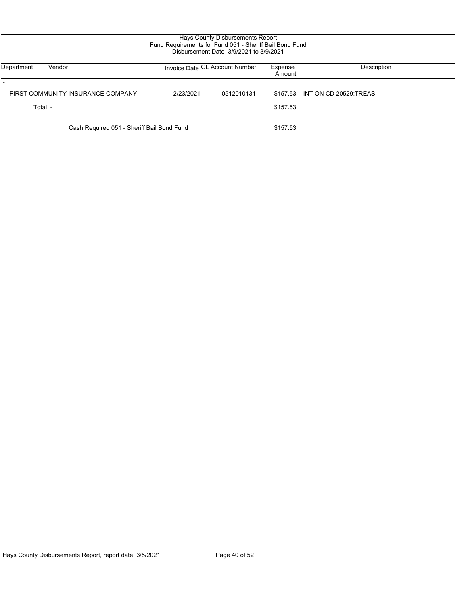| Hays County Disbursements Report<br>Fund Requirements for Fund 051 - Sheriff Bail Bond Fund<br>Disbursement Date 3/9/2021 to 3/9/2021 |                                |            |                   |                                |  |
|---------------------------------------------------------------------------------------------------------------------------------------|--------------------------------|------------|-------------------|--------------------------------|--|
| Vendor<br>Department                                                                                                                  | Invoice Date GL Account Number |            | Expense<br>Amount | Description                    |  |
| FIRST COMMUNITY INSURANCE COMPANY<br>Total -                                                                                          | 2/23/2021                      | 0512010131 | \$157.53          | \$157.53 INT ON CD 20529 TREAS |  |
| Cash Required 051 - Sheriff Bail Bond Fund                                                                                            |                                |            | \$157.53          |                                |  |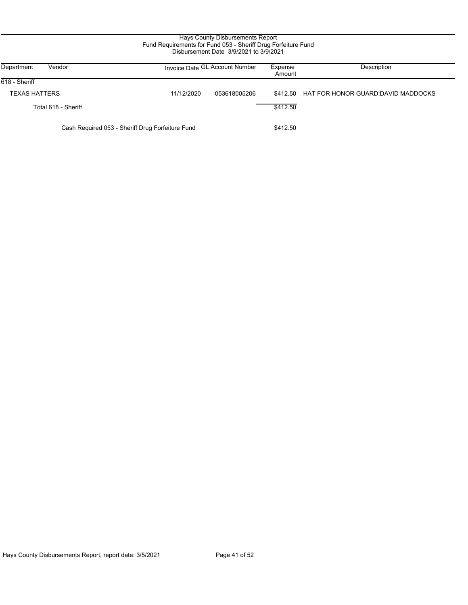# Hays County Disbursements Report Fund Requirements for Fund 053 - Sheriff Drug Forfeiture Fund Disbursement Date 3/9/2021 to 3/9/2021

| Department<br>Vendor                             |            | Invoice Date GL Account Number | Expense<br>Amount | Description                        |
|--------------------------------------------------|------------|--------------------------------|-------------------|------------------------------------|
| 618 - Sheriff                                    |            |                                |                   |                                    |
| <b>TEXAS HATTERS</b>                             | 11/12/2020 | 053618005206                   | \$412.50          | HAT FOR HONOR GUARD:DAVID MADDOCKS |
| Total 618 - Sheriff                              |            |                                | \$412.50          |                                    |
| Cash Required 053 - Sheriff Drug Forfeiture Fund |            |                                | \$412.50          |                                    |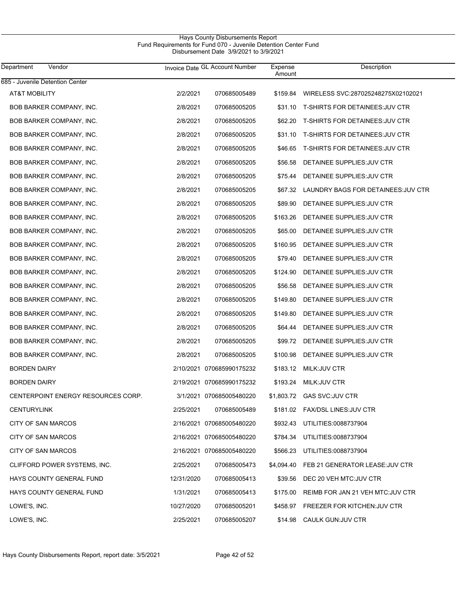# Hays County Disbursements Report Fund Requirements for Fund 070 - Juvenile Detention Center Fund Disbursement Date 3/9/2021 to 3/9/2021

| Department<br>Vendor               | Invoice Date GL Account Number |                           | Expense<br>Amount | Description                                 |
|------------------------------------|--------------------------------|---------------------------|-------------------|---------------------------------------------|
| 685 - Juvenile Detention Center    |                                |                           |                   |                                             |
| AT&T MOBILITY                      | 2/2/2021                       | 070685005489              | \$159.84          | WIRELESS SVC:287025248275X02102021          |
| <b>BOB BARKER COMPANY, INC.</b>    | 2/8/2021                       | 070685005205              |                   | \$31.10 T-SHIRTS FOR DETAINEES: JUV CTR     |
| BOB BARKER COMPANY, INC.           | 2/8/2021                       | 070685005205              | \$62.20           | T-SHIRTS FOR DETAINEES:JUV CTR              |
| BOB BARKER COMPANY, INC.           | 2/8/2021                       | 070685005205              |                   | \$31.10 T-SHIRTS FOR DETAINEES JUV CTR      |
| <b>BOB BARKER COMPANY, INC.</b>    | 2/8/2021                       | 070685005205              |                   | \$46.65 T-SHIRTS FOR DETAINEES JUV CTR      |
| BOB BARKER COMPANY, INC.           | 2/8/2021                       | 070685005205              | \$56.58           | DETAINEE SUPPLIES: JUV CTR                  |
| BOB BARKER COMPANY, INC.           | 2/8/2021                       | 070685005205              | \$75.44           | DETAINEE SUPPLIES: JUV CTR                  |
| BOB BARKER COMPANY, INC.           | 2/8/2021                       | 070685005205              |                   | \$67.32 LAUNDRY BAGS FOR DETAINEES: JUV CTR |
| BOB BARKER COMPANY, INC.           | 2/8/2021                       | 070685005205              | \$89.90           | DETAINEE SUPPLIES: JUV CTR                  |
| BOB BARKER COMPANY, INC.           | 2/8/2021                       | 070685005205              | \$163.26          | DETAINEE SUPPLIES: JUV CTR                  |
| BOB BARKER COMPANY, INC.           | 2/8/2021                       | 070685005205              | \$65.00           | DETAINEE SUPPLIES: JUV CTR                  |
| BOB BARKER COMPANY, INC.           | 2/8/2021                       | 070685005205              | \$160.95          | DETAINEE SUPPLIES: JUV CTR                  |
| BOB BARKER COMPANY, INC.           | 2/8/2021                       | 070685005205              | \$79.40           | DETAINEE SUPPLIES: JUV CTR                  |
| BOB BARKER COMPANY, INC.           | 2/8/2021                       | 070685005205              | \$124.90          | DETAINEE SUPPLIES: JUV CTR                  |
| BOB BARKER COMPANY, INC.           | 2/8/2021                       | 070685005205              | \$56.58           | DETAINEE SUPPLIES: JUV CTR                  |
| BOB BARKER COMPANY, INC.           | 2/8/2021                       | 070685005205              | \$149.80          | DETAINEE SUPPLIES: JUV CTR                  |
| BOB BARKER COMPANY, INC.           | 2/8/2021                       | 070685005205              | \$149.80          | DETAINEE SUPPLIES: JUV CTR                  |
| BOB BARKER COMPANY, INC.           | 2/8/2021                       | 070685005205              | \$64.44           | DETAINEE SUPPLIES: JUV CTR                  |
| BOB BARKER COMPANY, INC.           | 2/8/2021                       | 070685005205              |                   | \$99.72 DETAINEE SUPPLIES: JUV CTR          |
| BOB BARKER COMPANY, INC.           | 2/8/2021                       | 070685005205              | \$100.98          | DETAINEE SUPPLIES: JUV CTR                  |
| <b>BORDEN DAIRY</b>                |                                | 2/10/2021 070685990175232 |                   | \$183.12 MILK: JUV CTR                      |
| <b>BORDEN DAIRY</b>                |                                | 2/19/2021 070685990175232 |                   | \$193.24 MILK: JUV CTR                      |
| CENTERPOINT ENERGY RESOURCES CORP. |                                | 3/1/2021 070685005480220  |                   | \$1,803.72 GAS SVC:JUV CTR                  |
| <b>CENTURYLINK</b>                 | 2/25/2021                      | 070685005489              |                   | \$181.02 FAX/DSL LINES: JUV CTR             |
| CITY OF SAN MARCOS                 |                                | 2/16/2021 070685005480220 |                   | \$932.43 UTILITIES:0088737904               |
| CITY OF SAN MARCOS                 |                                | 2/16/2021 070685005480220 |                   | \$784.34 UTILITIES.0088737904               |
| CITY OF SAN MARCOS                 |                                | 2/16/2021 070685005480220 |                   | \$566.23 UTILITIES:0088737904               |
| CLIFFORD POWER SYSTEMS, INC.       | 2/25/2021                      | 070685005473              |                   | \$4,094.40 FEB 21 GENERATOR LEASE: JUV CTR  |
| HAYS COUNTY GENERAL FUND           | 12/31/2020                     | 070685005413              |                   | \$39.56 DEC 20 VEH MTC JUV CTR              |
| HAYS COUNTY GENERAL FUND           | 1/31/2021                      | 070685005413              | \$175.00          | REIMB FOR JAN 21 VEH MTC: JUV CTR           |
| LOWE'S, INC.                       | 10/27/2020                     | 070685005201              |                   | \$458.97 FREEZER FOR KITCHEN: JUV CTR       |
| LOWE'S, INC.                       | 2/25/2021                      | 070685005207              |                   | \$14.98 CAULK GUN: JUV CTR                  |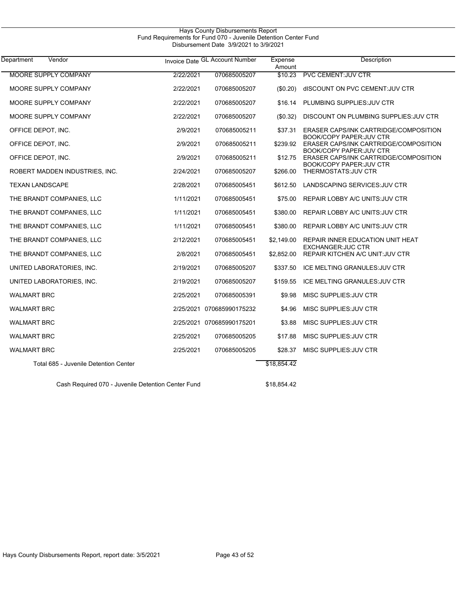| Vendor<br>Department                  |           | Invoice Date GL Account Number | Expense<br>Amount | <b>Description</b>                                                      |
|---------------------------------------|-----------|--------------------------------|-------------------|-------------------------------------------------------------------------|
| <b>MOORE SUPPLY COMPANY</b>           | 2/22/2021 | 070685005207                   | \$10.23           | <b>PVC CEMENT: JUV CTR</b>                                              |
| MOORE SUPPLY COMPANY                  | 2/22/2021 | 070685005207                   | (\$0.20)          | dISCOUNT ON PVC CEMENT: JUV CTR                                         |
| MOORE SUPPLY COMPANY                  | 2/22/2021 | 070685005207                   | \$16.14           | PLUMBING SUPPLIES: JUV CTR                                              |
| MOORE SUPPLY COMPANY                  | 2/22/2021 | 070685005207                   | (\$0.32)          | DISCOUNT ON PLUMBING SUPPLIES JUV CTR                                   |
| OFFICE DEPOT, INC.                    | 2/9/2021  | 070685005211                   | \$37.31           | ERASER CAPS/INK CARTRIDGE/COMPOSITION<br><b>BOOK/COPY PAPER:JUV CTR</b> |
| OFFICE DEPOT, INC.                    | 2/9/2021  | 070685005211                   | \$239.92          | ERASER CAPS/INK CARTRIDGE/COMPOSITION<br><b>BOOK/COPY PAPER:JUV CTR</b> |
| OFFICE DEPOT, INC.                    | 2/9/2021  | 070685005211                   | \$12.75           | ERASER CAPS/INK CARTRIDGE/COMPOSITION<br><b>BOOK/COPY PAPER:JUV CTR</b> |
| ROBERT MADDEN INDUSTRIES, INC.        | 2/24/2021 | 070685005207                   | \$266.00          | THERMOSTATS: JUV CTR                                                    |
| <b>TEXAN LANDSCAPE</b>                | 2/28/2021 | 070685005451                   | \$612.50          | LANDSCAPING SERVICES: JUV CTR                                           |
| THE BRANDT COMPANIES, LLC             | 1/11/2021 | 070685005451                   | \$75.00           | REPAIR LOBBY A/C UNITS: JUV CTR                                         |
| THE BRANDT COMPANIES, LLC             | 1/11/2021 | 070685005451                   | \$380.00          | REPAIR LOBBY A/C UNITS: JUV CTR                                         |
| THE BRANDT COMPANIES, LLC             | 1/11/2021 | 070685005451                   | \$380.00          | REPAIR LOBBY A/C UNITS: JUV CTR                                         |
| THE BRANDT COMPANIES, LLC             | 2/12/2021 | 070685005451                   | \$2,149.00        | REPAIR INNER EDUCATION UNIT HEAT<br><b>EXCHANGER: JUC CTR</b>           |
| THE BRANDT COMPANIES, LLC             | 2/8/2021  | 070685005451                   | \$2,852.00        | REPAIR KITCHEN A/C UNIT: JUV CTR                                        |
| UNITED LABORATORIES, INC.             | 2/19/2021 | 070685005207                   | \$337.50          | ICE MELTING GRANULES: JUV CTR                                           |
| UNITED LABORATORIES, INC.             | 2/19/2021 | 070685005207                   | \$159.55          | ICE MELTING GRANULES: JUV CTR                                           |
| <b>WALMART BRC</b>                    | 2/25/2021 | 070685005391                   | \$9.98            | MISC SUPPLIES: JUV CTR                                                  |
| <b>WALMART BRC</b>                    |           | 2/25/2021 070685990175232      | \$4.96            | MISC SUPPLIES: JUV CTR                                                  |
| <b>WALMART BRC</b>                    |           | 2/25/2021 070685990175201      | \$3.88            | MISC SUPPLIES: JUV CTR                                                  |
| <b>WALMART BRC</b>                    | 2/25/2021 | 070685005205                   | \$17.88           | MISC SUPPLIES: JUV CTR                                                  |
| <b>WALMART BRC</b>                    | 2/25/2021 | 070685005205                   | \$28.37           | MISC SUPPLIES: JUV CTR                                                  |
| Total 685 - Juvenile Detention Center |           |                                | \$18,854.42       |                                                                         |

Hays County Disbursements Report

Cash Required 070 - Juvenile Detention Center Fund \$18,854.42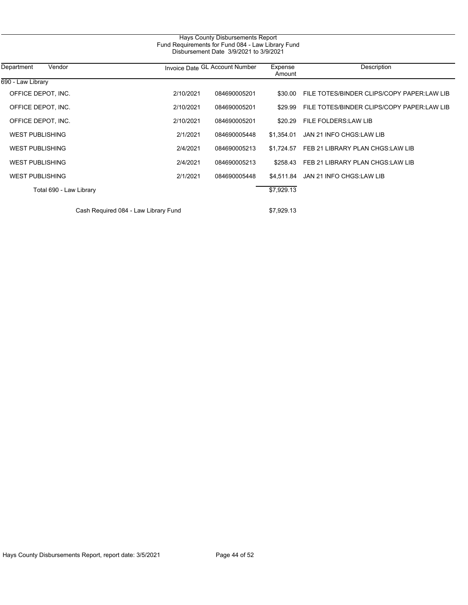| Hays County Disbursements Report<br>Fund Requirements for Fund 084 - Law Library Fund<br>Disbursement Date 3/9/2021 to 3/9/2021 |           |                                |                   |                                            |  |  |
|---------------------------------------------------------------------------------------------------------------------------------|-----------|--------------------------------|-------------------|--------------------------------------------|--|--|
| Department<br>Vendor                                                                                                            |           | Invoice Date GL Account Number | Expense<br>Amount | Description                                |  |  |
| 690 - Law Library                                                                                                               |           |                                |                   |                                            |  |  |
| OFFICE DEPOT, INC.                                                                                                              | 2/10/2021 | 084690005201                   | \$30.00           | FILE TOTES/BINDER CLIPS/COPY PAPER:LAW LIB |  |  |
| OFFICE DEPOT, INC.                                                                                                              | 2/10/2021 | 084690005201                   | \$29.99           | FILE TOTES/BINDER CLIPS/COPY PAPER:LAW LIB |  |  |
| OFFICE DEPOT, INC.                                                                                                              | 2/10/2021 | 084690005201                   | \$20.29           | FILE FOLDERS: LAW LIB                      |  |  |
| <b>WEST PUBLISHING</b>                                                                                                          | 2/1/2021  | 084690005448                   | \$1,354.01        | JAN 21 INFO CHGS: LAW LIB                  |  |  |
| <b>WEST PUBLISHING</b>                                                                                                          | 2/4/2021  | 084690005213                   | \$1.724.57        | FEB 21 LIBRARY PLAN CHGS:LAW LIB           |  |  |
| <b>WEST PUBLISHING</b>                                                                                                          | 2/4/2021  | 084690005213                   | \$258.43          | FEB 21 LIBRARY PLAN CHGS:LAW LIB           |  |  |
| <b>WEST PUBLISHING</b>                                                                                                          | 2/1/2021  | 084690005448                   | \$4,511.84        | JAN 21 INFO CHGS:LAW LIB                   |  |  |
| Total 690 - Law Library                                                                                                         |           |                                | \$7,929.13        |                                            |  |  |
|                                                                                                                                 |           |                                |                   |                                            |  |  |

Cash Required 084 - Law Library Fund \$7,929.13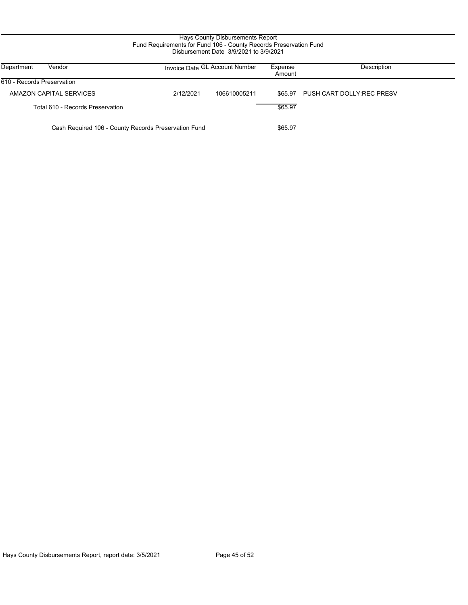# Hays County Disbursements Report Fund Requirements for Fund 106 - County Records Preservation Fund Disbursement Date 3/9/2021 to 3/9/2021

| Department<br>Vendor                                 | Invoice Date GL Account Number |              | Expense<br>Amount | Description               |
|------------------------------------------------------|--------------------------------|--------------|-------------------|---------------------------|
| 1610 - Records Preservation                          |                                |              |                   |                           |
| AMAZON CAPITAL SERVICES                              | 2/12/2021                      | 106610005211 | \$65.97           | PUSH CART DOLLY:REC PRESV |
| Total 610 - Records Preservation                     |                                |              | \$65.97           |                           |
| Cash Required 106 - County Records Preservation Fund |                                |              | \$65.97           |                           |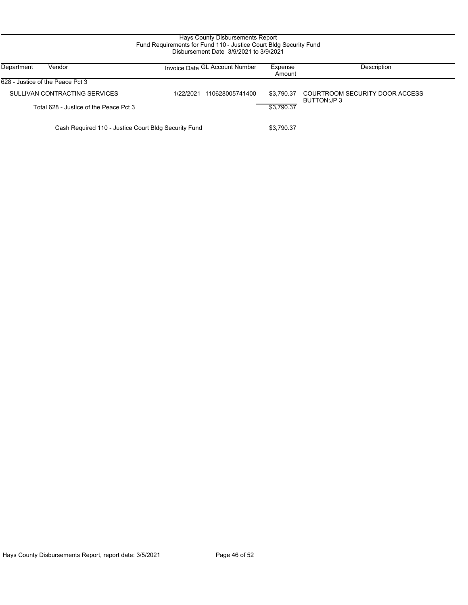# Hays County Disbursements Report Fund Requirements for Fund 110 - Justice Court Bldg Security Fund Disbursement Date 3/9/2021 to 3/9/2021

| Department<br>Vendor                                 | Invoice Date GL Account Number | Expense<br>Amount | Description                                    |
|------------------------------------------------------|--------------------------------|-------------------|------------------------------------------------|
| 628 - Justice of the Peace Pct 3                     |                                |                   |                                                |
| SULLIVAN CONTRACTING SERVICES                        | 110628005741400<br>1/22/2021   | \$3.790.37        | COURTROOM SECURITY DOOR ACCESS<br>BUTTON: JP 3 |
| Total 628 - Justice of the Peace Pct 3               |                                | \$3.790.37        |                                                |
| Cash Required 110 - Justice Court Bldg Security Fund |                                | \$3,790.37        |                                                |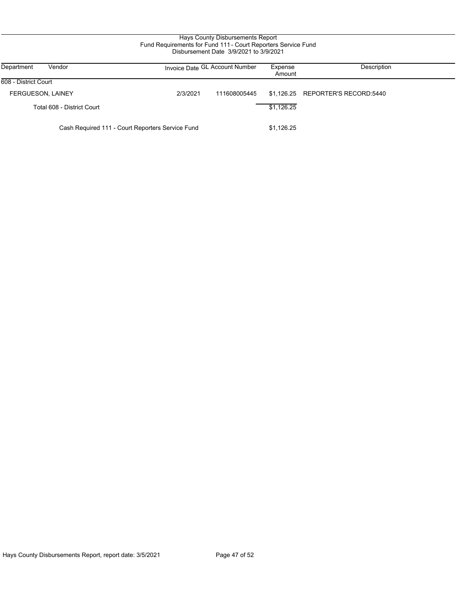## Hays County Disbursements Report Fund Requirements for Fund 111 - Court Reporters Service Fund Disbursement Date 3/9/2021 to 3/9/2021

| Department<br>Vendor                             |          | Invoice Date GL Account Number | Expense<br>Amount | Description                       |
|--------------------------------------------------|----------|--------------------------------|-------------------|-----------------------------------|
| 608 - District Court                             |          |                                |                   |                                   |
| <b>FERGUESON, LAINEY</b>                         | 2/3/2021 | 111608005445                   |                   | \$1,126.25 REPORTER'S RECORD:5440 |
| Total 608 - District Court                       |          |                                | \$1,126.25        |                                   |
| Cash Required 111 - Court Reporters Service Fund |          |                                | \$1,126.25        |                                   |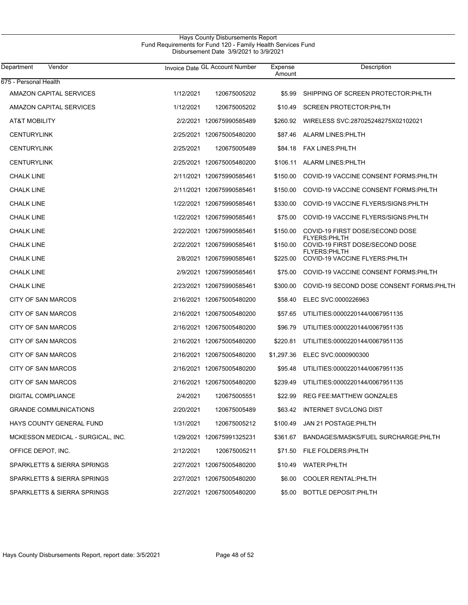# Hays County Disbursements Report Fund Requirements for Fund 120 - Family Health Services Fund Disbursement Date 3/9/2021 to 3/9/2021

| Department<br>Vendor              |           | Invoice Date GL Account Number | Expense<br>Amount | Description                                          |
|-----------------------------------|-----------|--------------------------------|-------------------|------------------------------------------------------|
| 675 - Personal Health             |           |                                |                   |                                                      |
| AMAZON CAPITAL SERVICES           | 1/12/2021 | 120675005202                   | \$5.99            | SHIPPING OF SCREEN PROTECTOR: PHLTH                  |
| AMAZON CAPITAL SERVICES           | 1/12/2021 | 120675005202                   | \$10.49           | <b>SCREEN PROTECTOR PHLTH</b>                        |
| <b>AT&amp;T MOBILITY</b>          |           | 2/2/2021 120675990585489       | \$260.92          | WIRELESS SVC:287025248275X02102021                   |
| <b>CENTURYLINK</b>                |           | 2/25/2021 120675005480200      | \$87.46           | <b>ALARM LINES: PHLTH</b>                            |
| <b>CENTURYLINK</b>                | 2/25/2021 | 120675005489                   | \$84.18           | <b>FAX LINES: PHLTH</b>                              |
| <b>CENTURYLINK</b>                |           | 2/25/2021 120675005480200      | \$106.11          | <b>ALARM LINES: PHLTH</b>                            |
| <b>CHALK LINE</b>                 |           | 2/11/2021 120675990585461      | \$150.00          | COVID-19 VACCINE CONSENT FORMS: PHLTH                |
| <b>CHALK LINE</b>                 |           | 2/11/2021 120675990585461      | \$150.00          | COVID-19 VACCINE CONSENT FORMS: PHLTH                |
| <b>CHALK LINE</b>                 |           | 1/22/2021 120675990585461      | \$330.00          | COVID-19 VACCINE FLYERS/SIGNS: PHLTH                 |
| <b>CHALK LINE</b>                 |           | 1/22/2021 120675990585461      | \$75.00           | COVID-19 VACCINE FLYERS/SIGNS: PHLTH                 |
| <b>CHALK LINE</b>                 |           | 2/22/2021 120675990585461      | \$150.00          | COVID-19 FIRST DOSE/SECOND DOSE                      |
| <b>CHALK LINE</b>                 |           | 2/22/2021 120675990585461      | \$150.00          | FLYERS:PHLTH<br>COVID-19 FIRST DOSE/SECOND DOSE      |
| <b>CHALK LINE</b>                 |           | 2/8/2021 120675990585461       | \$225.00          | FLYERS:PHLTH<br><b>COVID-19 VACCINE FLYERS PHLTH</b> |
| <b>CHALK LINE</b>                 |           | 2/9/2021 120675990585461       | \$75.00           | COVID-19 VACCINE CONSENT FORMS: PHLTH                |
| <b>CHALK LINE</b>                 |           | 2/23/2021 120675990585461      | \$300.00          | COVID-19 SECOND DOSE CONSENT FORMS:PHLTH             |
| CITY OF SAN MARCOS                |           | 2/16/2021 120675005480200      | \$58.40           | ELEC SVC:0000226963                                  |
| CITY OF SAN MARCOS                |           | 2/16/2021 120675005480200      | \$57.65           | UTILITIES:0000220144/0067951135                      |
| CITY OF SAN MARCOS                |           | 2/16/2021 120675005480200      | \$96.79           | UTILITIES:0000220144/0067951135                      |
| CITY OF SAN MARCOS                |           | 2/16/2021 120675005480200      | \$220.81          | UTILITIES:0000220144/0067951135                      |
| CITY OF SAN MARCOS                |           | 2/16/2021 120675005480200      | \$1,297.36        | ELEC SVC:0000900300                                  |
| CITY OF SAN MARCOS                |           | 2/16/2021 120675005480200      | \$95.48           | UTILITIES:0000220144/0067951135                      |
| CITY OF SAN MARCOS                |           | 2/16/2021 120675005480200      | \$239.49          | UTILITIES:0000220144/0067951135                      |
| DIGITAL COMPLIANCE                | 2/4/2021  | 120675005551                   | \$22.99           | <b>REG FEE:MATTHEW GONZALES</b>                      |
| <b>GRANDE COMMUNICATIONS</b>      | 2/20/2021 | 120675005489                   |                   | \$63.42 INTERNET SVC/LONG DIST                       |
| HAYS COUNTY GENERAL FUND          | 1/31/2021 | 120675005212                   | \$100.49          | JAN 21 POSTAGE: PHLTH                                |
| MCKESSON MEDICAL - SURGICAL, INC. |           | 1/29/2021 120675991325231      |                   | \$361.67 BANDAGES/MASKS/FUEL SURCHARGE:PHLTH         |
| OFFICE DEPOT, INC.                | 2/12/2021 | 120675005211                   | \$71.50           | FILE FOLDERS: PHLTH                                  |
| SPARKLETTS & SIERRA SPRINGS       |           | 2/27/2021 120675005480200      | \$10.49           | WATER: PHLTH                                         |
| SPARKLETTS & SIERRA SPRINGS       |           | 2/27/2021 120675005480200      | \$6.00            | <b>COOLER RENTAL: PHLTH</b>                          |
| SPARKLETTS & SIERRA SPRINGS       |           | 2/27/2021 120675005480200      | \$5.00            | BOTTLE DEPOSIT: PHLTH                                |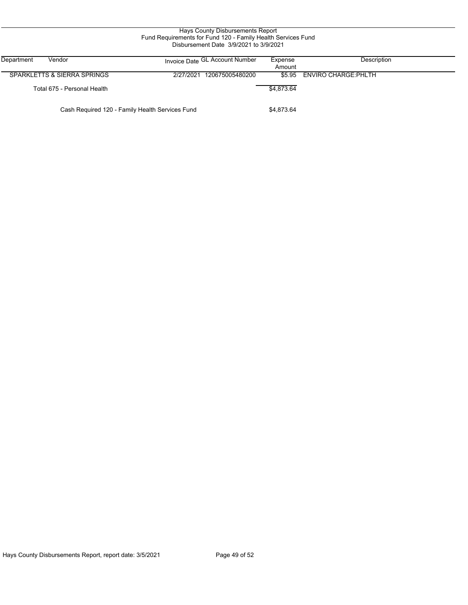| Hays County Disbursements Report<br>Fund Requirements for Fund 120 - Family Health Services Fund<br>Disbursement Date 3/9/2021 to 3/9/2021 |                                |                   |                            |  |  |  |
|--------------------------------------------------------------------------------------------------------------------------------------------|--------------------------------|-------------------|----------------------------|--|--|--|
| Department<br>Vendor                                                                                                                       | Invoice Date GL Account Number | Expense<br>Amount | Description                |  |  |  |
| SPARKLETTS & SIERRA SPRINGS                                                                                                                | 2/27/2021<br>120675005480200   |                   | \$5.95 ENVIRO CHARGE PHLTH |  |  |  |
| Total 675 - Personal Health                                                                                                                |                                | \$4,873.64        |                            |  |  |  |
| Cash Required 120 - Family Health Services Fund                                                                                            |                                |                   |                            |  |  |  |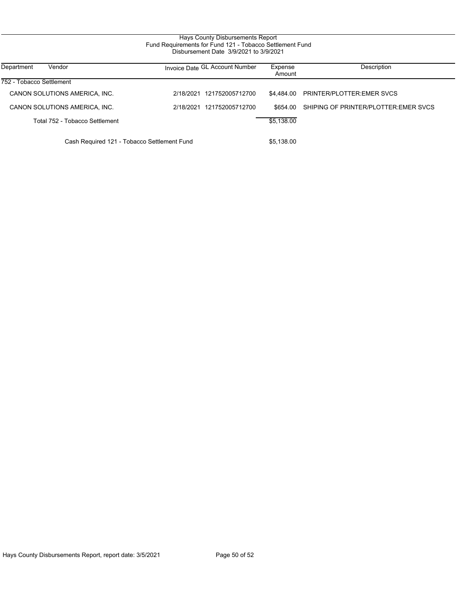# Hays County Disbursements Report Fund Requirements for Fund 121 - Tobacco Settlement Fund Disbursement Date 3/9/2021 to 3/9/2021

| Department<br>Vendor                        | Invoice Date GL Account Number | Expense<br>Amount | Description                          |
|---------------------------------------------|--------------------------------|-------------------|--------------------------------------|
| 752 - Tobacco Settlement                    |                                |                   |                                      |
| CANON SOLUTIONS AMERICA, INC.               | 121752005712700<br>2/18/2021   | \$4.484.00        | <b>PRINTER/PLOTTER EMER SVCS</b>     |
| CANON SOLUTIONS AMERICA, INC.               | 2/18/2021<br>121752005712700   | \$654.00          | SHIPING OF PRINTER/PLOTTER EMER SVCS |
| Total 752 - Tobacco Settlement              |                                | \$5.138.00        |                                      |
| Cash Required 121 - Tobacco Settlement Fund |                                | \$5.138.00        |                                      |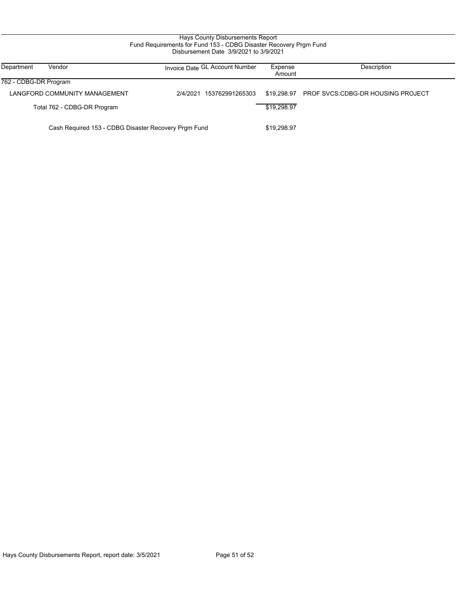## Hays County Disbursements Report Fund Requirements for Fund 153 - CDBG Disaster Recovery Prgm Fund Disbursement Date 3/9/2021 to 3/9/2021

| Department<br>Vendor                                 | Invoice Date GL Account Number | Expense<br>Amount | Description                              |
|------------------------------------------------------|--------------------------------|-------------------|------------------------------------------|
| 762 - CDBG-DR Program                                |                                |                   |                                          |
| LANGFORD COMMUNITY MANAGEMENT                        | 153762991265303<br>2/4/2021    | \$19.298.97       | <b>PROF SVCS:CDBG-DR HOUSING PROJECT</b> |
| Total 762 - CDBG-DR Program                          |                                | \$19,298.97       |                                          |
| Cash Required 153 - CDBG Disaster Recovery Prgm Fund |                                |                   |                                          |